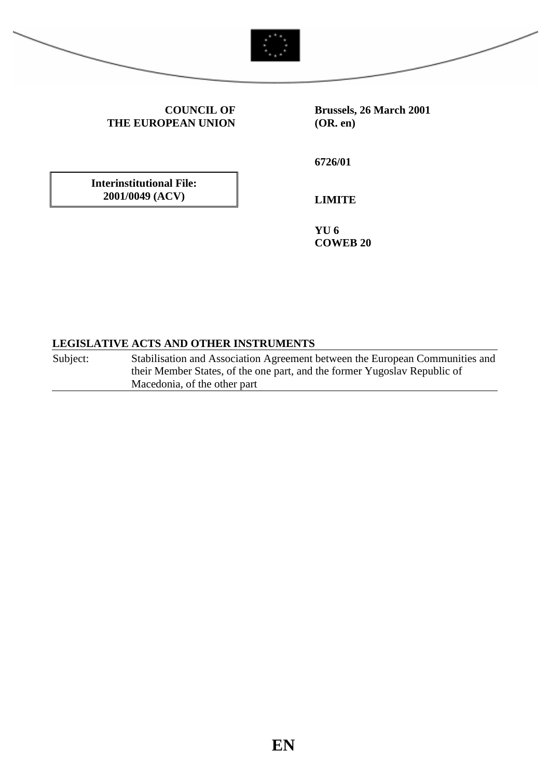



**COUNCIL OF THE EUROPEAN UNION** **Brussels, 26 March 2001 (OR. en)**

**Interinstitutional File: 2001/0049 (ACV)**

**6726/01**

**LIMITE**

**YU 6 COWEB 20**

# **LEGISLATIVE ACTS AND OTHER INSTRUMENTS**

Subject: Stabilisation and Association Agreement between the European Communities and their Member States, of the one part, and the former Yugoslav Republic of Macedonia, of the other part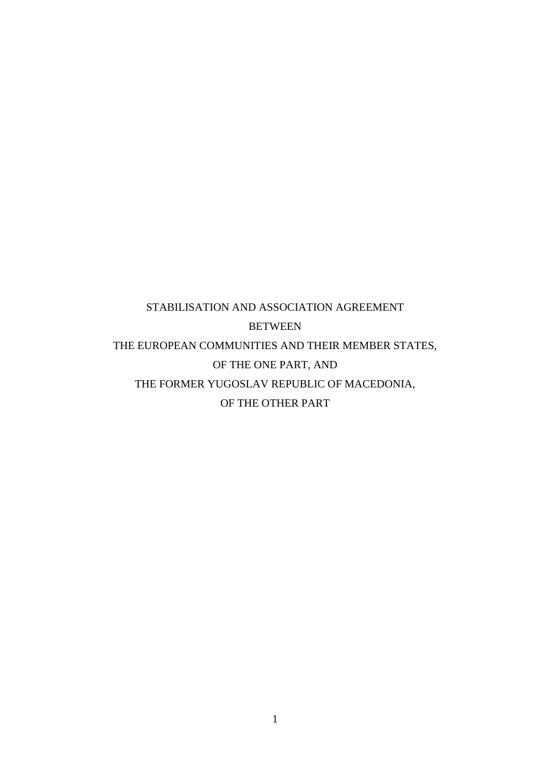# STABILISATION AND ASSOCIATION AGREEMENT BETWEEN THE EUROPEAN COMMUNITIES AND THEIR MEMBER STATES, OF THE ONE PART, AND THE FORMER YUGOSLAV REPUBLIC OF MACEDONIA, OF THE OTHER PART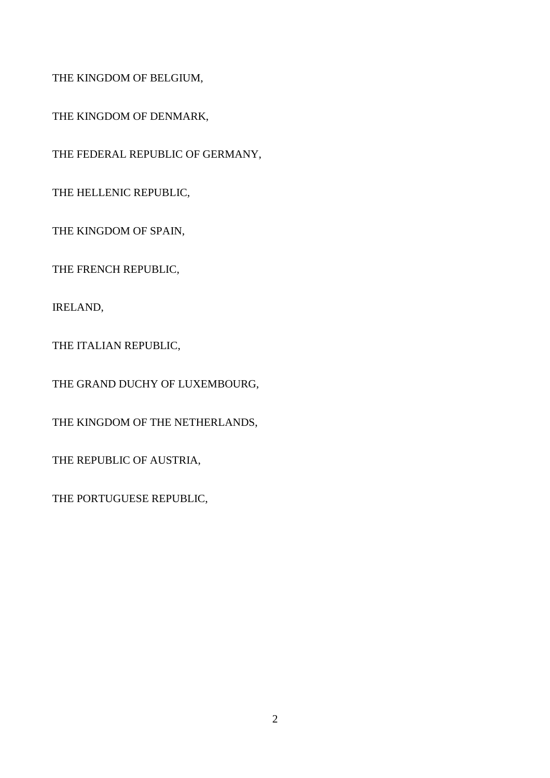THE KINGDOM OF BELGIUM,

THE KINGDOM OF DENMARK,

THE FEDERAL REPUBLIC OF GERMANY,

THE HELLENIC REPUBLIC,

THE KINGDOM OF SPAIN,

THE FRENCH REPUBLIC,

IRELAND,

THE ITALIAN REPUBLIC,

THE GRAND DUCHY OF LUXEMBOURG,

THE KINGDOM OF THE NETHERLANDS,

THE REPUBLIC OF AUSTRIA,

THE PORTUGUESE REPUBLIC,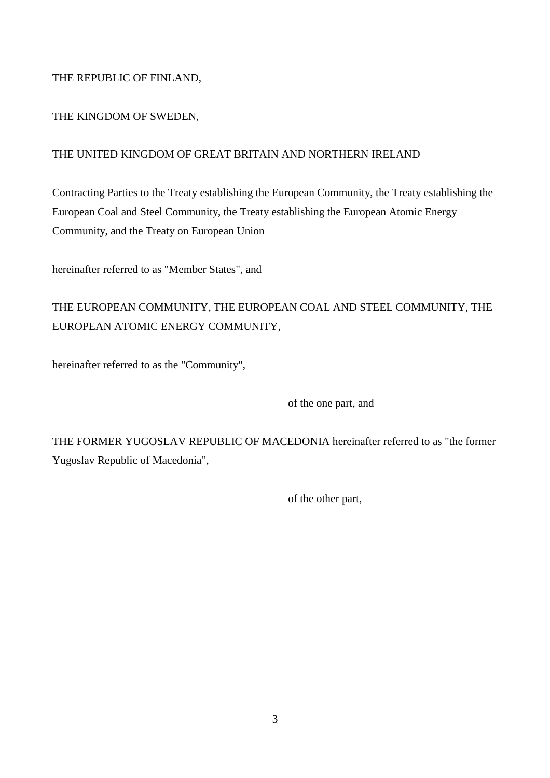# THE REPUBLIC OF FINLAND,

# THE KINGDOM OF SWEDEN,

# THE UNITED KINGDOM OF GREAT BRITAIN AND NORTHERN IRELAND

Contracting Parties to the Treaty establishing the European Community, the Treaty establishing the European Coal and Steel Community, the Treaty establishing the European Atomic Energy Community, and the Treaty on European Union

hereinafter referred to as "Member States", and

# THE EUROPEAN COMMUNITY, THE EUROPEAN COAL AND STEEL COMMUNITY, THE EUROPEAN ATOMIC ENERGY COMMUNITY,

hereinafter referred to as the "Community",

of the one part, and

THE FORMER YUGOSLAV REPUBLIC OF MACEDONIA hereinafter referred to as "the former Yugoslav Republic of Macedonia",

of the other part,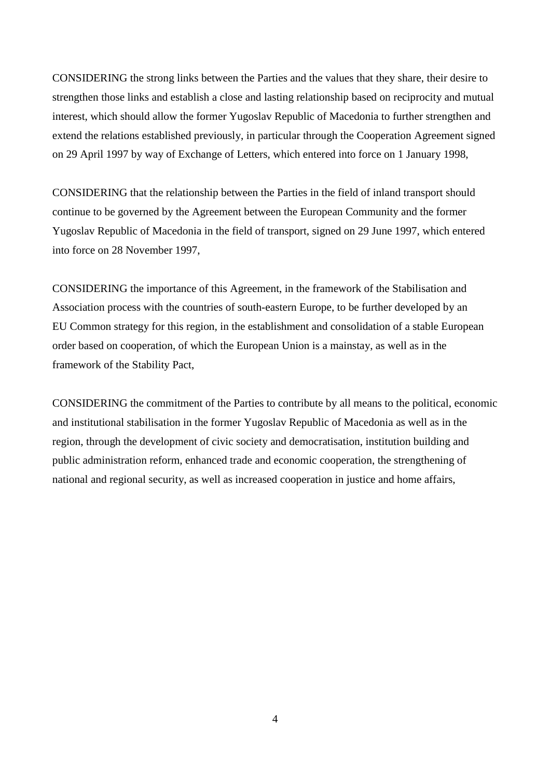CONSIDERING the strong links between the Parties and the values that they share, their desire to strengthen those links and establish a close and lasting relationship based on reciprocity and mutual interest, which should allow the former Yugoslav Republic of Macedonia to further strengthen and extend the relations established previously, in particular through the Cooperation Agreement signed on 29 April 1997 by way of Exchange of Letters, which entered into force on 1 January 1998,

CONSIDERING that the relationship between the Parties in the field of inland transport should continue to be governed by the Agreement between the European Community and the former Yugoslav Republic of Macedonia in the field of transport, signed on 29 June 1997, which entered into force on 28 November 1997,

CONSIDERING the importance of this Agreement, in the framework of the Stabilisation and Association process with the countries of south-eastern Europe, to be further developed by an EU Common strategy for this region, in the establishment and consolidation of a stable European order based on cooperation, of which the European Union is a mainstay, as well as in the framework of the Stability Pact,

CONSIDERING the commitment of the Parties to contribute by all means to the political, economic and institutional stabilisation in the former Yugoslav Republic of Macedonia as well as in the region, through the development of civic society and democratisation, institution building and public administration reform, enhanced trade and economic cooperation, the strengthening of national and regional security, as well as increased cooperation in justice and home affairs,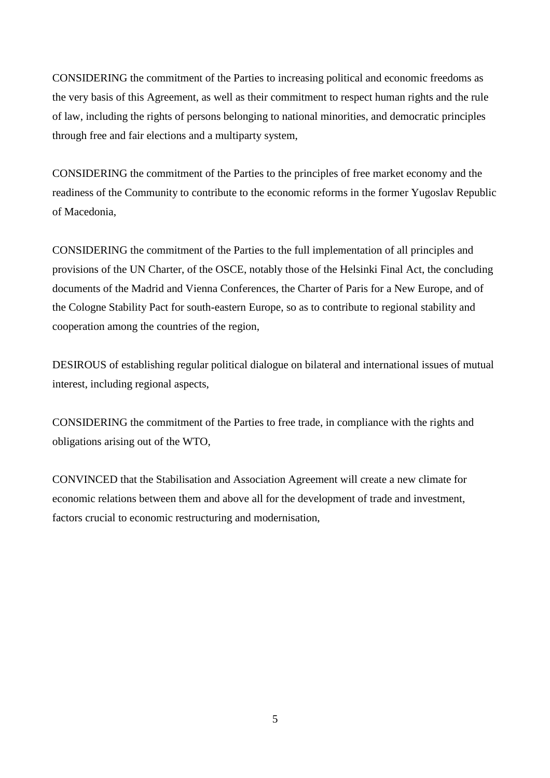CONSIDERING the commitment of the Parties to increasing political and economic freedoms as the very basis of this Agreement, as well as their commitment to respect human rights and the rule of law, including the rights of persons belonging to national minorities, and democratic principles through free and fair elections and a multiparty system,

CONSIDERING the commitment of the Parties to the principles of free market economy and the readiness of the Community to contribute to the economic reforms in the former Yugoslav Republic of Macedonia,

CONSIDERING the commitment of the Parties to the full implementation of all principles and provisions of the UN Charter, of the OSCE, notably those of the Helsinki Final Act, the concluding documents of the Madrid and Vienna Conferences, the Charter of Paris for a New Europe, and of the Cologne Stability Pact for south-eastern Europe, so as to contribute to regional stability and cooperation among the countries of the region,

DESIROUS of establishing regular political dialogue on bilateral and international issues of mutual interest, including regional aspects,

CONSIDERING the commitment of the Parties to free trade, in compliance with the rights and obligations arising out of the WTO,

CONVINCED that the Stabilisation and Association Agreement will create a new climate for economic relations between them and above all for the development of trade and investment, factors crucial to economic restructuring and modernisation,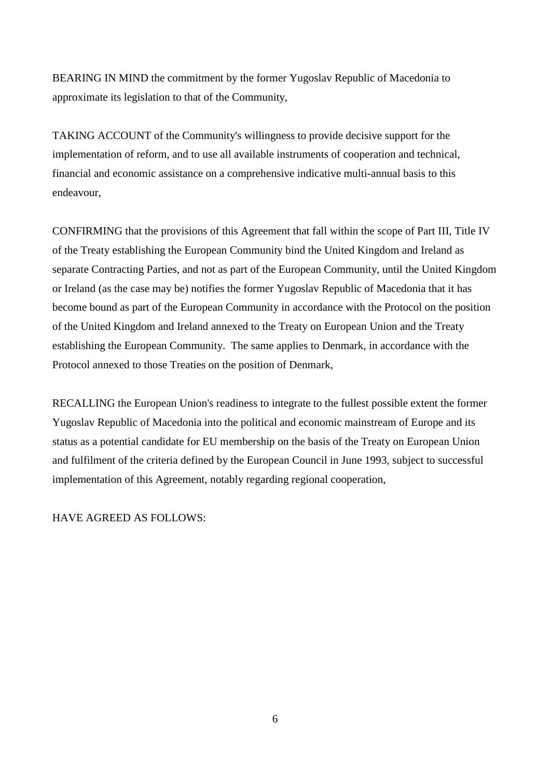BEARING IN MIND the commitment by the former Yugoslav Republic of Macedonia to approximate its legislation to that of the Community,

TAKING ACCOUNT of the Community's willingness to provide decisive support for the implementation of reform, and to use all available instruments of cooperation and technical, financial and economic assistance on a comprehensive indicative multi-annual basis to this endeavour,

CONFIRMING that the provisions of this Agreement that fall within the scope of Part III, Title IV of the Treaty establishing the European Community bind the United Kingdom and Ireland as separate Contracting Parties, and not as part of the European Community, until the United Kingdom or Ireland (as the case may be) notifies the former Yugoslav Republic of Macedonia that it has become bound as part of the European Community in accordance with the Protocol on the position of the United Kingdom and Ireland annexed to the Treaty on European Union and the Treaty establishing the European Community. The same applies to Denmark, in accordance with the Protocol annexed to those Treaties on the position of Denmark,

RECALLING the European Union's readiness to integrate to the fullest possible extent the former Yugoslav Republic of Macedonia into the political and economic mainstream of Europe and its status as a potential candidate for EU membership on the basis of the Treaty on European Union and fulfilment of the criteria defined by the European Council in June 1993, subject to successful implementation of this Agreement, notably regarding regional cooperation,

HAVE AGREED AS FOLLOWS: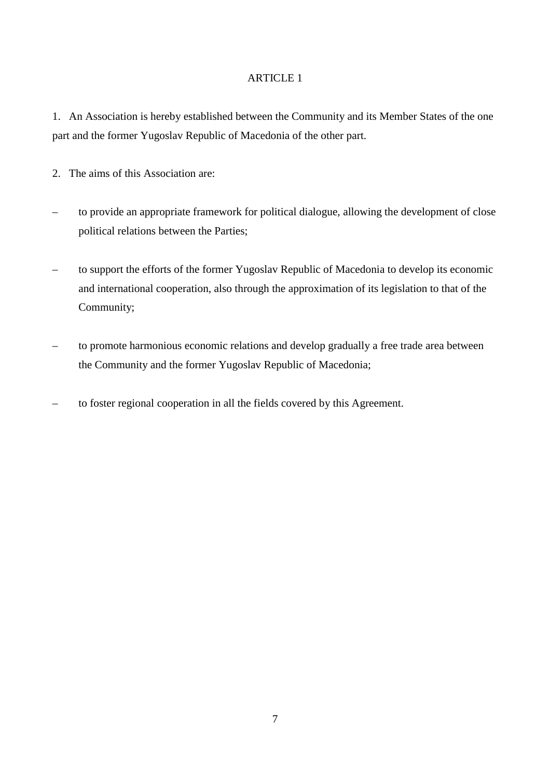1. An Association is hereby established between the Community and its Member States of the one part and the former Yugoslav Republic of Macedonia of the other part.

- 2. The aims of this Association are:
- to provide an appropriate framework for political dialogue, allowing the development of close political relations between the Parties;
- to support the efforts of the former Yugoslav Republic of Macedonia to develop its economic and international cooperation, also through the approximation of its legislation to that of the Community;
- to promote harmonious economic relations and develop gradually a free trade area between the Community and the former Yugoslav Republic of Macedonia;
- to foster regional cooperation in all the fields covered by this Agreement.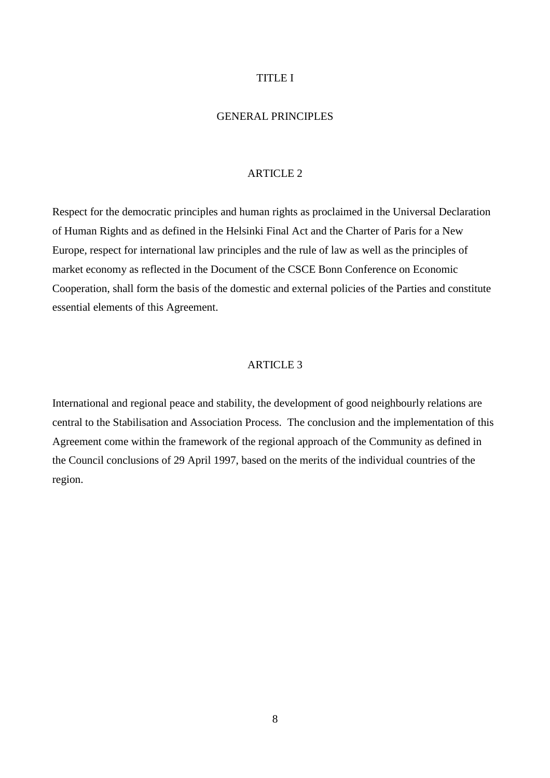### TITLE I

# GENERAL PRINCIPLES

#### ARTICLE 2

Respect for the democratic principles and human rights as proclaimed in the Universal Declaration of Human Rights and as defined in the Helsinki Final Act and the Charter of Paris for a New Europe, respect for international law principles and the rule of law as well as the principles of market economy as reflected in the Document of the CSCE Bonn Conference on Economic Cooperation, shall form the basis of the domestic and external policies of the Parties and constitute essential elements of this Agreement.

#### ARTICLE 3

International and regional peace and stability, the development of good neighbourly relations are central to the Stabilisation and Association Process. The conclusion and the implementation of this Agreement come within the framework of the regional approach of the Community as defined in the Council conclusions of 29 April 1997, based on the merits of the individual countries of the region.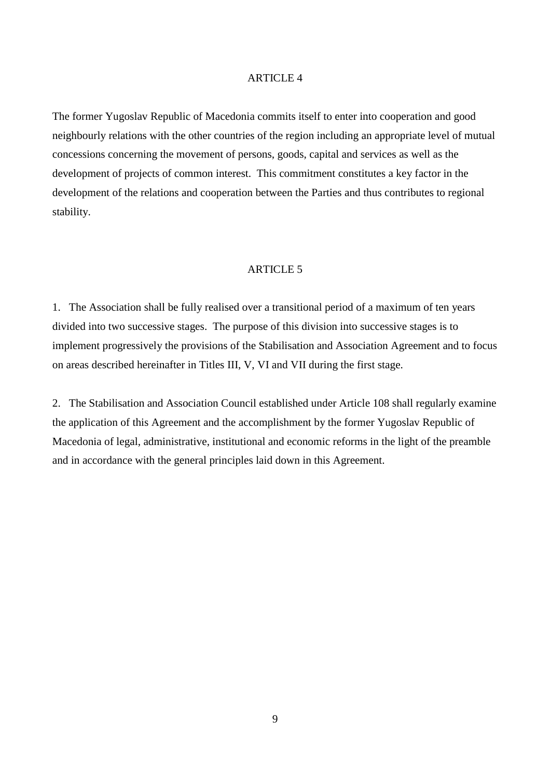The former Yugoslav Republic of Macedonia commits itself to enter into cooperation and good neighbourly relations with the other countries of the region including an appropriate level of mutual concessions concerning the movement of persons, goods, capital and services as well as the development of projects of common interest. This commitment constitutes a key factor in the development of the relations and cooperation between the Parties and thus contributes to regional stability.

# ARTICLE 5

1. The Association shall be fully realised over a transitional period of a maximum of ten years divided into two successive stages. The purpose of this division into successive stages is to implement progressively the provisions of the Stabilisation and Association Agreement and to focus on areas described hereinafter in Titles III, V, VI and VII during the first stage.

2. The Stabilisation and Association Council established under Article 108 shall regularly examine the application of this Agreement and the accomplishment by the former Yugoslav Republic of Macedonia of legal, administrative, institutional and economic reforms in the light of the preamble and in accordance with the general principles laid down in this Agreement.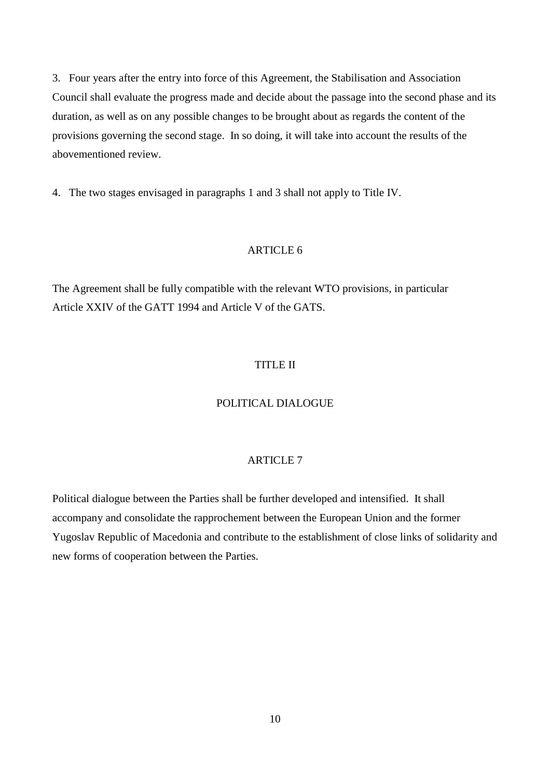3. Four years after the entry into force of this Agreement, the Stabilisation and Association Council shall evaluate the progress made and decide about the passage into the second phase and its duration, as well as on any possible changes to be brought about as regards the content of the provisions governing the second stage. In so doing, it will take into account the results of the abovementioned review.

4. The two stages envisaged in paragraphs 1 and 3 shall not apply to Title IV.

## ARTICLE 6

The Agreement shall be fully compatible with the relevant WTO provisions, in particular Article XXIV of the GATT 1994 and Article V of the GATS.

#### TITLE II

# POLITICAL DIALOGUE

# ARTICLE 7

Political dialogue between the Parties shall be further developed and intensified. It shall accompany and consolidate the rapprochement between the European Union and the former Yugoslav Republic of Macedonia and contribute to the establishment of close links of solidarity and new forms of cooperation between the Parties.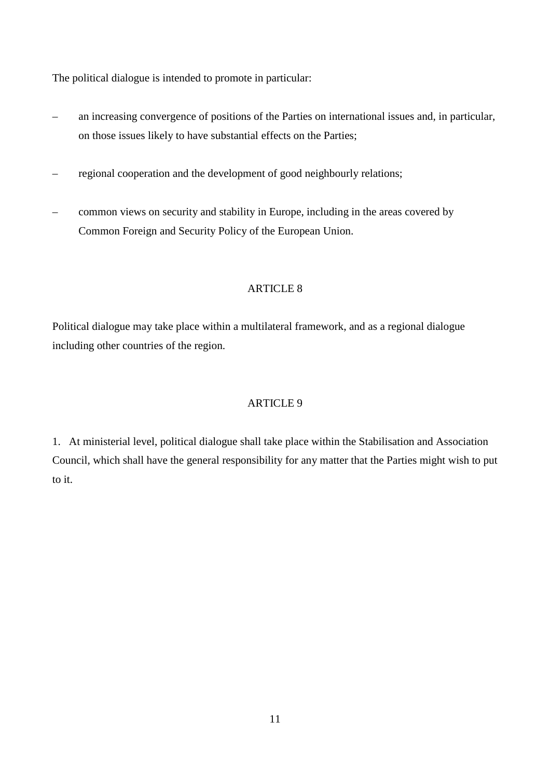The political dialogue is intended to promote in particular:

- an increasing convergence of positions of the Parties on international issues and, in particular, on those issues likely to have substantial effects on the Parties;
- regional cooperation and the development of good neighbourly relations;
- common views on security and stability in Europe, including in the areas covered by Common Foreign and Security Policy of the European Union.

# ARTICLE 8

Political dialogue may take place within a multilateral framework, and as a regional dialogue including other countries of the region.

# ARTICLE 9

1. At ministerial level, political dialogue shall take place within the Stabilisation and Association Council, which shall have the general responsibility for any matter that the Parties might wish to put to it.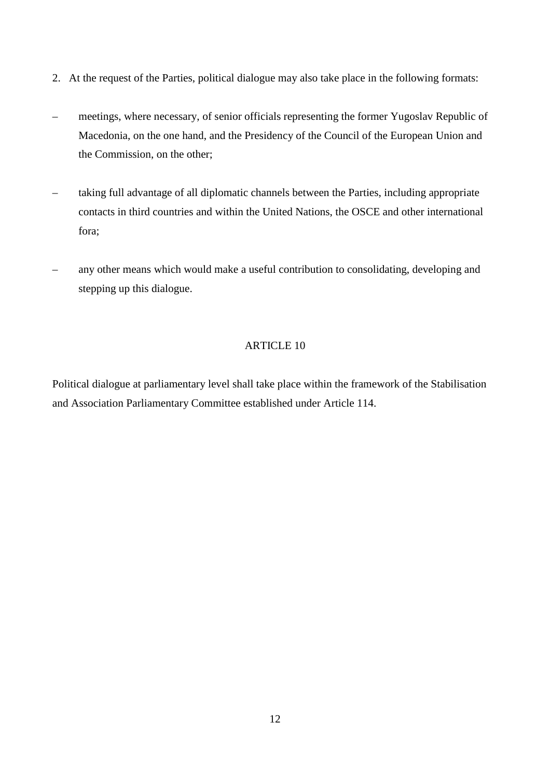- 2. At the request of the Parties, political dialogue may also take place in the following formats:
- meetings, where necessary, of senior officials representing the former Yugoslav Republic of Macedonia, on the one hand, and the Presidency of the Council of the European Union and the Commission, on the other;
- taking full advantage of all diplomatic channels between the Parties, including appropriate contacts in third countries and within the United Nations, the OSCE and other international fora;
- any other means which would make a useful contribution to consolidating, developing and stepping up this dialogue.

Political dialogue at parliamentary level shall take place within the framework of the Stabilisation and Association Parliamentary Committee established under Article 114.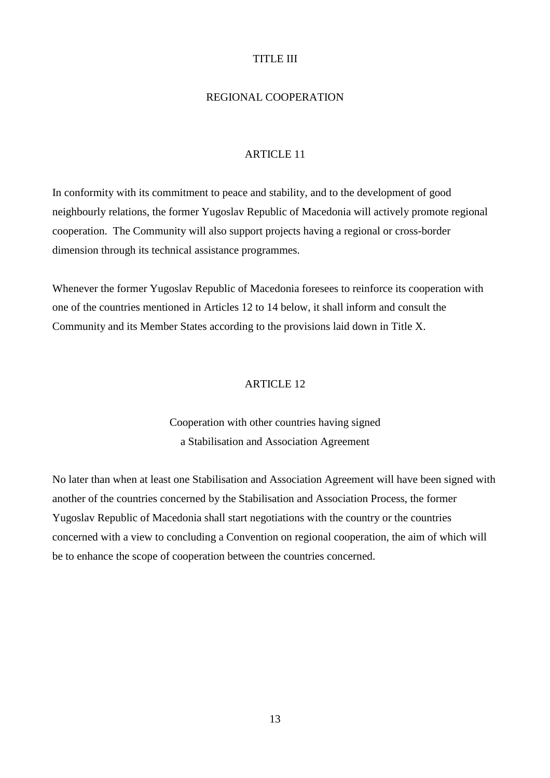# TITLE III

### REGIONAL COOPERATION

#### ARTICLE 11

In conformity with its commitment to peace and stability, and to the development of good neighbourly relations, the former Yugoslav Republic of Macedonia will actively promote regional cooperation. The Community will also support projects having a regional or cross-border dimension through its technical assistance programmes.

Whenever the former Yugoslav Republic of Macedonia foresees to reinforce its cooperation with one of the countries mentioned in Articles 12 to 14 below, it shall inform and consult the Community and its Member States according to the provisions laid down in Title X.

#### ARTICLE 12

# Cooperation with other countries having signed a Stabilisation and Association Agreement

No later than when at least one Stabilisation and Association Agreement will have been signed with another of the countries concerned by the Stabilisation and Association Process, the former Yugoslav Republic of Macedonia shall start negotiations with the country or the countries concerned with a view to concluding a Convention on regional cooperation, the aim of which will be to enhance the scope of cooperation between the countries concerned.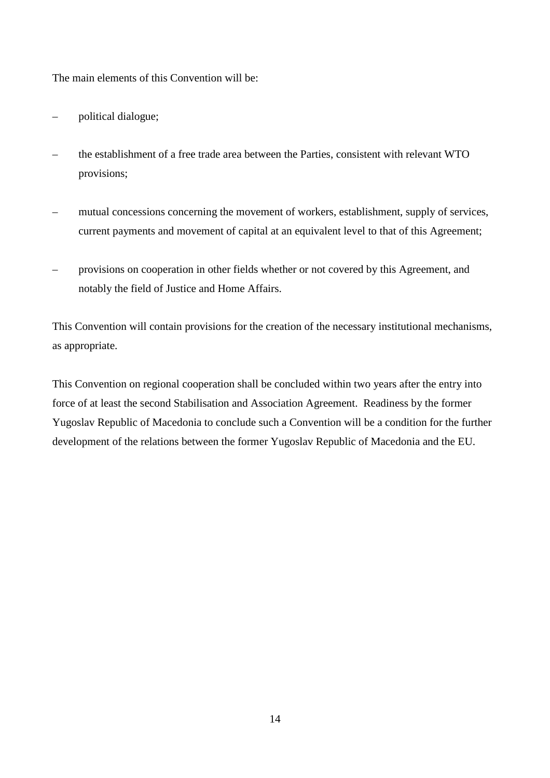The main elements of this Convention will be:

- political dialogue;
- the establishment of a free trade area between the Parties, consistent with relevant WTO provisions;
- mutual concessions concerning the movement of workers, establishment, supply of services, current payments and movement of capital at an equivalent level to that of this Agreement;
- provisions on cooperation in other fields whether or not covered by this Agreement, and notably the field of Justice and Home Affairs.

This Convention will contain provisions for the creation of the necessary institutional mechanisms, as appropriate.

This Convention on regional cooperation shall be concluded within two years after the entry into force of at least the second Stabilisation and Association Agreement. Readiness by the former Yugoslav Republic of Macedonia to conclude such a Convention will be a condition for the further development of the relations between the former Yugoslav Republic of Macedonia and the EU.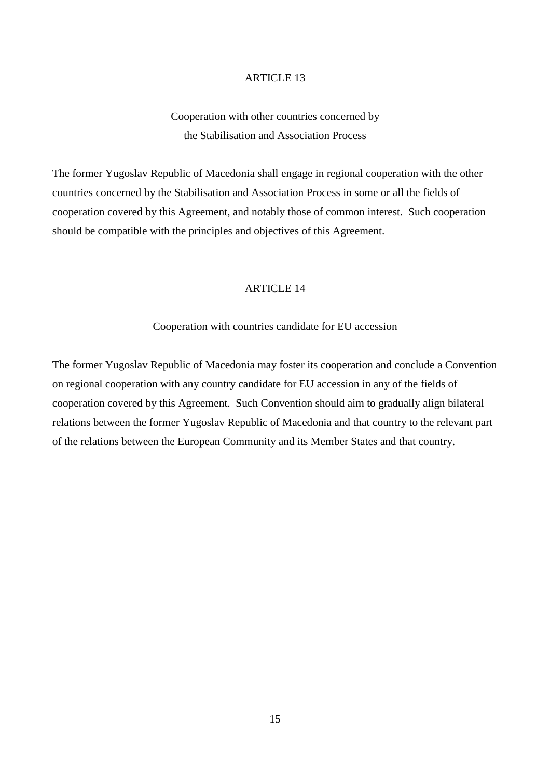Cooperation with other countries concerned by the Stabilisation and Association Process

The former Yugoslav Republic of Macedonia shall engage in regional cooperation with the other countries concerned by the Stabilisation and Association Process in some or all the fields of cooperation covered by this Agreement, and notably those of common interest. Such cooperation should be compatible with the principles and objectives of this Agreement.

## ARTICLE 14

#### Cooperation with countries candidate for EU accession

The former Yugoslav Republic of Macedonia may foster its cooperation and conclude a Convention on regional cooperation with any country candidate for EU accession in any of the fields of cooperation covered by this Agreement. Such Convention should aim to gradually align bilateral relations between the former Yugoslav Republic of Macedonia and that country to the relevant part of the relations between the European Community and its Member States and that country.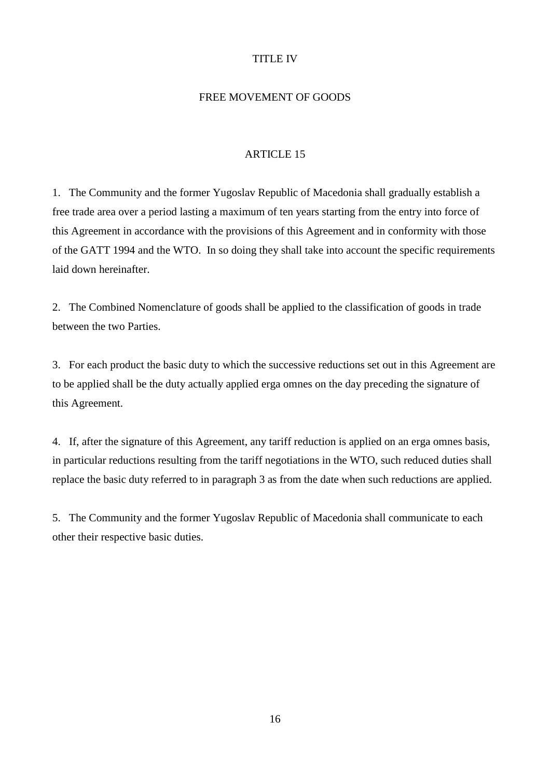# TITLE IV

### FREE MOVEMENT OF GOODS

#### ARTICLE 15

1. The Community and the former Yugoslav Republic of Macedonia shall gradually establish a free trade area over a period lasting a maximum of ten years starting from the entry into force of this Agreement in accordance with the provisions of this Agreement and in conformity with those of the GATT 1994 and the WTO. In so doing they shall take into account the specific requirements laid down hereinafter.

2. The Combined Nomenclature of goods shall be applied to the classification of goods in trade between the two Parties.

3. For each product the basic duty to which the successive reductions set out in this Agreement are to be applied shall be the duty actually applied erga omnes on the day preceding the signature of this Agreement.

4. If, after the signature of this Agreement, any tariff reduction is applied on an erga omnes basis, in particular reductions resulting from the tariff negotiations in the WTO, such reduced duties shall replace the basic duty referred to in paragraph 3 as from the date when such reductions are applied.

5. The Community and the former Yugoslav Republic of Macedonia shall communicate to each other their respective basic duties.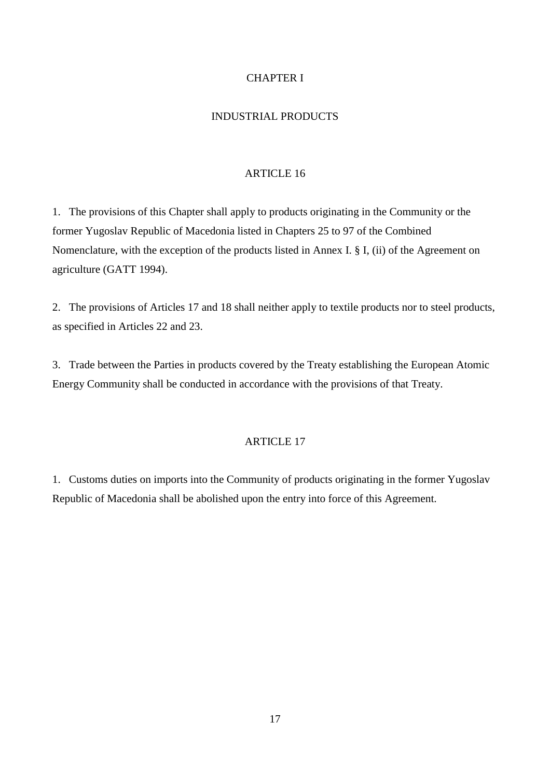# CHAPTER I

# INDUSTRIAL PRODUCTS

## ARTICLE 16

1. The provisions of this Chapter shall apply to products originating in the Community or the former Yugoslav Republic of Macedonia listed in Chapters 25 to 97 of the Combined Nomenclature, with the exception of the products listed in Annex I. § I, (ii) of the Agreement on agriculture (GATT 1994).

2. The provisions of Articles 17 and 18 shall neither apply to textile products nor to steel products, as specified in Articles 22 and 23.

3. Trade between the Parties in products covered by the Treaty establishing the European Atomic Energy Community shall be conducted in accordance with the provisions of that Treaty.

# ARTICLE 17

1. Customs duties on imports into the Community of products originating in the former Yugoslav Republic of Macedonia shall be abolished upon the entry into force of this Agreement.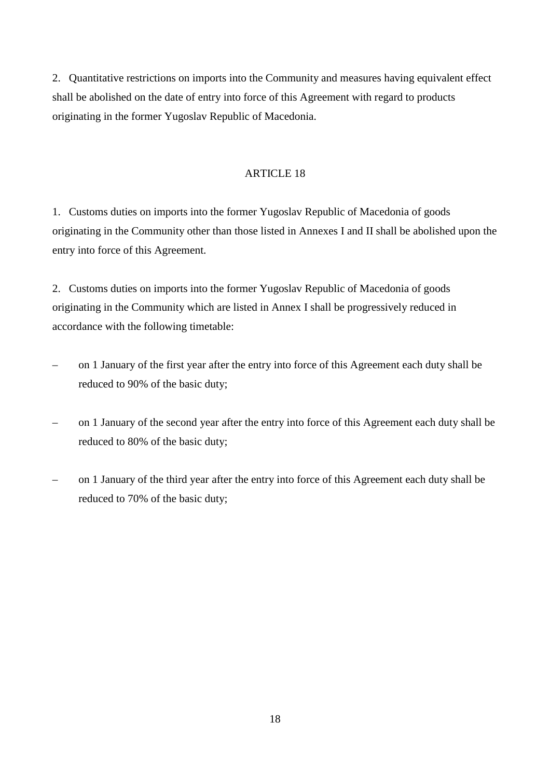2. Quantitative restrictions on imports into the Community and measures having equivalent effect shall be abolished on the date of entry into force of this Agreement with regard to products originating in the former Yugoslav Republic of Macedonia.

# ARTICLE 18

1. Customs duties on imports into the former Yugoslav Republic of Macedonia of goods originating in the Community other than those listed in Annexes I and II shall be abolished upon the entry into force of this Agreement.

2. Customs duties on imports into the former Yugoslav Republic of Macedonia of goods originating in the Community which are listed in Annex I shall be progressively reduced in accordance with the following timetable:

- on 1 January of the first year after the entry into force of this Agreement each duty shall be reduced to 90% of the basic duty;
- on 1 January of the second year after the entry into force of this Agreement each duty shall be reduced to 80% of the basic duty;
- on 1 January of the third year after the entry into force of this Agreement each duty shall be reduced to 70% of the basic duty;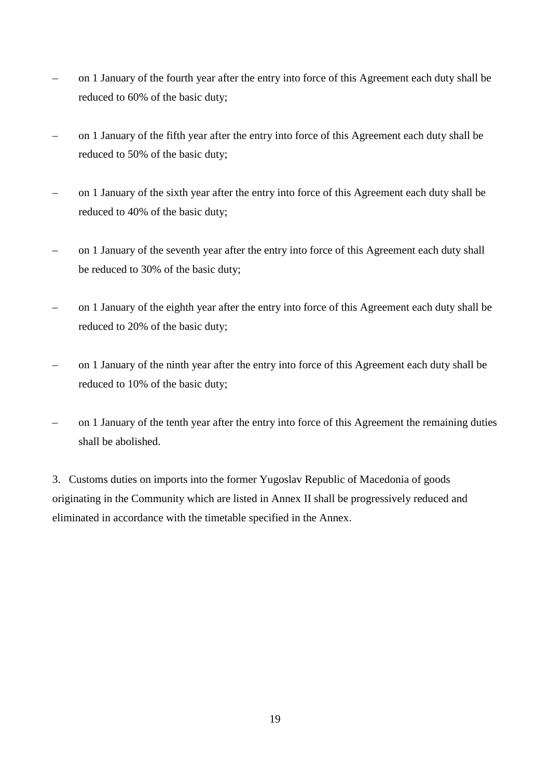- on 1 January of the fourth year after the entry into force of this Agreement each duty shall be reduced to 60% of the basic duty;
- on 1 January of the fifth year after the entry into force of this Agreement each duty shall be reduced to 50% of the basic duty;
- on 1 January of the sixth year after the entry into force of this Agreement each duty shall be reduced to 40% of the basic duty;
- on 1 January of the seventh year after the entry into force of this Agreement each duty shall be reduced to 30% of the basic duty;
- on 1 January of the eighth year after the entry into force of this Agreement each duty shall be reduced to 20% of the basic duty;
- on 1 January of the ninth year after the entry into force of this Agreement each duty shall be reduced to 10% of the basic duty;
- on 1 January of the tenth year after the entry into force of this Agreement the remaining duties shall be abolished.

3. Customs duties on imports into the former Yugoslav Republic of Macedonia of goods originating in the Community which are listed in Annex II shall be progressively reduced and eliminated in accordance with the timetable specified in the Annex.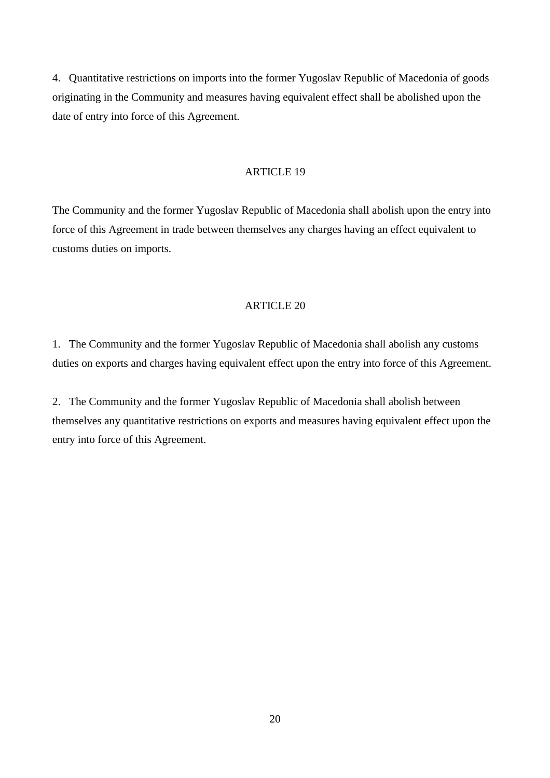4. Quantitative restrictions on imports into the former Yugoslav Republic of Macedonia of goods originating in the Community and measures having equivalent effect shall be abolished upon the date of entry into force of this Agreement.

# ARTICLE 19

The Community and the former Yugoslav Republic of Macedonia shall abolish upon the entry into force of this Agreement in trade between themselves any charges having an effect equivalent to customs duties on imports.

#### ARTICLE 20

1. The Community and the former Yugoslav Republic of Macedonia shall abolish any customs duties on exports and charges having equivalent effect upon the entry into force of this Agreement.

2. The Community and the former Yugoslav Republic of Macedonia shall abolish between themselves any quantitative restrictions on exports and measures having equivalent effect upon the entry into force of this Agreement.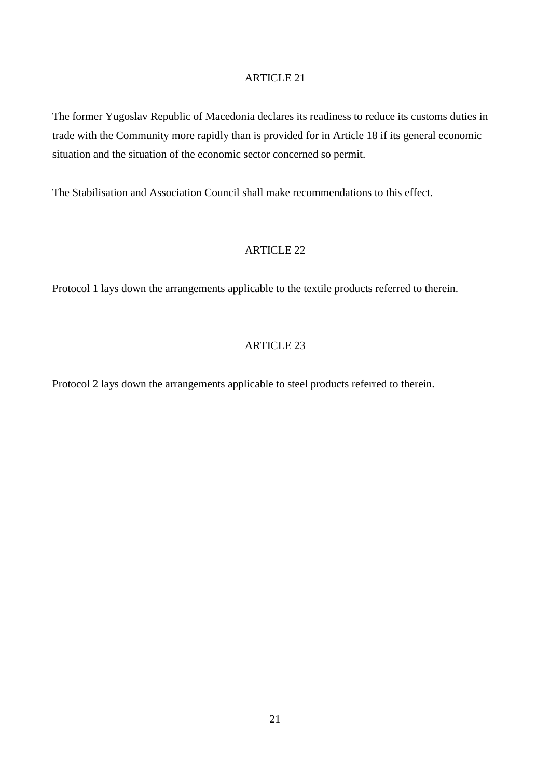The former Yugoslav Republic of Macedonia declares its readiness to reduce its customs duties in trade with the Community more rapidly than is provided for in Article 18 if its general economic situation and the situation of the economic sector concerned so permit.

The Stabilisation and Association Council shall make recommendations to this effect.

# ARTICLE 22

Protocol 1 lays down the arrangements applicable to the textile products referred to therein.

# ARTICLE 23

Protocol 2 lays down the arrangements applicable to steel products referred to therein.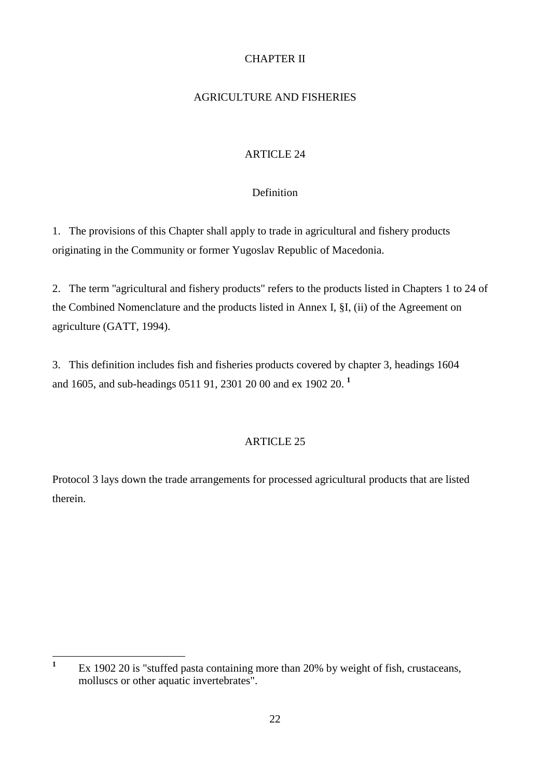# CHAPTER II

# AGRICULTURE AND FISHERIES

# ARTICLE 24

# Definition

1. The provisions of this Chapter shall apply to trade in agricultural and fishery products originating in the Community or former Yugoslav Republic of Macedonia.

2. The term ''agricultural and fishery products" refers to the products listed in Chapters 1 to 24 of the Combined Nomenclature and the products listed in Annex I, §I, (ii) of the Agreement on agriculture (GATT, 1994).

3. This definition includes fish and fisheries products covered by chapter 3, headings 1604 and 1605, and sub-headings 0511 91, 2301 20 00 and ex 1902 20. **<sup>1</sup>**

# ARTICLE 25

Protocol 3 lays down the trade arrangements for processed agricultural products that are listed therein.

**<sup>1</sup>** Ex 1902 20 is "stuffed pasta containing more than 20% by weight of fish, crustaceans, molluscs or other aquatic invertebrates".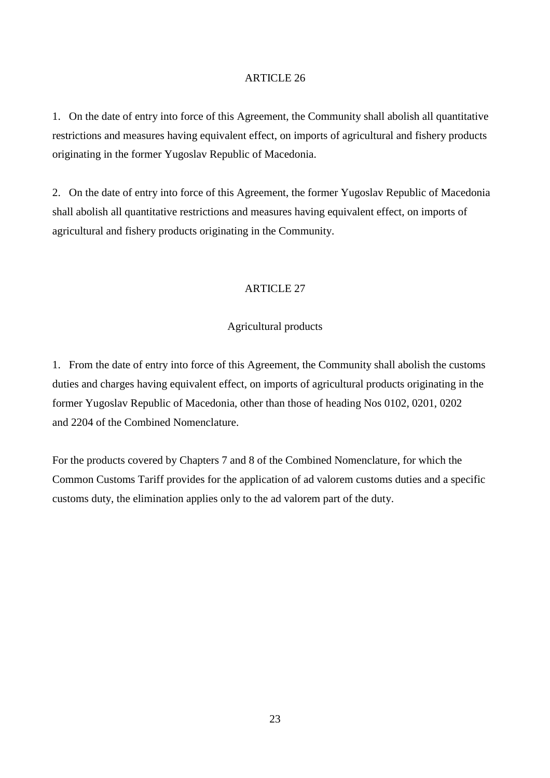1. On the date of entry into force of this Agreement, the Community shall abolish all quantitative restrictions and measures having equivalent effect, on imports of agricultural and fishery products originating in the former Yugoslav Republic of Macedonia.

2. On the date of entry into force of this Agreement, the former Yugoslav Republic of Macedonia shall abolish all quantitative restrictions and measures having equivalent effect, on imports of agricultural and fishery products originating in the Community.

# ARTICLE 27

### Agricultural products

1. From the date of entry into force of this Agreement, the Community shall abolish the customs duties and charges having equivalent effect, on imports of agricultural products originating in the former Yugoslav Republic of Macedonia, other than those of heading Nos 0102, 0201, 0202 and 2204 of the Combined Nomenclature.

For the products covered by Chapters 7 and 8 of the Combined Nomenclature, for which the Common Customs Tariff provides for the application of ad valorem customs duties and a specific customs duty, the elimination applies only to the ad valorem part of the duty.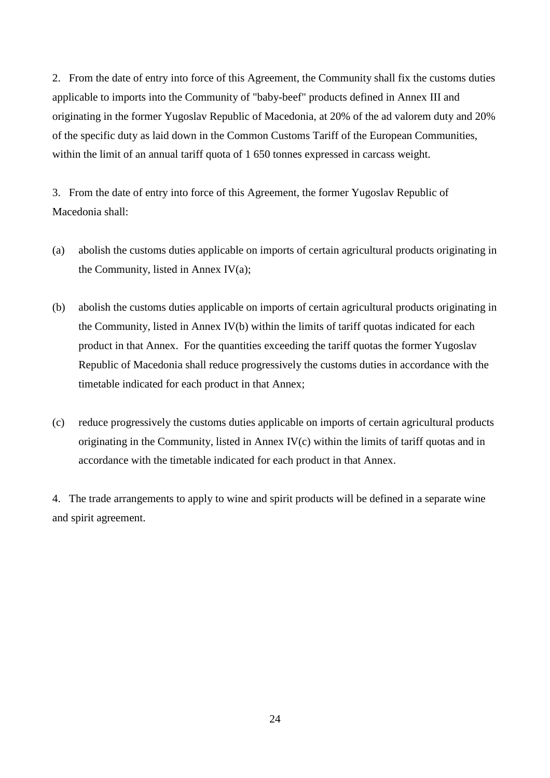2. From the date of entry into force of this Agreement, the Community shall fix the customs duties applicable to imports into the Community of "baby-beef" products defined in Annex III and originating in the former Yugoslav Republic of Macedonia, at 20% of the ad valorem duty and 20% of the specific duty as laid down in the Common Customs Tariff of the European Communities, within the limit of an annual tariff quota of 1 650 tonnes expressed in carcass weight.

3. From the date of entry into force of this Agreement, the former Yugoslav Republic of Macedonia shall:

- (a) abolish the customs duties applicable on imports of certain agricultural products originating in the Community, listed in Annex  $IV(a)$ ;
- (b) abolish the customs duties applicable on imports of certain agricultural products originating in the Community, listed in Annex IV(b) within the limits of tariff quotas indicated for each product in that Annex. For the quantities exceeding the tariff quotas the former Yugoslav Republic of Macedonia shall reduce progressively the customs duties in accordance with the timetable indicated for each product in that Annex;
- (c) reduce progressively the customs duties applicable on imports of certain agricultural products originating in the Community, listed in Annex IV(c) within the limits of tariff quotas and in accordance with the timetable indicated for each product in that Annex.

4. The trade arrangements to apply to wine and spirit products will be defined in a separate wine and spirit agreement.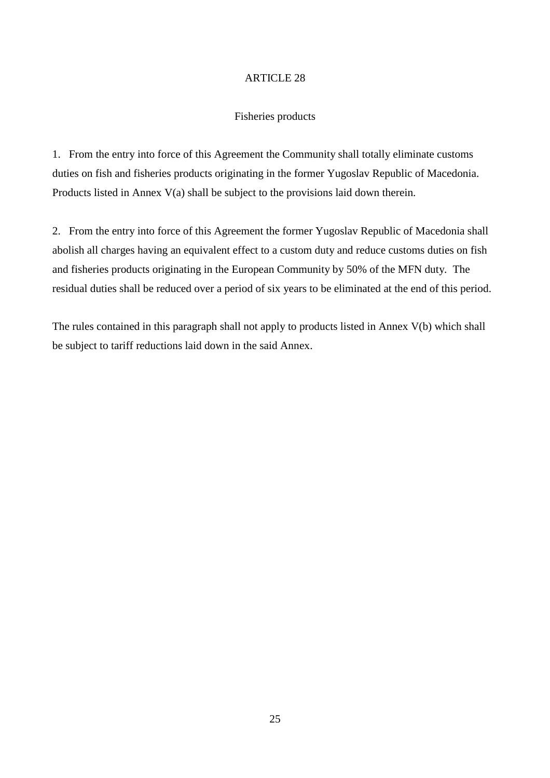# Fisheries products

1. From the entry into force of this Agreement the Community shall totally eliminate customs duties on fish and fisheries products originating in the former Yugoslav Republic of Macedonia. Products listed in Annex V(a) shall be subject to the provisions laid down therein.

2. From the entry into force of this Agreement the former Yugoslav Republic of Macedonia shall abolish all charges having an equivalent effect to a custom duty and reduce customs duties on fish and fisheries products originating in the European Community by 50% of the MFN duty*.* The residual duties shall be reduced over a period of six years to be eliminated at the end of this period.

The rules contained in this paragraph shall not apply to products listed in Annex V(b) which shall be subject to tariff reductions laid down in the said Annex.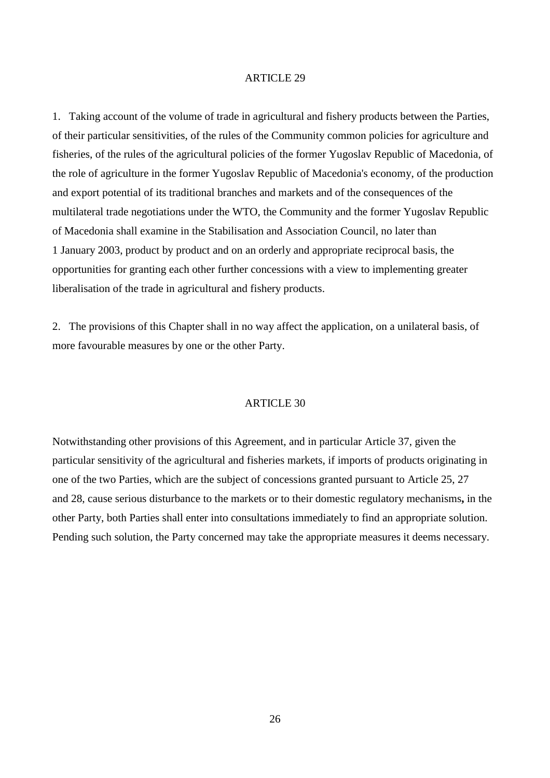1. Taking account of the volume of trade in agricultural and fishery products between the Parties, of their particular sensitivities, of the rules of the Community common policies for agriculture and fisheries, of the rules of the agricultural policies of the former Yugoslav Republic of Macedonia, of the role of agriculture in the former Yugoslav Republic of Macedonia's economy, of the production and export potential of its traditional branches and markets and of the consequences of the multilateral trade negotiations under the WTO, the Community and the former Yugoslav Republic of Macedonia shall examine in the Stabilisation and Association Council, no later than 1 January 2003, product by product and on an orderly and appropriate reciprocal basis, the opportunities for granting each other further concessions with a view to implementing greater liberalisation of the trade in agricultural and fishery products.

2. The provisions of this Chapter shall in no way affect the application, on a unilateral basis, of more favourable measures by one or the other Party.

### ARTICLE 30

Notwithstanding other provisions of this Agreement, and in particular Article 37, given the particular sensitivity of the agricultural and fisheries markets, if imports of products originating in one of the two Parties, which are the subject of concessions granted pursuant to Article 25, 27 and 28, cause serious disturbance to the markets or to their domestic regulatory mechanisms**,** in the other Party, both Parties shall enter into consultations immediately to find an appropriate solution. Pending such solution, the Party concerned may take the appropriate measures it deems necessary.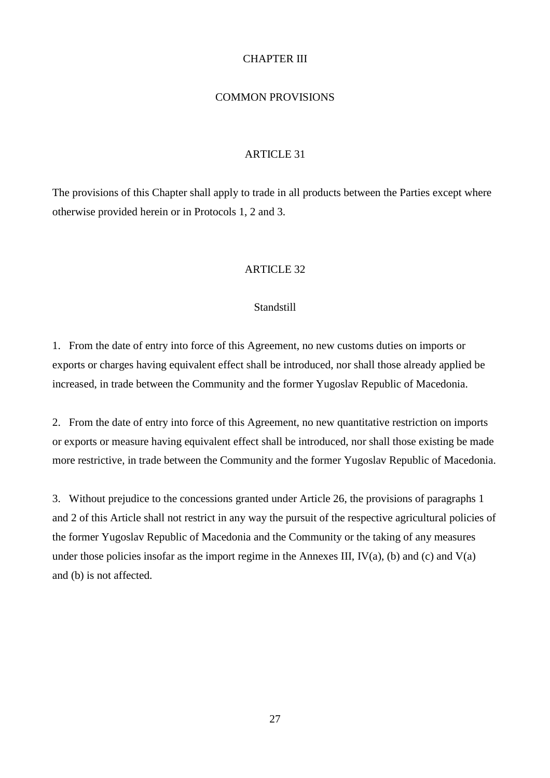# CHAPTER III

### COMMON PROVISIONS

#### ARTICLE 31

The provisions of this Chapter shall apply to trade in all products between the Parties except where otherwise provided herein or in Protocols 1, 2 and 3.

# ARTICLE 32

#### **Standstill**

1. From the date of entry into force of this Agreement, no new customs duties on imports or exports or charges having equivalent effect shall be introduced, nor shall those already applied be increased, in trade between the Community and the former Yugoslav Republic of Macedonia.

2. From the date of entry into force of this Agreement, no new quantitative restriction on imports or exports or measure having equivalent effect shall be introduced, nor shall those existing be made more restrictive, in trade between the Community and the former Yugoslav Republic of Macedonia.

3. Without prejudice to the concessions granted under Article 26, the provisions of paragraphs 1 and 2 of this Article shall not restrict in any way the pursuit of the respective agricultural policies of the former Yugoslav Republic of Macedonia and the Community or the taking of any measures under those policies insofar as the import regime in the Annexes III,  $IV(a)$ , (b) and (c) and  $V(a)$ and (b) is not affected.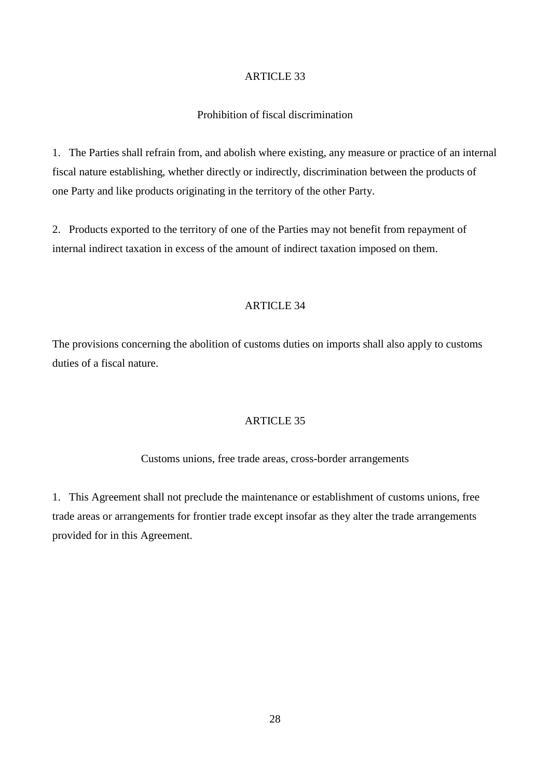# Prohibition of fiscal discrimination

1. The Parties shall refrain from, and abolish where existing, any measure or practice of an internal fiscal nature establishing, whether directly or indirectly, discrimination between the products of one Party and like products originating in the territory of the other Party.

2. Products exported to the territory of one of the Parties may not benefit from repayment of internal indirect taxation in excess of the amount of indirect taxation imposed on them.

# ARTICLE 34

The provisions concerning the abolition of customs duties on imports shall also apply to customs duties of a fiscal nature.

## ARTICLE 35

#### Customs unions, free trade areas, cross-border arrangements

1. This Agreement shall not preclude the maintenance or establishment of customs unions, free trade areas or arrangements for frontier trade except insofar as they alter the trade arrangements provided for in this Agreement.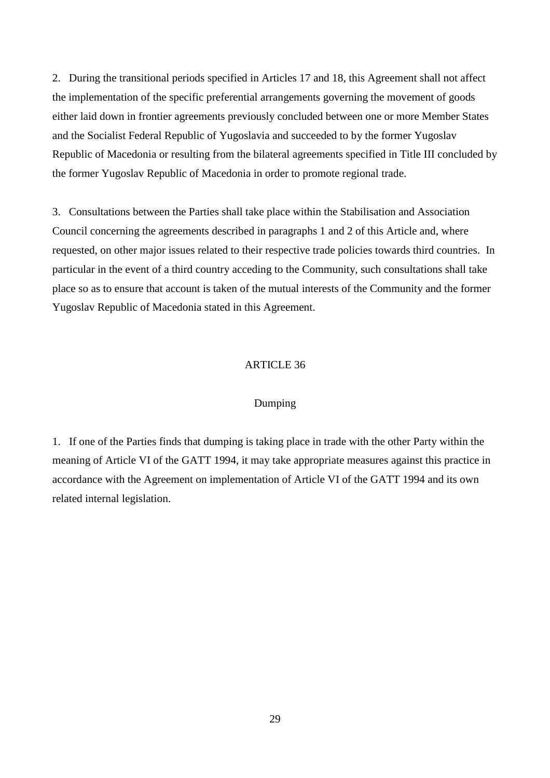2. During the transitional periods specified in Articles 17 and 18, this Agreement shall not affect the implementation of the specific preferential arrangements governing the movement of goods either laid down in frontier agreements previously concluded between one or more Member States and the Socialist Federal Republic of Yugoslavia and succeeded to by the former Yugoslav Republic of Macedonia or resulting from the bilateral agreements specified in Title III concluded by the former Yugoslav Republic of Macedonia in order to promote regional trade.

3. Consultations between the Parties shall take place within the Stabilisation and Association Council concerning the agreements described in paragraphs 1 and 2 of this Article and, where requested, on other major issues related to their respective trade policies towards third countries. In particular in the event of a third country acceding to the Community, such consultations shall take place so as to ensure that account is taken of the mutual interests of the Community and the former Yugoslav Republic of Macedonia stated in this Agreement.

#### ARTICLE 36

# Dumping

1. If one of the Parties finds that dumping is taking place in trade with the other Party within the meaning of Article VI of the GATT 1994, it may take appropriate measures against this practice in accordance with the Agreement on implementation of Article VI of the GATT 1994 and its own related internal legislation.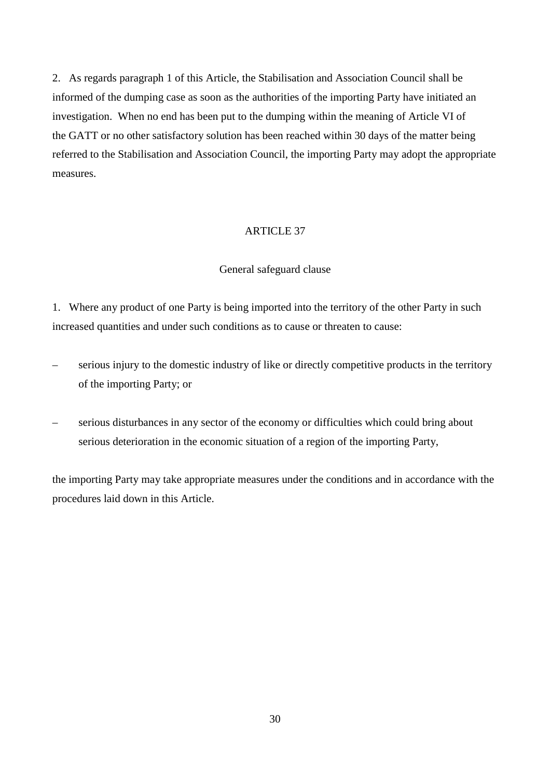2. As regards paragraph 1 of this Article, the Stabilisation and Association Council shall be informed of the dumping case as soon as the authorities of the importing Party have initiated an investigation. When no end has been put to the dumping within the meaning of Article VI of the GATT or no other satisfactory solution has been reached within 30 days of the matter being referred to the Stabilisation and Association Council, the importing Party may adopt the appropriate measures.

### ARTICLE 37

### General safeguard clause

1. Where any product of one Party is being imported into the territory of the other Party in such increased quantities and under such conditions as to cause or threaten to cause:

- serious injury to the domestic industry of like or directly competitive products in the territory of the importing Party; or
- serious disturbances in any sector of the economy or difficulties which could bring about serious deterioration in the economic situation of a region of the importing Party,

the importing Party may take appropriate measures under the conditions and in accordance with the procedures laid down in this Article.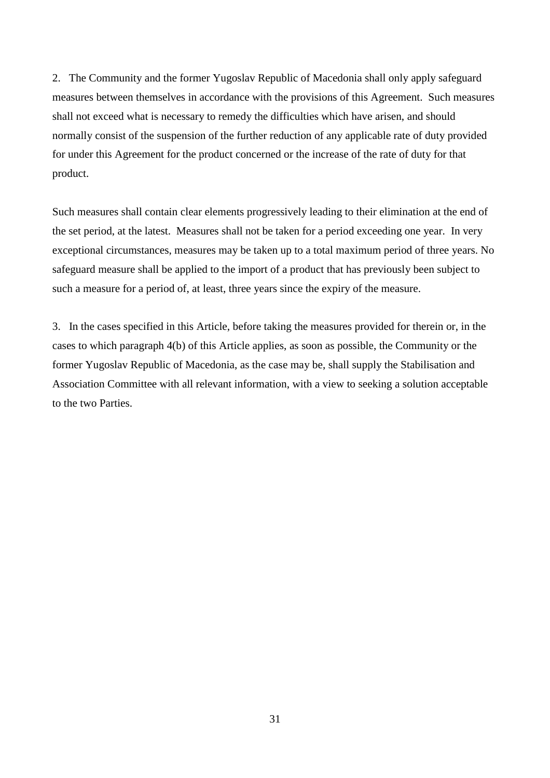2. The Community and the former Yugoslav Republic of Macedonia shall only apply safeguard measures between themselves in accordance with the provisions of this Agreement. Such measures shall not exceed what is necessary to remedy the difficulties which have arisen, and should normally consist of the suspension of the further reduction of any applicable rate of duty provided for under this Agreement for the product concerned or the increase of the rate of duty for that product.

Such measures shall contain clear elements progressively leading to their elimination at the end of the set period, at the latest. Measures shall not be taken for a period exceeding one year. In very exceptional circumstances, measures may be taken up to a total maximum period of three years. No safeguard measure shall be applied to the import of a product that has previously been subject to such a measure for a period of, at least, three years since the expiry of the measure.

3. In the cases specified in this Article, before taking the measures provided for therein or, in the cases to which paragraph 4(b) of this Article applies, as soon as possible, the Community or the former Yugoslav Republic of Macedonia, as the case may be, shall supply the Stabilisation and Association Committee with all relevant information, with a view to seeking a solution acceptable to the two Parties.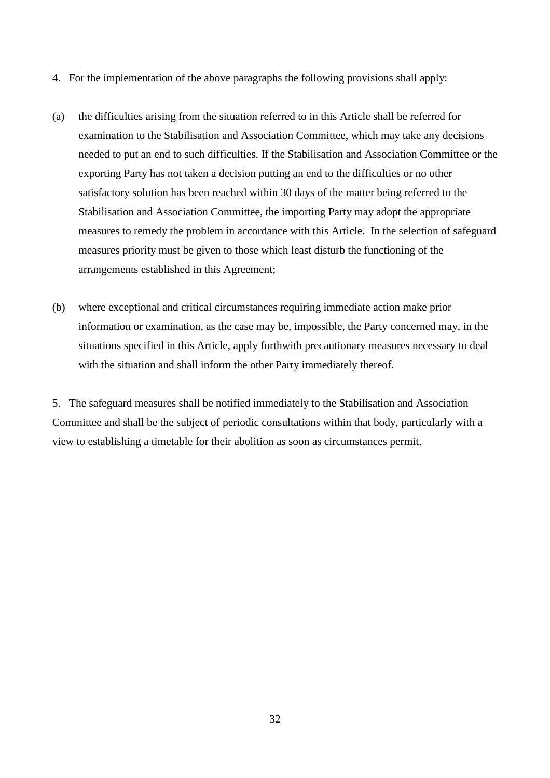- 4. For the implementation of the above paragraphs the following provisions shall apply:
- (a) the difficulties arising from the situation referred to in this Article shall be referred for examination to the Stabilisation and Association Committee, which may take any decisions needed to put an end to such difficulties. If the Stabilisation and Association Committee or the exporting Party has not taken a decision putting an end to the difficulties or no other satisfactory solution has been reached within 30 days of the matter being referred to the Stabilisation and Association Committee, the importing Party may adopt the appropriate measures to remedy the problem in accordance with this Article. In the selection of safeguard measures priority must be given to those which least disturb the functioning of the arrangements established in this Agreement;
- (b) where exceptional and critical circumstances requiring immediate action make prior information or examination, as the case may be, impossible, the Party concerned may, in the situations specified in this Article, apply forthwith precautionary measures necessary to deal with the situation and shall inform the other Party immediately thereof.

5. The safeguard measures shall be notified immediately to the Stabilisation and Association Committee and shall be the subject of periodic consultations within that body, particularly with a view to establishing a timetable for their abolition as soon as circumstances permit.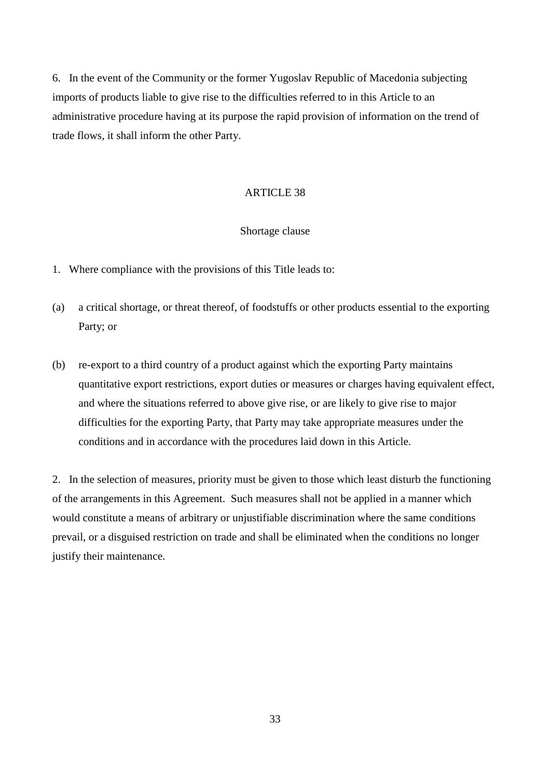6. In the event of the Community or the former Yugoslav Republic of Macedonia subjecting imports of products liable to give rise to the difficulties referred to in this Article to an administrative procedure having at its purpose the rapid provision of information on the trend of trade flows, it shall inform the other Party.

#### **ARTICLE 38**

#### Shortage clause

- 1. Where compliance with the provisions of this Title leads to:
- (a) a critical shortage, or threat thereof, of foodstuffs or other products essential to the exporting Party; or
- (b) re-export to a third country of a product against which the exporting Party maintains quantitative export restrictions, export duties or measures or charges having equivalent effect, and where the situations referred to above give rise, or are likely to give rise to major difficulties for the exporting Party, that Party may take appropriate measures under the conditions and in accordance with the procedures laid down in this Article.

2. In the selection of measures, priority must be given to those which least disturb the functioning of the arrangements in this Agreement. Such measures shall not be applied in a manner which would constitute a means of arbitrary or unjustifiable discrimination where the same conditions prevail, or a disguised restriction on trade and shall be eliminated when the conditions no longer justify their maintenance.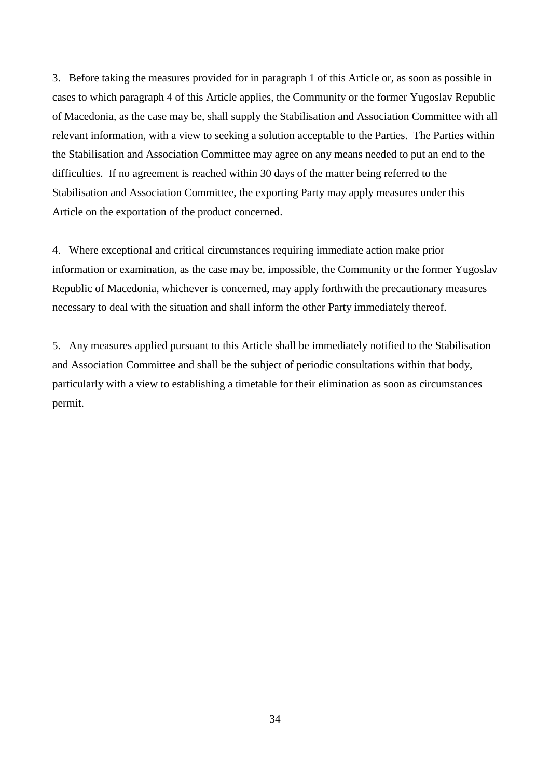3. Before taking the measures provided for in paragraph 1 of this Article or, as soon as possible in cases to which paragraph 4 of this Article applies, the Community or the former Yugoslav Republic of Macedonia, as the case may be, shall supply the Stabilisation and Association Committee with all relevant information, with a view to seeking a solution acceptable to the Parties. The Parties within the Stabilisation and Association Committee may agree on any means needed to put an end to the difficulties. If no agreement is reached within 30 days of the matter being referred to the Stabilisation and Association Committee, the exporting Party may apply measures under this Article on the exportation of the product concerned.

4. Where exceptional and critical circumstances requiring immediate action make prior information or examination, as the case may be, impossible, the Community or the former Yugoslav Republic of Macedonia, whichever is concerned, may apply forthwith the precautionary measures necessary to deal with the situation and shall inform the other Party immediately thereof.

5. Any measures applied pursuant to this Article shall be immediately notified to the Stabilisation and Association Committee and shall be the subject of periodic consultations within that body, particularly with a view to establishing a timetable for their elimination as soon as circumstances permit.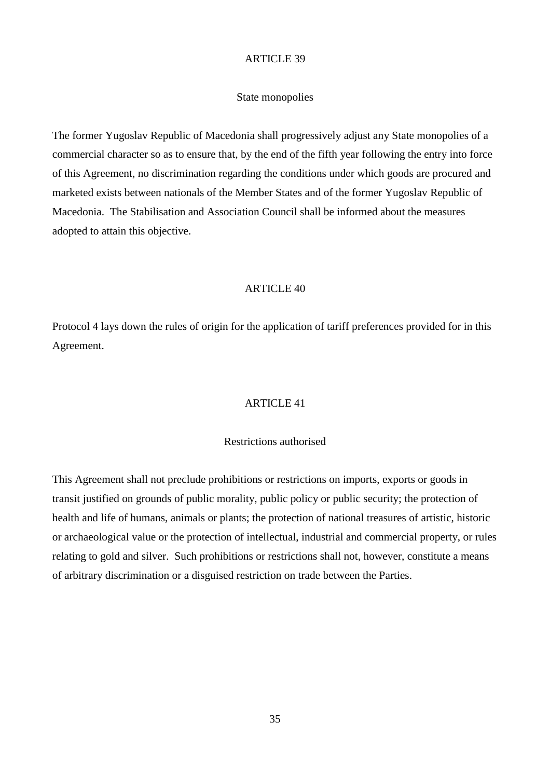### State monopolies

The former Yugoslav Republic of Macedonia shall progressively adjust any State monopolies of a commercial character so as to ensure that, by the end of the fifth year following the entry into force of this Agreement, no discrimination regarding the conditions under which goods are procured and marketed exists between nationals of the Member States and of the former Yugoslav Republic of Macedonia. The Stabilisation and Association Council shall be informed about the measures adopted to attain this objective.

# ARTICLE 40

Protocol 4 lays down the rules of origin for the application of tariff preferences provided for in this Agreement.

### ARTICLE 41

# Restrictions authorised

This Agreement shall not preclude prohibitions or restrictions on imports, exports or goods in transit justified on grounds of public morality, public policy or public security; the protection of health and life of humans, animals or plants; the protection of national treasures of artistic, historic or archaeological value or the protection of intellectual, industrial and commercial property, or rules relating to gold and silver. Such prohibitions or restrictions shall not, however, constitute a means of arbitrary discrimination or a disguised restriction on trade between the Parties.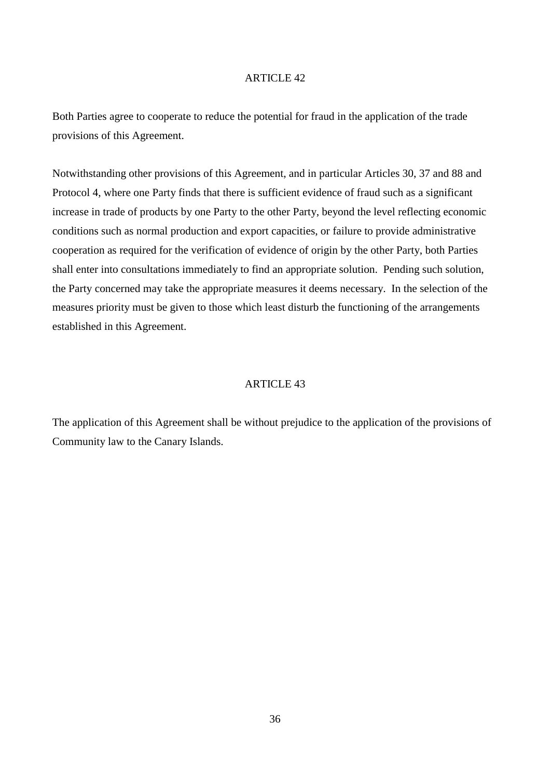Both Parties agree to cooperate to reduce the potential for fraud in the application of the trade provisions of this Agreement.

Notwithstanding other provisions of this Agreement, and in particular Articles 30, 37 and 88 and Protocol 4, where one Party finds that there is sufficient evidence of fraud such as a significant increase in trade of products by one Party to the other Party, beyond the level reflecting economic conditions such as normal production and export capacities, or failure to provide administrative cooperation as required for the verification of evidence of origin by the other Party, both Parties shall enter into consultations immediately to find an appropriate solution. Pending such solution, the Party concerned may take the appropriate measures it deems necessary. In the selection of the measures priority must be given to those which least disturb the functioning of the arrangements established in this Agreement.

#### ARTICLE 43

The application of this Agreement shall be without prejudice to the application of the provisions of Community law to the Canary Islands.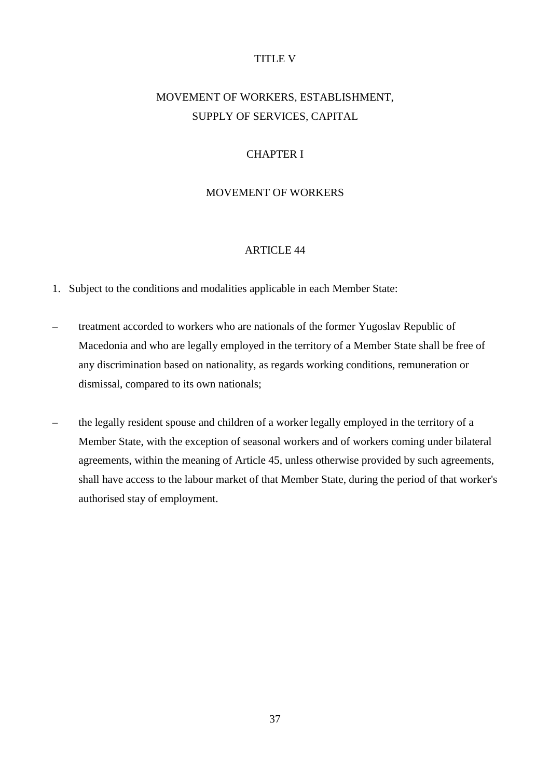### TITLE V

# MOVEMENT OF WORKERS, ESTABLISHMENT, SUPPLY OF SERVICES, CAPITAL

# CHAPTER I

### MOVEMENT OF WORKERS

### ARTICLE 44

- 1. Subject to the conditions and modalities applicable in each Member State:
- treatment accorded to workers who are nationals of the former Yugoslav Republic of Macedonia and who are legally employed in the territory of a Member State shall be free of any discrimination based on nationality, as regards working conditions, remuneration or dismissal, compared to its own nationals;
- the legally resident spouse and children of a worker legally employed in the territory of a Member State, with the exception of seasonal workers and of workers coming under bilateral agreements, within the meaning of Article 45, unless otherwise provided by such agreements, shall have access to the labour market of that Member State, during the period of that worker's authorised stay of employment.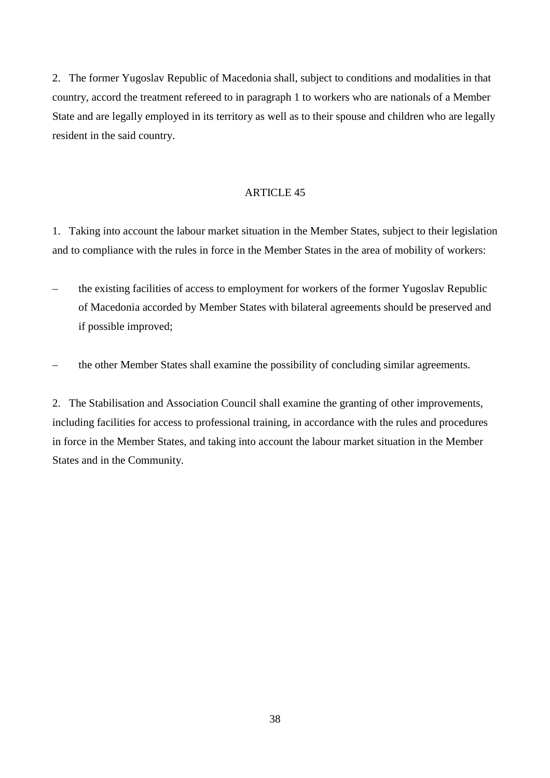2. The former Yugoslav Republic of Macedonia shall, subject to conditions and modalities in that country, accord the treatment refereed to in paragraph 1 to workers who are nationals of a Member State and are legally employed in its territory as well as to their spouse and children who are legally resident in the said country.

### ARTICLE 45

1. Taking into account the labour market situation in the Member States, subject to their legislation and to compliance with the rules in force in the Member States in the area of mobility of workers:

- the existing facilities of access to employment for workers of the former Yugoslav Republic of Macedonia accorded by Member States with bilateral agreements should be preserved and if possible improved;
- the other Member States shall examine the possibility of concluding similar agreements.

2. The Stabilisation and Association Council shall examine the granting of other improvements, including facilities for access to professional training, in accordance with the rules and procedures in force in the Member States, and taking into account the labour market situation in the Member States and in the Community.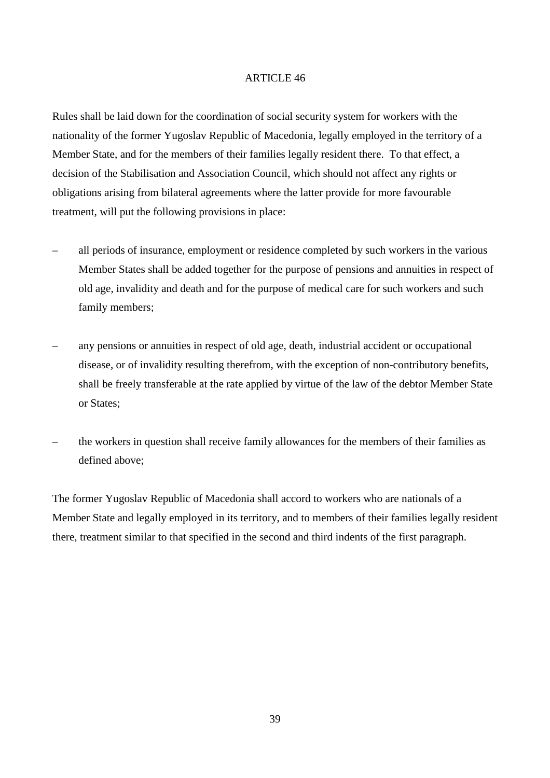Rules shall be laid down for the coordination of social security system for workers with the nationality of the former Yugoslav Republic of Macedonia, legally employed in the territory of a Member State, and for the members of their families legally resident there. To that effect, a decision of the Stabilisation and Association Council, which should not affect any rights or obligations arising from bilateral agreements where the latter provide for more favourable treatment, will put the following provisions in place:

- all periods of insurance, employment or residence completed by such workers in the various Member States shall be added together for the purpose of pensions and annuities in respect of old age, invalidity and death and for the purpose of medical care for such workers and such family members;
- any pensions or annuities in respect of old age, death, industrial accident or occupational disease, or of invalidity resulting therefrom, with the exception of non-contributory benefits, shall be freely transferable at the rate applied by virtue of the law of the debtor Member State or States;
- the workers in question shall receive family allowances for the members of their families as defined above;

The former Yugoslav Republic of Macedonia shall accord to workers who are nationals of a Member State and legally employed in its territory, and to members of their families legally resident there, treatment similar to that specified in the second and third indents of the first paragraph.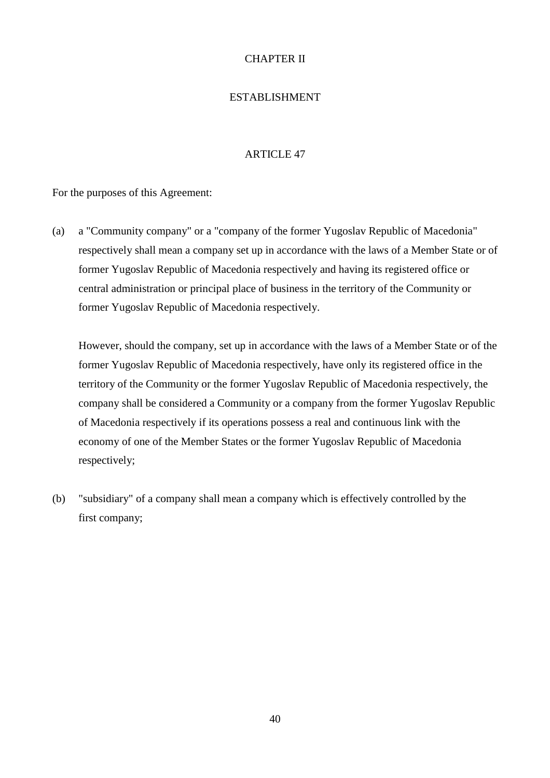# CHAPTER II

# ESTABLISHMENT

# ARTICLE 47

For the purposes of this Agreement:

(a) a "Community company" or a "company of the former Yugoslav Republic of Macedonia" respectively shall mean a company set up in accordance with the laws of a Member State or of former Yugoslav Republic of Macedonia respectively and having its registered office or central administration or principal place of business in the territory of the Community or former Yugoslav Republic of Macedonia respectively.

However, should the company, set up in accordance with the laws of a Member State or of the former Yugoslav Republic of Macedonia respectively, have only its registered office in the territory of the Community or the former Yugoslav Republic of Macedonia respectively, the company shall be considered a Community or a company from the former Yugoslav Republic of Macedonia respectively if its operations possess a real and continuous link with the economy of one of the Member States or the former Yugoslav Republic of Macedonia respectively;

(b) "subsidiary" of a company shall mean a company which is effectively controlled by the first company;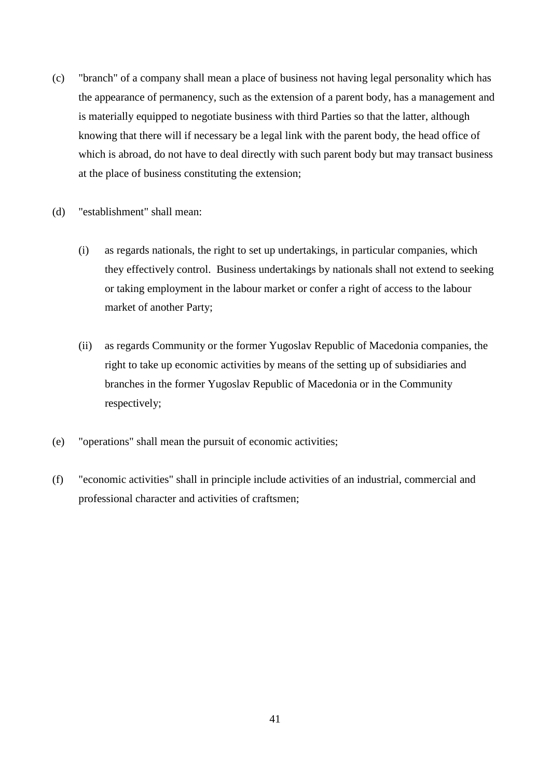- (c) "branch" of a company shall mean a place of business not having legal personality which has the appearance of permanency, such as the extension of a parent body, has a management and is materially equipped to negotiate business with third Parties so that the latter, although knowing that there will if necessary be a legal link with the parent body, the head office of which is abroad, do not have to deal directly with such parent body but may transact business at the place of business constituting the extension;
- (d) "establishment" shall mean:
	- (i) as regards nationals, the right to set up undertakings, in particular companies, which they effectively control. Business undertakings by nationals shall not extend to seeking or taking employment in the labour market or confer a right of access to the labour market of another Party;
	- (ii) as regards Community or the former Yugoslav Republic of Macedonia companies, the right to take up economic activities by means of the setting up of subsidiaries and branches in the former Yugoslav Republic of Macedonia or in the Community respectively;
- (e) "operations" shall mean the pursuit of economic activities;
- (f) "economic activities" shall in principle include activities of an industrial, commercial and professional character and activities of craftsmen;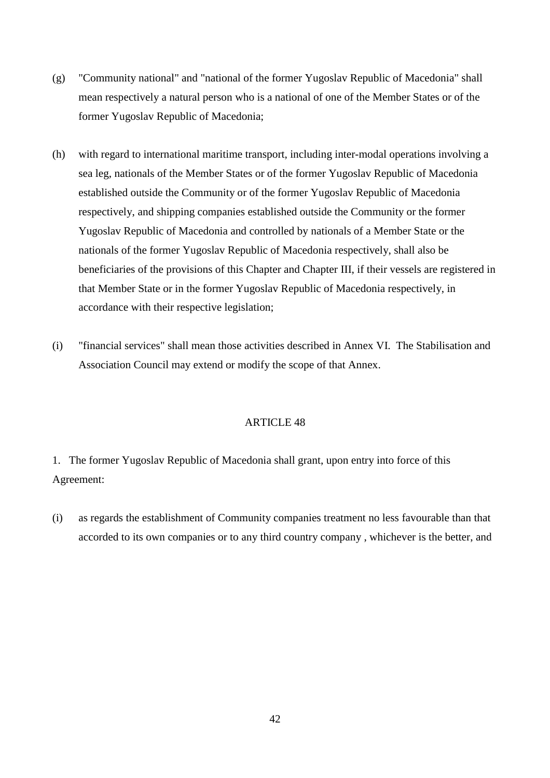- (g) "Community national" and "national of the former Yugoslav Republic of Macedonia" shall mean respectively a natural person who is a national of one of the Member States or of the former Yugoslav Republic of Macedonia;
- (h) with regard to international maritime transport, including inter-modal operations involving a sea leg, nationals of the Member States or of the former Yugoslav Republic of Macedonia established outside the Community or of the former Yugoslav Republic of Macedonia respectively, and shipping companies established outside the Community or the former Yugoslav Republic of Macedonia and controlled by nationals of a Member State or the nationals of the former Yugoslav Republic of Macedonia respectively, shall also be beneficiaries of the provisions of this Chapter and Chapter III, if their vessels are registered in that Member State or in the former Yugoslav Republic of Macedonia respectively, in accordance with their respective legislation;
- (i) "financial services" shall mean those activities described in Annex VI. The Stabilisation and Association Council may extend or modify the scope of that Annex.

1. The former Yugoslav Republic of Macedonia shall grant, upon entry into force of this Agreement:

(i) as regards the establishment of Community companies treatment no less favourable than that accorded to its own companies or to any third country company , whichever is the better, and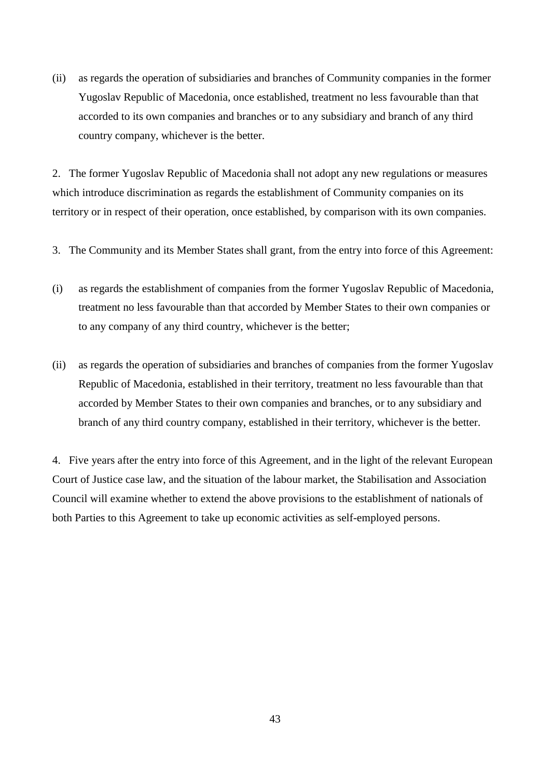(ii) as regards the operation of subsidiaries and branches of Community companies in the former Yugoslav Republic of Macedonia, once established, treatment no less favourable than that accorded to its own companies and branches or to any subsidiary and branch of any third country company, whichever is the better.

2. The former Yugoslav Republic of Macedonia shall not adopt any new regulations or measures which introduce discrimination as regards the establishment of Community companies on its territory or in respect of their operation, once established, by comparison with its own companies.

- 3. The Community and its Member States shall grant, from the entry into force of this Agreement:
- (i) as regards the establishment of companies from the former Yugoslav Republic of Macedonia, treatment no less favourable than that accorded by Member States to their own companies or to any company of any third country, whichever is the better;
- (ii) as regards the operation of subsidiaries and branches of companies from the former Yugoslav Republic of Macedonia, established in their territory, treatment no less favourable than that accorded by Member States to their own companies and branches, or to any subsidiary and branch of any third country company, established in their territory, whichever is the better.

4. Five years after the entry into force of this Agreement, and in the light of the relevant European Court of Justice case law, and the situation of the labour market, the Stabilisation and Association Council will examine whether to extend the above provisions to the establishment of nationals of both Parties to this Agreement to take up economic activities as self-employed persons.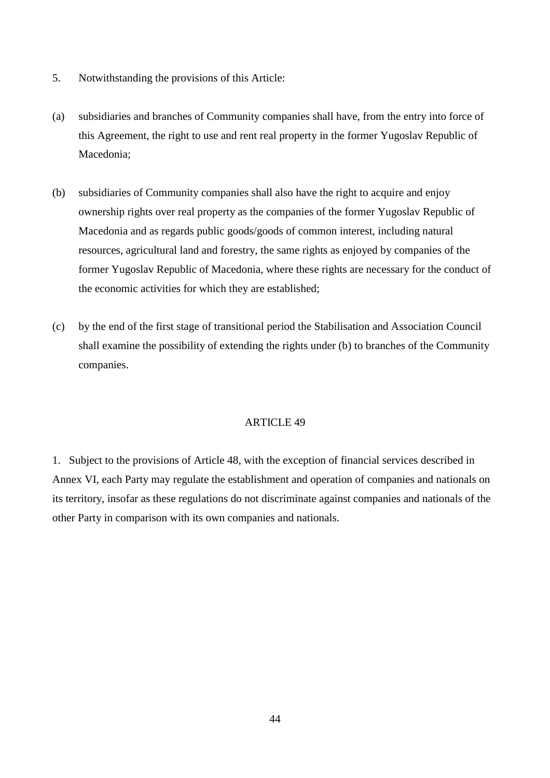- 5. Notwithstanding the provisions of this Article:
- (a) subsidiaries and branches of Community companies shall have, from the entry into force of this Agreement, the right to use and rent real property in the former Yugoslav Republic of Macedonia;
- (b) subsidiaries of Community companies shall also have the right to acquire and enjoy ownership rights over real property as the companies of the former Yugoslav Republic of Macedonia and as regards public goods/goods of common interest, including natural resources, agricultural land and forestry, the same rights as enjoyed by companies of the former Yugoslav Republic of Macedonia, where these rights are necessary for the conduct of the economic activities for which they are established;
- (c) by the end of the first stage of transitional period the Stabilisation and Association Council shall examine the possibility of extending the rights under (b) to branches of the Community companies.

1. Subject to the provisions of Article 48, with the exception of financial services described in Annex VI, each Party may regulate the establishment and operation of companies and nationals on its territory, insofar as these regulations do not discriminate against companies and nationals of the other Party in comparison with its own companies and nationals.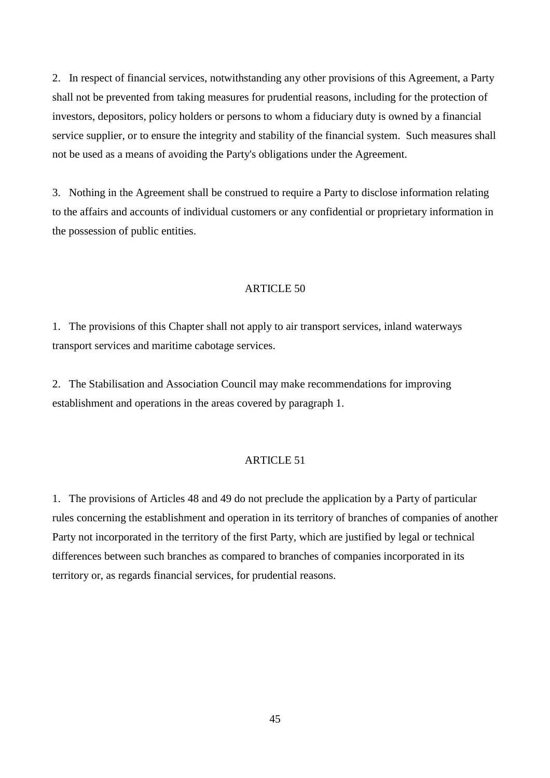2. In respect of financial services, notwithstanding any other provisions of this Agreement, a Party shall not be prevented from taking measures for prudential reasons, including for the protection of investors, depositors, policy holders or persons to whom a fiduciary duty is owned by a financial service supplier, or to ensure the integrity and stability of the financial system. Such measures shall not be used as a means of avoiding the Party's obligations under the Agreement.

3. Nothing in the Agreement shall be construed to require a Party to disclose information relating to the affairs and accounts of individual customers or any confidential or proprietary information in the possession of public entities.

### ARTICLE 50

1. The provisions of this Chapter shall not apply to air transport services, inland waterways transport services and maritime cabotage services.

2. The Stabilisation and Association Council may make recommendations for improving establishment and operations in the areas covered by paragraph 1.

### ARTICLE 51

1. The provisions of Articles 48 and 49 do not preclude the application by a Party of particular rules concerning the establishment and operation in its territory of branches of companies of another Party not incorporated in the territory of the first Party, which are justified by legal or technical differences between such branches as compared to branches of companies incorporated in its territory or, as regards financial services, for prudential reasons.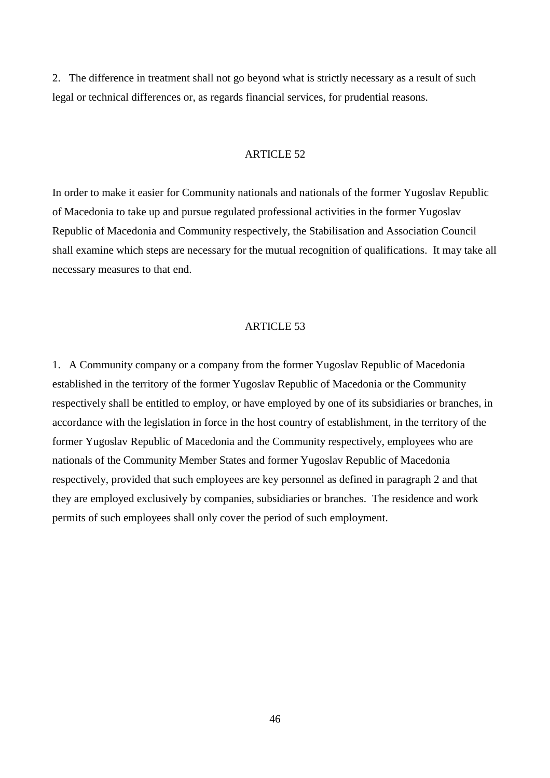2. The difference in treatment shall not go beyond what is strictly necessary as a result of such legal or technical differences or, as regards financial services, for prudential reasons.

#### ARTICLE 52

In order to make it easier for Community nationals and nationals of the former Yugoslav Republic of Macedonia to take up and pursue regulated professional activities in the former Yugoslav Republic of Macedonia and Community respectively, the Stabilisation and Association Council shall examine which steps are necessary for the mutual recognition of qualifications. It may take all necessary measures to that end.

#### ARTICLE 53

1. A Community company or a company from the former Yugoslav Republic of Macedonia established in the territory of the former Yugoslav Republic of Macedonia or the Community respectively shall be entitled to employ, or have employed by one of its subsidiaries or branches, in accordance with the legislation in force in the host country of establishment, in the territory of the former Yugoslav Republic of Macedonia and the Community respectively, employees who are nationals of the Community Member States and former Yugoslav Republic of Macedonia respectively, provided that such employees are key personnel as defined in paragraph 2 and that they are employed exclusively by companies, subsidiaries or branches. The residence and work permits of such employees shall only cover the period of such employment.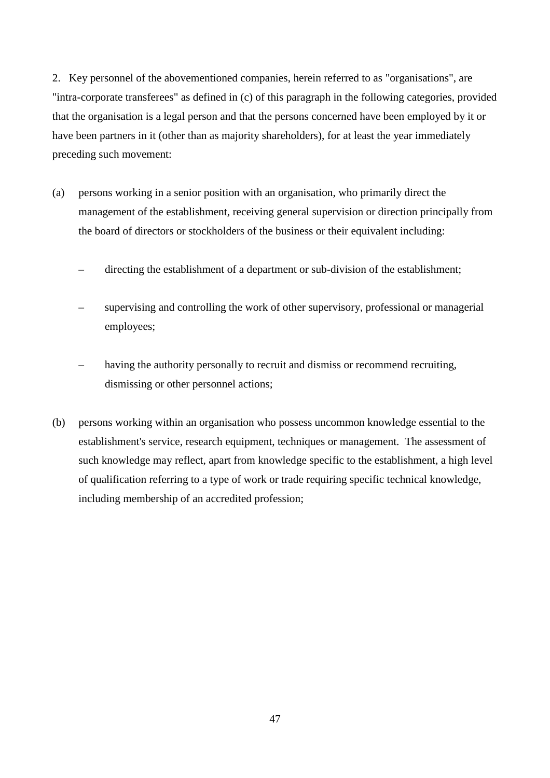2. Key personnel of the abovementioned companies, herein referred to as "organisations", are "intra-corporate transferees" as defined in (c) of this paragraph in the following categories, provided that the organisation is a legal person and that the persons concerned have been employed by it or have been partners in it (other than as majority shareholders), for at least the year immediately preceding such movement:

- (a) persons working in a senior position with an organisation, who primarily direct the management of the establishment, receiving general supervision or direction principally from the board of directors or stockholders of the business or their equivalent including:
	- directing the establishment of a department or sub-division of the establishment;
	- supervising and controlling the work of other supervisory, professional or managerial employees;
	- having the authority personally to recruit and dismiss or recommend recruiting, dismissing or other personnel actions;
- (b) persons working within an organisation who possess uncommon knowledge essential to the establishment's service, research equipment, techniques or management. The assessment of such knowledge may reflect, apart from knowledge specific to the establishment, a high level of qualification referring to a type of work or trade requiring specific technical knowledge, including membership of an accredited profession;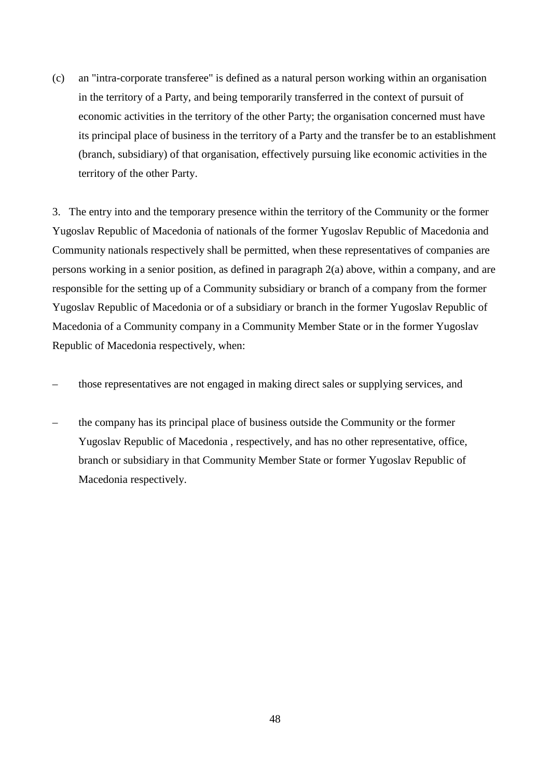(c) an "intra-corporate transferee" is defined as a natural person working within an organisation in the territory of a Party, and being temporarily transferred in the context of pursuit of economic activities in the territory of the other Party; the organisation concerned must have its principal place of business in the territory of a Party and the transfer be to an establishment (branch, subsidiary) of that organisation, effectively pursuing like economic activities in the territory of the other Party.

3. The entry into and the temporary presence within the territory of the Community or the former Yugoslav Republic of Macedonia of nationals of the former Yugoslav Republic of Macedonia and Community nationals respectively shall be permitted, when these representatives of companies are persons working in a senior position, as defined in paragraph 2(a) above, within a company, and are responsible for the setting up of a Community subsidiary or branch of a company from the former Yugoslav Republic of Macedonia or of a subsidiary or branch in the former Yugoslav Republic of Macedonia of a Community company in a Community Member State or in the former Yugoslav Republic of Macedonia respectively, when:

- those representatives are not engaged in making direct sales or supplying services, and
- the company has its principal place of business outside the Community or the former Yugoslav Republic of Macedonia , respectively, and has no other representative, office, branch or subsidiary in that Community Member State or former Yugoslav Republic of Macedonia respectively.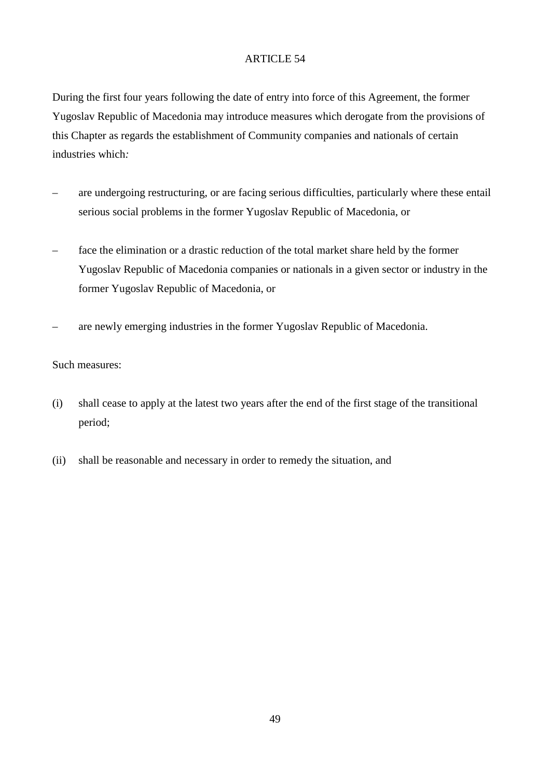During the first four years following the date of entry into force of this Agreement, the former Yugoslav Republic of Macedonia may introduce measures which derogate from the provisions of this Chapter as regards the establishment of Community companies and nationals of certain industries which*:*

- are undergoing restructuring, or are facing serious difficulties, particularly where these entail serious social problems in the former Yugoslav Republic of Macedonia, or
- face the elimination or a drastic reduction of the total market share held by the former Yugoslav Republic of Macedonia companies or nationals in a given sector or industry in the former Yugoslav Republic of Macedonia, or
- are newly emerging industries in the former Yugoslav Republic of Macedonia.

# Such measures:

- (i) shall cease to apply at the latest two years after the end of the first stage of the transitional period;
- (ii) shall be reasonable and necessary in order to remedy the situation, and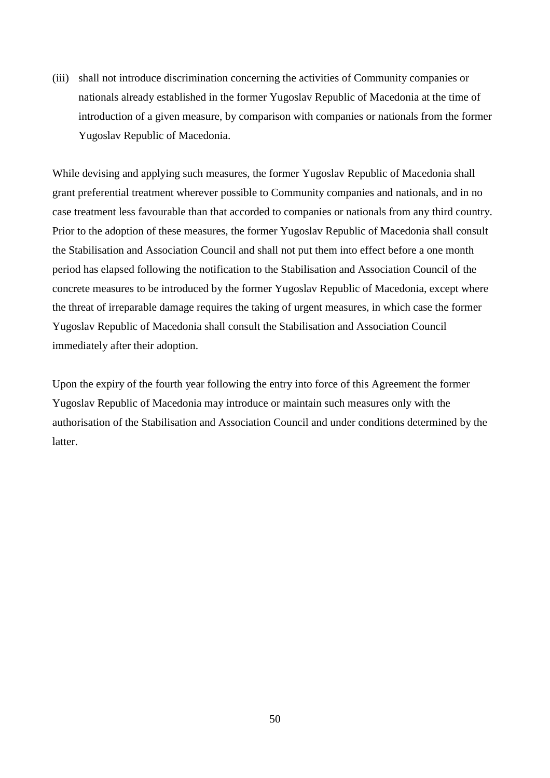(iii) shall not introduce discrimination concerning the activities of Community companies or nationals already established in the former Yugoslav Republic of Macedonia at the time of introduction of a given measure, by comparison with companies or nationals from the former Yugoslav Republic of Macedonia.

While devising and applying such measures, the former Yugoslav Republic of Macedonia shall grant preferential treatment wherever possible to Community companies and nationals, and in no case treatment less favourable than that accorded to companies or nationals from any third country. Prior to the adoption of these measures, the former Yugoslav Republic of Macedonia shall consult the Stabilisation and Association Council and shall not put them into effect before a one month period has elapsed following the notification to the Stabilisation and Association Council of the concrete measures to be introduced by the former Yugoslav Republic of Macedonia, except where the threat of irreparable damage requires the taking of urgent measures, in which case the former Yugoslav Republic of Macedonia shall consult the Stabilisation and Association Council immediately after their adoption.

Upon the expiry of the fourth year following the entry into force of this Agreement the former Yugoslav Republic of Macedonia may introduce or maintain such measures only with the authorisation of the Stabilisation and Association Council and under conditions determined by the **latter**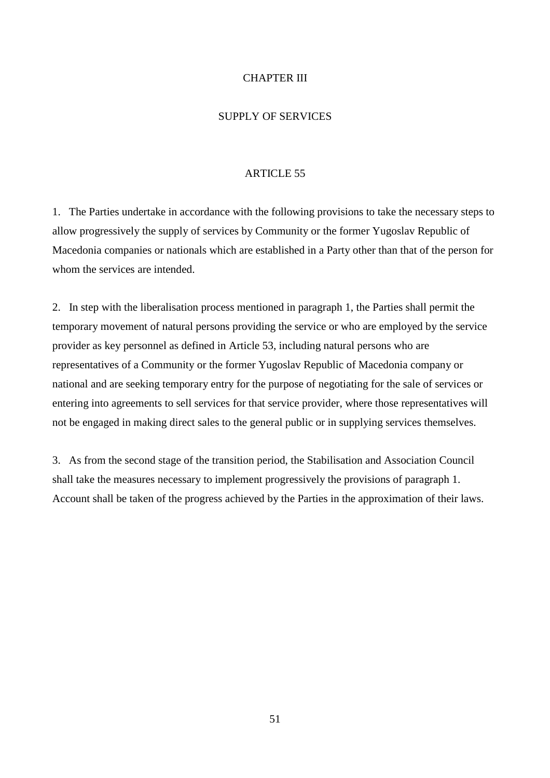### CHAPTER III

### SUPPLY OF SERVICES

#### ARTICLE 55

1. The Parties undertake in accordance with the following provisions to take the necessary steps to allow progressively the supply of services by Community or the former Yugoslav Republic of Macedonia companies or nationals which are established in a Party other than that of the person for whom the services are intended.

2. In step with the liberalisation process mentioned in paragraph 1, the Parties shall permit the temporary movement of natural persons providing the service or who are employed by the service provider as key personnel as defined in Article 53, including natural persons who are representatives of a Community or the former Yugoslav Republic of Macedonia company or national and are seeking temporary entry for the purpose of negotiating for the sale of services or entering into agreements to sell services for that service provider, where those representatives will not be engaged in making direct sales to the general public or in supplying services themselves.

3. As from the second stage of the transition period, the Stabilisation and Association Council shall take the measures necessary to implement progressively the provisions of paragraph 1. Account shall be taken of the progress achieved by the Parties in the approximation of their laws.

51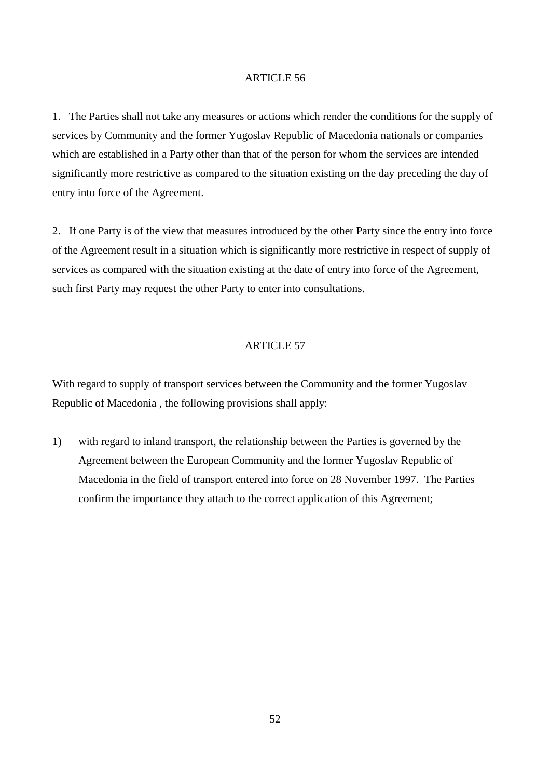1. The Parties shall not take any measures or actions which render the conditions for the supply of services by Community and the former Yugoslav Republic of Macedonia nationals or companies which are established in a Party other than that of the person for whom the services are intended significantly more restrictive as compared to the situation existing on the day preceding the day of entry into force of the Agreement.

2. If one Party is of the view that measures introduced by the other Party since the entry into force of the Agreement result in a situation which is significantly more restrictive in respect of supply of services as compared with the situation existing at the date of entry into force of the Agreement, such first Party may request the other Party to enter into consultations.

### ARTICLE 57

With regard to supply of transport services between the Community and the former Yugoslav Republic of Macedonia , the following provisions shall apply:

1) with regard to inland transport, the relationship between the Parties is governed by the Agreement between the European Community and the former Yugoslav Republic of Macedonia in the field of transport entered into force on 28 November 1997. The Parties confirm the importance they attach to the correct application of this Agreement;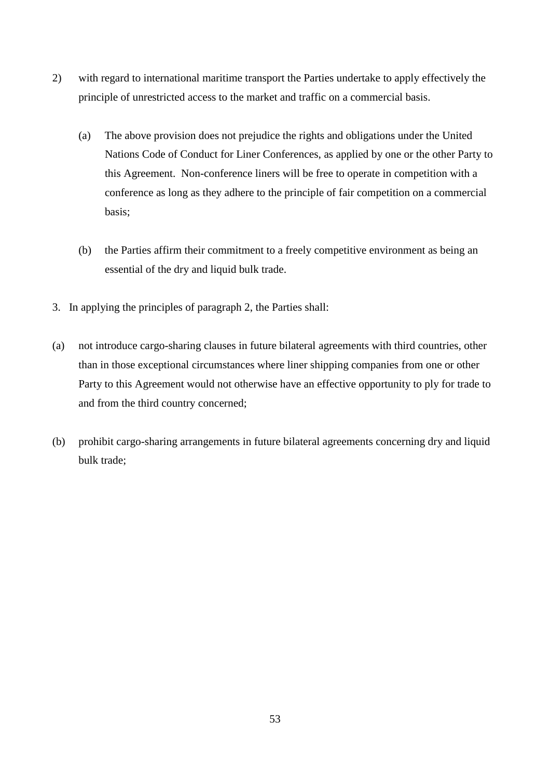- 2) with regard to international maritime transport the Parties undertake to apply effectively the principle of unrestricted access to the market and traffic on a commercial basis.
	- (a) The above provision does not prejudice the rights and obligations under the United Nations Code of Conduct for Liner Conferences, as applied by one or the other Party to this Agreement. Non-conference liners will be free to operate in competition with a conference as long as they adhere to the principle of fair competition on a commercial basis;
	- (b) the Parties affirm their commitment to a freely competitive environment as being an essential of the dry and liquid bulk trade.
- 3. In applying the principles of paragraph 2, the Parties shall:
- (a) not introduce cargo-sharing clauses in future bilateral agreements with third countries, other than in those exceptional circumstances where liner shipping companies from one or other Party to this Agreement would not otherwise have an effective opportunity to ply for trade to and from the third country concerned;
- (b) prohibit cargo-sharing arrangements in future bilateral agreements concerning dry and liquid bulk trade;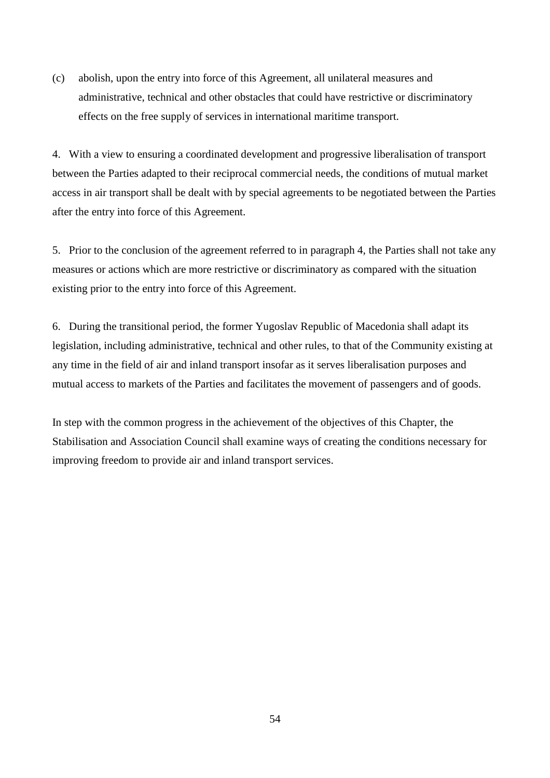(c) abolish, upon the entry into force of this Agreement, all unilateral measures and administrative, technical and other obstacles that could have restrictive or discriminatory effects on the free supply of services in international maritime transport.

4. With a view to ensuring a coordinated development and progressive liberalisation of transport between the Parties adapted to their reciprocal commercial needs, the conditions of mutual market access in air transport shall be dealt with by special agreements to be negotiated between the Parties after the entry into force of this Agreement.

5. Prior to the conclusion of the agreement referred to in paragraph 4, the Parties shall not take any measures or actions which are more restrictive or discriminatory as compared with the situation existing prior to the entry into force of this Agreement.

6. During the transitional period, the former Yugoslav Republic of Macedonia shall adapt its legislation, including administrative, technical and other rules, to that of the Community existing at any time in the field of air and inland transport insofar as it serves liberalisation purposes and mutual access to markets of the Parties and facilitates the movement of passengers and of goods.

In step with the common progress in the achievement of the objectives of this Chapter, the Stabilisation and Association Council shall examine ways of creating the conditions necessary for improving freedom to provide air and inland transport services.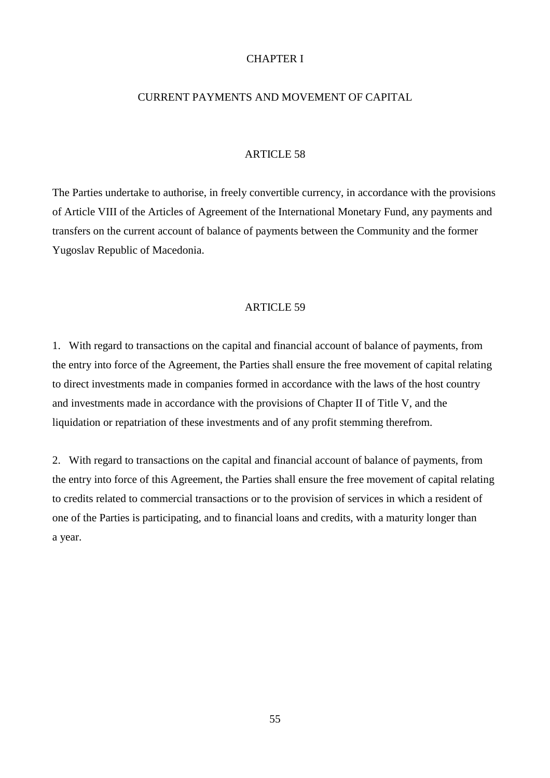### CHAPTER I

### CURRENT PAYMENTS AND MOVEMENT OF CAPITAL

#### ARTICLE 58

The Parties undertake to authorise, in freely convertible currency, in accordance with the provisions of Article VIII of the Articles of Agreement of the International Monetary Fund, any payments and transfers on the current account of balance of payments between the Community and the former Yugoslav Republic of Macedonia.

#### ARTICLE 59

1. With regard to transactions on the capital and financial account of balance of payments, from the entry into force of the Agreement, the Parties shall ensure the free movement of capital relating to direct investments made in companies formed in accordance with the laws of the host country and investments made in accordance with the provisions of Chapter II of Title V, and the liquidation or repatriation of these investments and of any profit stemming therefrom.

2. With regard to transactions on the capital and financial account of balance of payments, from the entry into force of this Agreement, the Parties shall ensure the free movement of capital relating to credits related to commercial transactions or to the provision of services in which a resident of one of the Parties is participating, and to financial loans and credits, with a maturity longer than a year.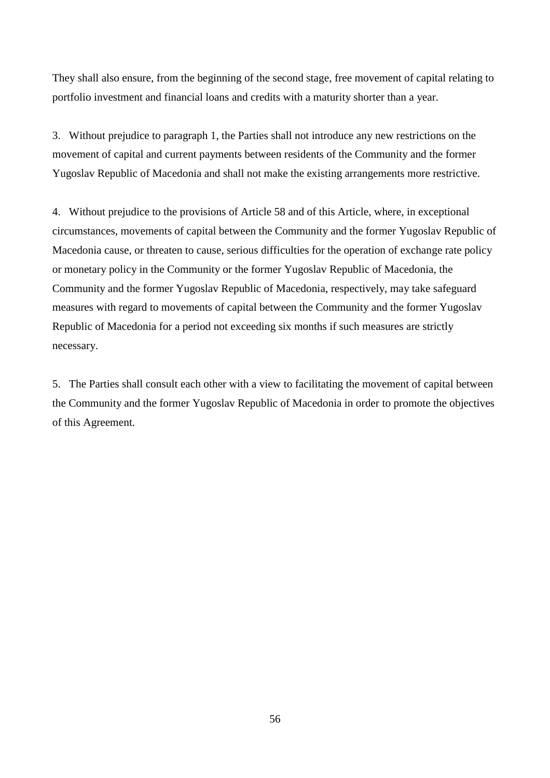They shall also ensure, from the beginning of the second stage, free movement of capital relating to portfolio investment and financial loans and credits with a maturity shorter than a year.

3. Without prejudice to paragraph 1, the Parties shall not introduce any new restrictions on the movement of capital and current payments between residents of the Community and the former Yugoslav Republic of Macedonia and shall not make the existing arrangements more restrictive.

4. Without prejudice to the provisions of Article 58 and of this Article, where, in exceptional circumstances, movements of capital between the Community and the former Yugoslav Republic of Macedonia cause, or threaten to cause, serious difficulties for the operation of exchange rate policy or monetary policy in the Community or the former Yugoslav Republic of Macedonia, the Community and the former Yugoslav Republic of Macedonia, respectively, may take safeguard measures with regard to movements of capital between the Community and the former Yugoslav Republic of Macedonia for a period not exceeding six months if such measures are strictly necessary.

5. The Parties shall consult each other with a view to facilitating the movement of capital between the Community and the former Yugoslav Republic of Macedonia in order to promote the objectives of this Agreement.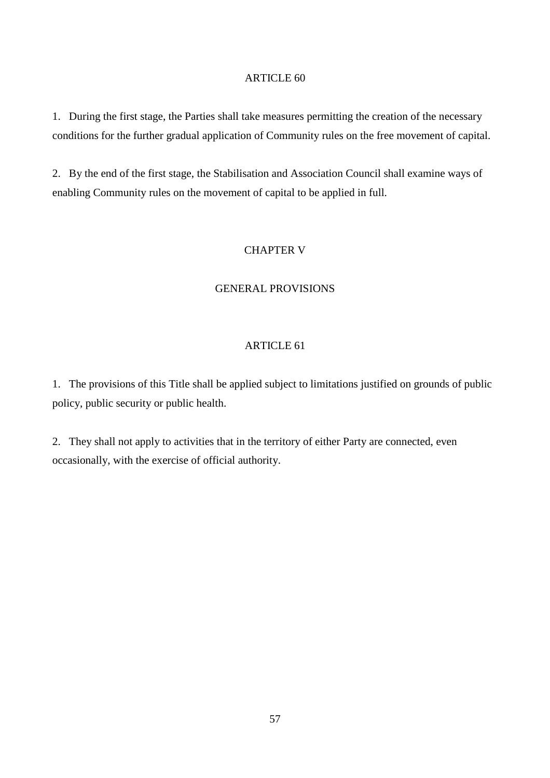1. During the first stage, the Parties shall take measures permitting the creation of the necessary conditions for the further gradual application of Community rules on the free movement of capital.

2. By the end of the first stage, the Stabilisation and Association Council shall examine ways of enabling Community rules on the movement of capital to be applied in full.

# CHAPTER V

### GENERAL PROVISIONS

#### ARTICLE 61

1. The provisions of this Title shall be applied subject to limitations justified on grounds of public policy, public security or public health.

2. They shall not apply to activities that in the territory of either Party are connected, even occasionally, with the exercise of official authority.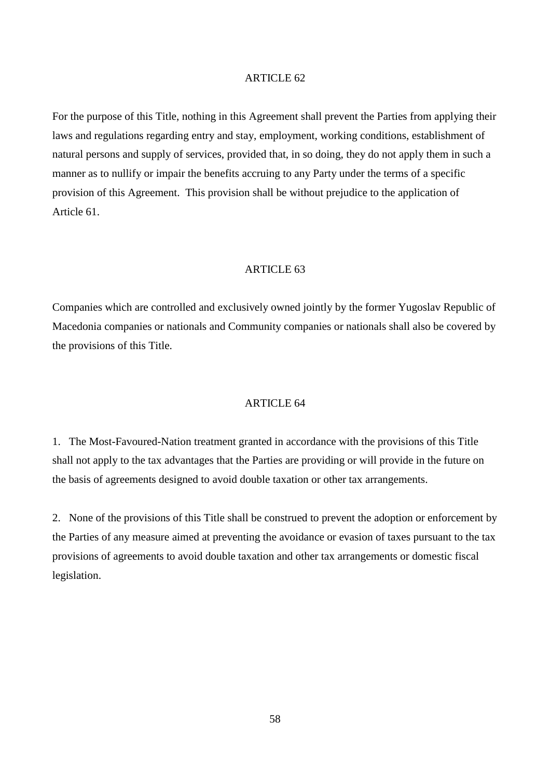For the purpose of this Title, nothing in this Agreement shall prevent the Parties from applying their laws and regulations regarding entry and stay, employment, working conditions, establishment of natural persons and supply of services, provided that, in so doing, they do not apply them in such a manner as to nullify or impair the benefits accruing to any Party under the terms of a specific provision of this Agreement. This provision shall be without prejudice to the application of Article 61.

# ARTICLE 63

Companies which are controlled and exclusively owned jointly by the former Yugoslav Republic of Macedonia companies or nationals and Community companies or nationals shall also be covered by the provisions of this Title.

### ARTICLE 64

1. The Most-Favoured-Nation treatment granted in accordance with the provisions of this Title shall not apply to the tax advantages that the Parties are providing or will provide in the future on the basis of agreements designed to avoid double taxation or other tax arrangements.

2. None of the provisions of this Title shall be construed to prevent the adoption or enforcement by the Parties of any measure aimed at preventing the avoidance or evasion of taxes pursuant to the tax provisions of agreements to avoid double taxation and other tax arrangements or domestic fiscal legislation.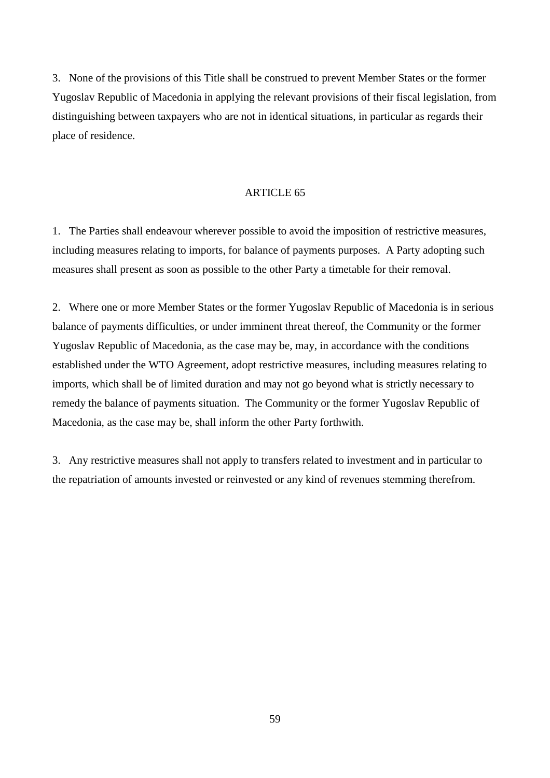3. None of the provisions of this Title shall be construed to prevent Member States or the former Yugoslav Republic of Macedonia in applying the relevant provisions of their fiscal legislation, from distinguishing between taxpayers who are not in identical situations, in particular as regards their place of residence.

### ARTICLE 65

1. The Parties shall endeavour wherever possible to avoid the imposition of restrictive measures, including measures relating to imports, for balance of payments purposes. A Party adopting such measures shall present as soon as possible to the other Party a timetable for their removal.

2. Where one or more Member States or the former Yugoslav Republic of Macedonia is in serious balance of payments difficulties, or under imminent threat thereof, the Community or the former Yugoslav Republic of Macedonia, as the case may be, may, in accordance with the conditions established under the WTO Agreement, adopt restrictive measures, including measures relating to imports, which shall be of limited duration and may not go beyond what is strictly necessary to remedy the balance of payments situation. The Community or the former Yugoslav Republic of Macedonia, as the case may be, shall inform the other Party forthwith.

3. Any restrictive measures shall not apply to transfers related to investment and in particular to the repatriation of amounts invested or reinvested or any kind of revenues stemming therefrom.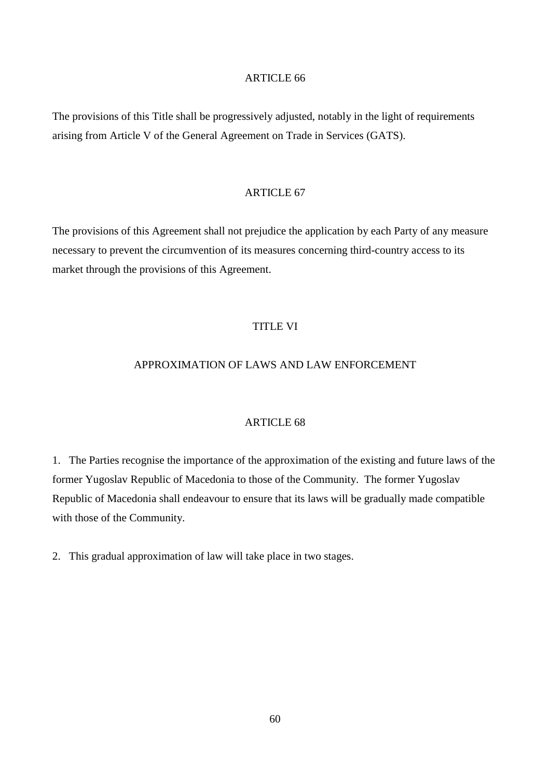The provisions of this Title shall be progressively adjusted, notably in the light of requirements arising from Article V of the General Agreement on Trade in Services (GATS).

### ARTICLE 67

The provisions of this Agreement shall not prejudice the application by each Party of any measure necessary to prevent the circumvention of its measures concerning third-country access to its market through the provisions of this Agreement.

### TITLE VI

# APPROXIMATION OF LAWS AND LAW ENFORCEMENT

### ARTICLE 68

1. The Parties recognise the importance of the approximation of the existing and future laws of the former Yugoslav Republic of Macedonia to those of the Community. The former Yugoslav Republic of Macedonia shall endeavour to ensure that its laws will be gradually made compatible with those of the Community.

2. This gradual approximation of law will take place in two stages.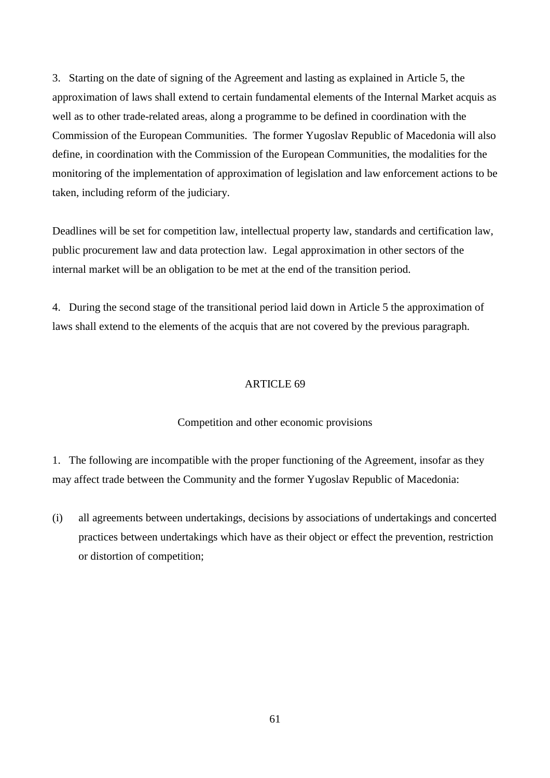3. Starting on the date of signing of the Agreement and lasting as explained in Article 5, the approximation of laws shall extend to certain fundamental elements of the Internal Market acquis as well as to other trade-related areas, along a programme to be defined in coordination with the Commission of the European Communities. The former Yugoslav Republic of Macedonia will also define, in coordination with the Commission of the European Communities, the modalities for the monitoring of the implementation of approximation of legislation and law enforcement actions to be taken, including reform of the judiciary.

Deadlines will be set for competition law, intellectual property law, standards and certification law, public procurement law and data protection law. Legal approximation in other sectors of the internal market will be an obligation to be met at the end of the transition period.

4. During the second stage of the transitional period laid down in Article 5 the approximation of laws shall extend to the elements of the acquis that are not covered by the previous paragraph.

#### ARTICLE 69

#### Competition and other economic provisions

1. The following are incompatible with the proper functioning of the Agreement, insofar as they may affect trade between the Community and the former Yugoslav Republic of Macedonia:

(i) all agreements between undertakings, decisions by associations of undertakings and concerted practices between undertakings which have as their object or effect the prevention, restriction or distortion of competition;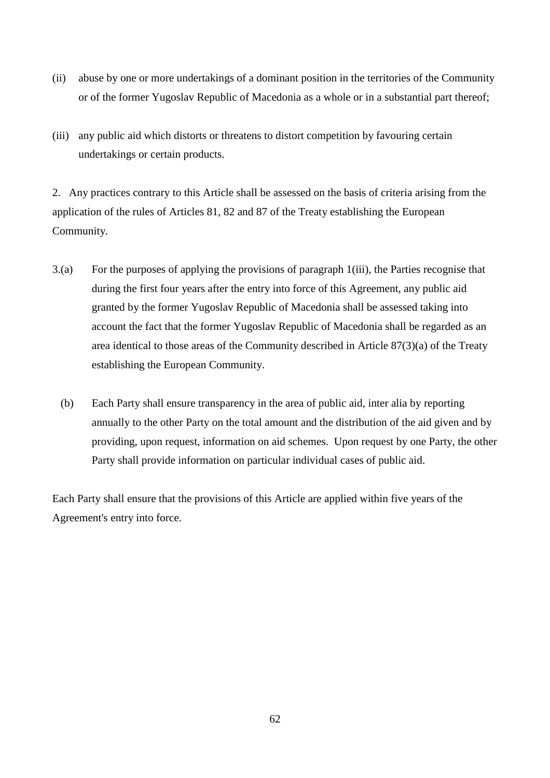- (ii) abuse by one or more undertakings of a dominant position in the territories of the Community or of the former Yugoslav Republic of Macedonia as a whole or in a substantial part thereof;
- (iii) any public aid which distorts or threatens to distort competition by favouring certain undertakings or certain products.

2. Any practices contrary to this Article shall be assessed on the basis of criteria arising from the application of the rules of Articles 81, 82 and 87 of the Treaty establishing the European Community.

- 3.(a) For the purposes of applying the provisions of paragraph 1(iii), the Parties recognise that during the first four years after the entry into force of this Agreement, any public aid granted by the former Yugoslav Republic of Macedonia shall be assessed taking into account the fact that the former Yugoslav Republic of Macedonia shall be regarded as an area identical to those areas of the Community described in Article 87(3)(a) of the Treaty establishing the European Community.
	- (b) Each Party shall ensure transparency in the area of public aid, inter alia by reporting annually to the other Party on the total amount and the distribution of the aid given and by providing, upon request, information on aid schemes. Upon request by one Party, the other Party shall provide information on particular individual cases of public aid.

Each Party shall ensure that the provisions of this Article are applied within five years of the Agreement's entry into force.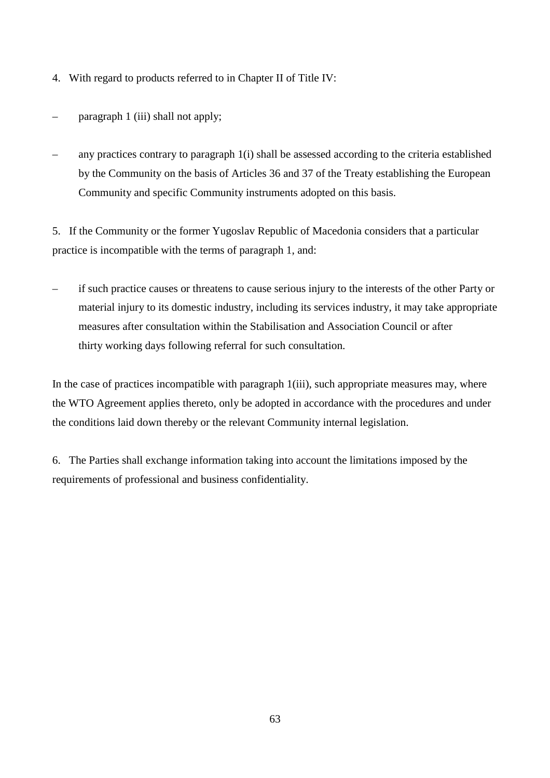- 4. With regard to products referred to in Chapter II of Title IV:
- paragraph 1 (iii) shall not apply;
- any practices contrary to paragraph 1(i) shall be assessed according to the criteria established by the Community on the basis of Articles 36 and 37 of the Treaty establishing the European Community and specific Community instruments adopted on this basis.

5. If the Community or the former Yugoslav Republic of Macedonia considers that a particular practice is incompatible with the terms of paragraph 1, and:

– if such practice causes or threatens to cause serious injury to the interests of the other Party or material injury to its domestic industry, including its services industry, it may take appropriate measures after consultation within the Stabilisation and Association Council or after thirty working days following referral for such consultation.

In the case of practices incompatible with paragraph 1(iii), such appropriate measures may, where the WTO Agreement applies thereto, only be adopted in accordance with the procedures and under the conditions laid down thereby or the relevant Community internal legislation.

6. The Parties shall exchange information taking into account the limitations imposed by the requirements of professional and business confidentiality.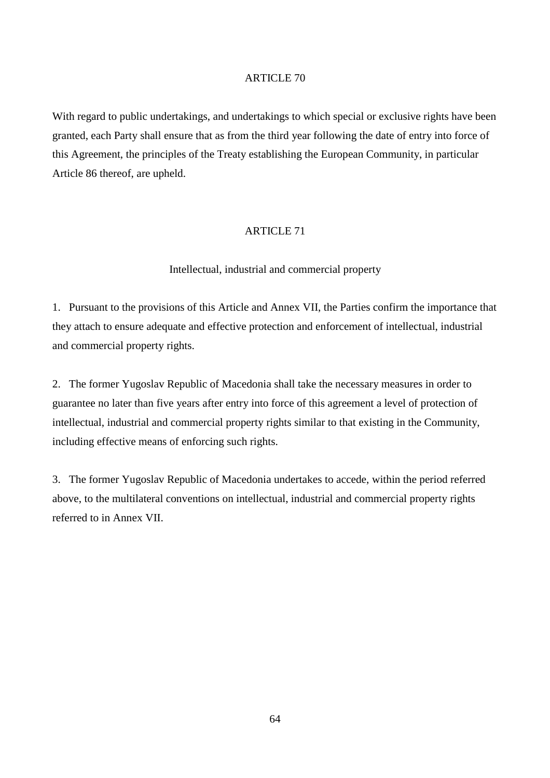With regard to public undertakings, and undertakings to which special or exclusive rights have been granted, each Party shall ensure that as from the third year following the date of entry into force of this Agreement, the principles of the Treaty establishing the European Community, in particular Article 86 thereof, are upheld.

### ARTICLE 71

### Intellectual, industrial and commercial property

1. Pursuant to the provisions of this Article and Annex VII, the Parties confirm the importance that they attach to ensure adequate and effective protection and enforcement of intellectual, industrial and commercial property rights.

2. The former Yugoslav Republic of Macedonia shall take the necessary measures in order to guarantee no later than five years after entry into force of this agreement a level of protection of intellectual, industrial and commercial property rights similar to that existing in the Community, including effective means of enforcing such rights.

3. The former Yugoslav Republic of Macedonia undertakes to accede, within the period referred above, to the multilateral conventions on intellectual, industrial and commercial property rights referred to in Annex VII.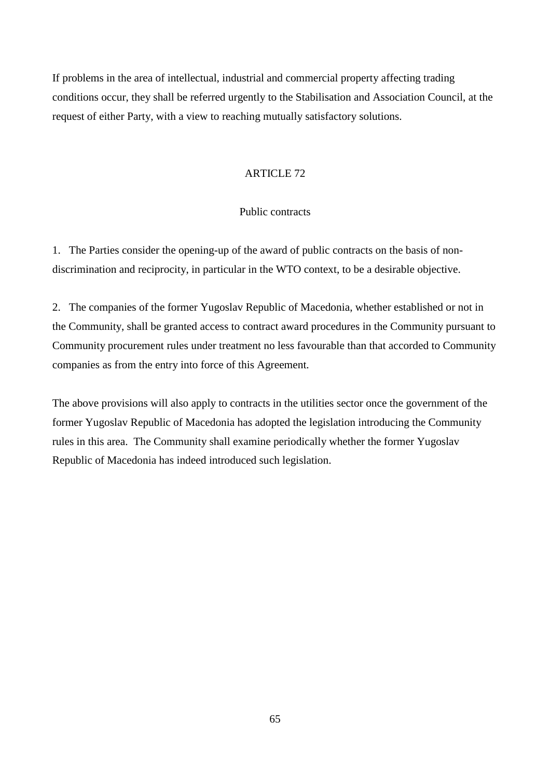If problems in the area of intellectual, industrial and commercial property affecting trading conditions occur, they shall be referred urgently to the Stabilisation and Association Council, at the request of either Party, with a view to reaching mutually satisfactory solutions.

### ARTICLE 72

# Public contracts

1. The Parties consider the opening-up of the award of public contracts on the basis of nondiscrimination and reciprocity, in particular in the WTO context, to be a desirable objective.

2. The companies of the former Yugoslav Republic of Macedonia, whether established or not in the Community, shall be granted access to contract award procedures in the Community pursuant to Community procurement rules under treatment no less favourable than that accorded to Community companies as from the entry into force of this Agreement.

The above provisions will also apply to contracts in the utilities sector once the government of the former Yugoslav Republic of Macedonia has adopted the legislation introducing the Community rules in this area. The Community shall examine periodically whether the former Yugoslav Republic of Macedonia has indeed introduced such legislation.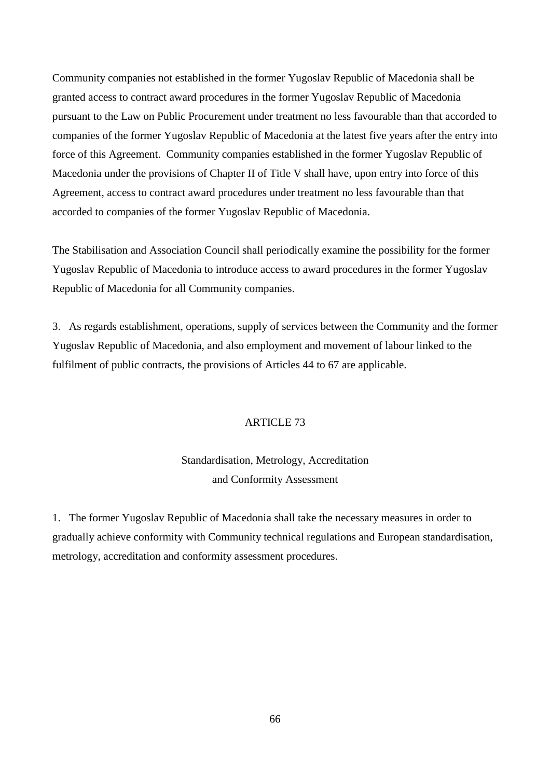Community companies not established in the former Yugoslav Republic of Macedonia shall be granted access to contract award procedures in the former Yugoslav Republic of Macedonia pursuant to the Law on Public Procurement under treatment no less favourable than that accorded to companies of the former Yugoslav Republic of Macedonia at the latest five years after the entry into force of this Agreement. Community companies established in the former Yugoslav Republic of Macedonia under the provisions of Chapter II of Title V shall have, upon entry into force of this Agreement, access to contract award procedures under treatment no less favourable than that accorded to companies of the former Yugoslav Republic of Macedonia.

The Stabilisation and Association Council shall periodically examine the possibility for the former Yugoslav Republic of Macedonia to introduce access to award procedures in the former Yugoslav Republic of Macedonia for all Community companies.

3. As regards establishment, operations, supply of services between the Community and the former Yugoslav Republic of Macedonia, and also employment and movement of labour linked to the fulfilment of public contracts, the provisions of Articles 44 to 67 are applicable.

# ARTICLE 73

# Standardisation, Metrology, Accreditation and Conformity Assessment

1. The former Yugoslav Republic of Macedonia shall take the necessary measures in order to gradually achieve conformity with Community technical regulations and European standardisation, metrology, accreditation and conformity assessment procedures.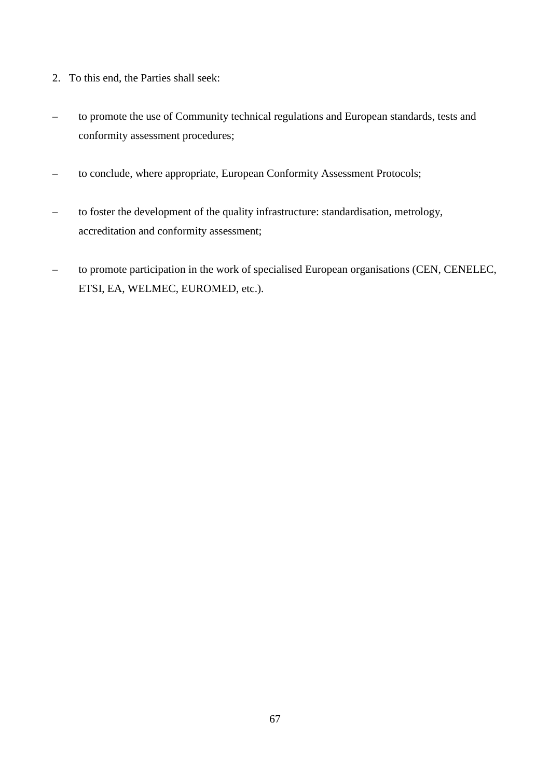- 2. To this end, the Parties shall seek:
- to promote the use of Community technical regulations and European standards, tests and conformity assessment procedures;
- to conclude, where appropriate, European Conformity Assessment Protocols;
- to foster the development of the quality infrastructure: standardisation, metrology, accreditation and conformity assessment;
- to promote participation in the work of specialised European organisations (CEN, CENELEC, ETSI, EA, WELMEC, EUROMED, etc.).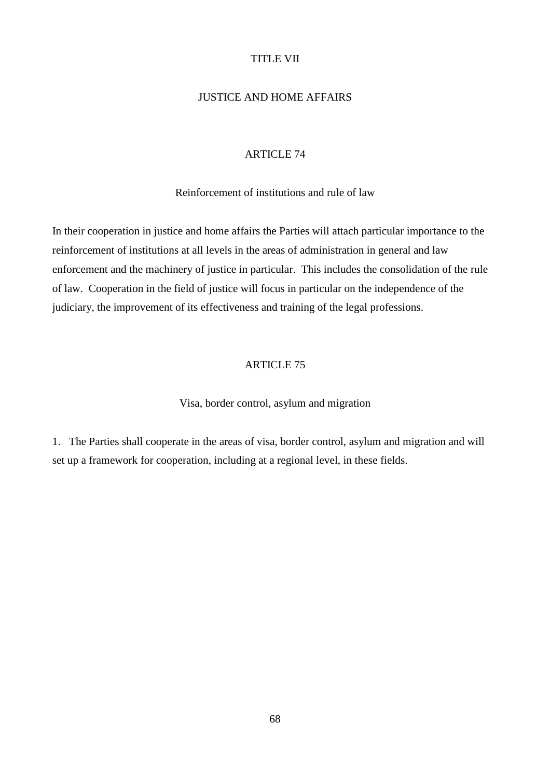### TITLE VII

# JUSTICE AND HOME AFFAIRS

#### ARTICLE 74

Reinforcement of institutions and rule of law

In their cooperation in justice and home affairs the Parties will attach particular importance to the reinforcement of institutions at all levels in the areas of administration in general and law enforcement and the machinery of justice in particular. This includes the consolidation of the rule of law. Cooperation in the field of justice will focus in particular on the independence of the judiciary, the improvement of its effectiveness and training of the legal professions.

### ARTICLE 75

Visa, border control, asylum and migration

1. The Parties shall cooperate in the areas of visa, border control, asylum and migration and will set up a framework for cooperation, including at a regional level, in these fields.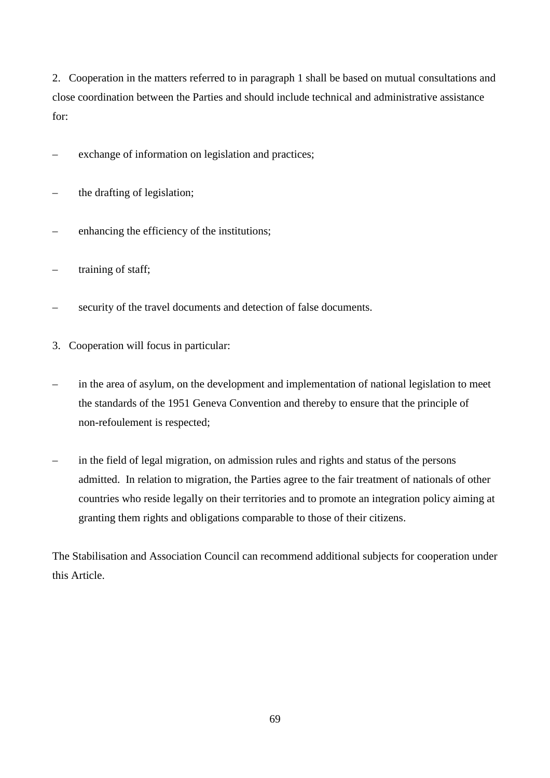2. Cooperation in the matters referred to in paragraph 1 shall be based on mutual consultations and close coordination between the Parties and should include technical and administrative assistance for:

exchange of information on legislation and practices;

- the drafting of legislation;
- enhancing the efficiency of the institutions;
- training of staff;
- security of the travel documents and detection of false documents.
- 3. Cooperation will focus in particular:
- in the area of asylum, on the development and implementation of national legislation to meet the standards of the 1951 Geneva Convention and thereby to ensure that the principle of non-refoulement is respected;
- in the field of legal migration, on admission rules and rights and status of the persons admitted. In relation to migration, the Parties agree to the fair treatment of nationals of other countries who reside legally on their territories and to promote an integration policy aiming at granting them rights and obligations comparable to those of their citizens.

The Stabilisation and Association Council can recommend additional subjects for cooperation under this Article.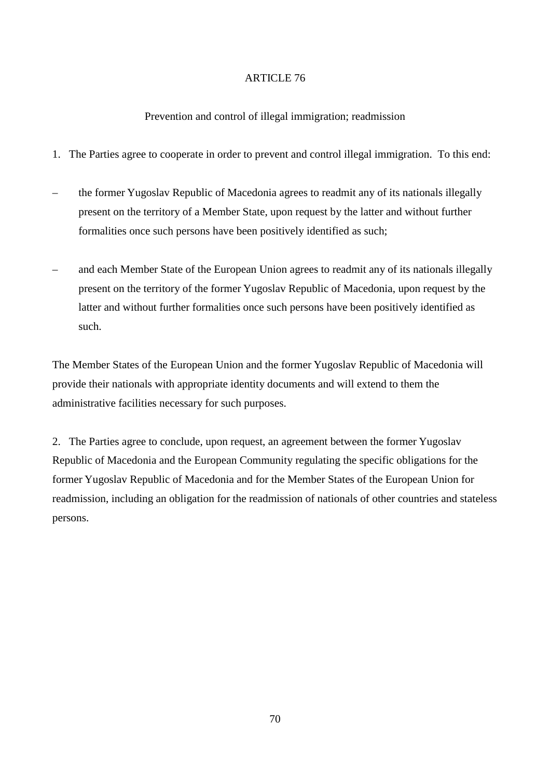# Prevention and control of illegal immigration; readmission

- 1. The Parties agree to cooperate in order to prevent and control illegal immigration. To this end:
- the former Yugoslav Republic of Macedonia agrees to readmit any of its nationals illegally present on the territory of a Member State, upon request by the latter and without further formalities once such persons have been positively identified as such;
- and each Member State of the European Union agrees to readmit any of its nationals illegally present on the territory of the former Yugoslav Republic of Macedonia, upon request by the latter and without further formalities once such persons have been positively identified as such.

The Member States of the European Union and the former Yugoslav Republic of Macedonia will provide their nationals with appropriate identity documents and will extend to them the administrative facilities necessary for such purposes.

2. The Parties agree to conclude, upon request, an agreement between the former Yugoslav Republic of Macedonia and the European Community regulating the specific obligations for the former Yugoslav Republic of Macedonia and for the Member States of the European Union for readmission, including an obligation for the readmission of nationals of other countries and stateless persons.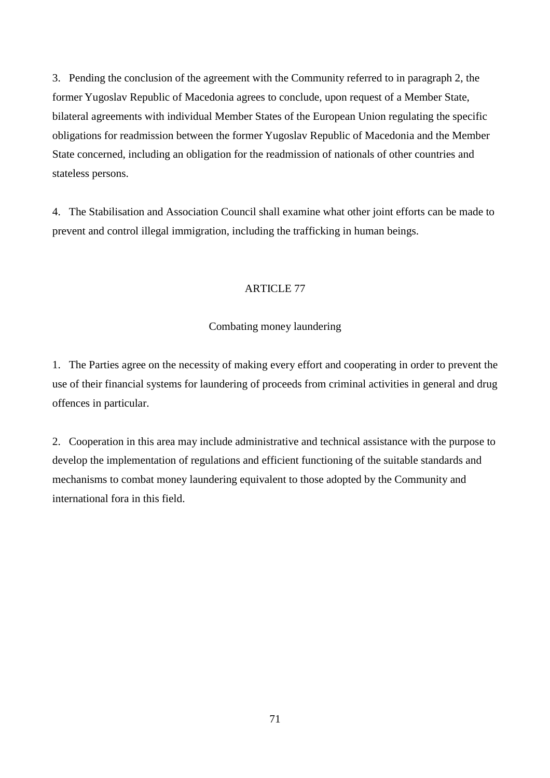3. Pending the conclusion of the agreement with the Community referred to in paragraph 2, the former Yugoslav Republic of Macedonia agrees to conclude, upon request of a Member State, bilateral agreements with individual Member States of the European Union regulating the specific obligations for readmission between the former Yugoslav Republic of Macedonia and the Member State concerned, including an obligation for the readmission of nationals of other countries and stateless persons.

4. The Stabilisation and Association Council shall examine what other joint efforts can be made to prevent and control illegal immigration, including the trafficking in human beings.

### ARTICLE 77

### Combating money laundering

1. The Parties agree on the necessity of making every effort and cooperating in order to prevent the use of their financial systems for laundering of proceeds from criminal activities in general and drug offences in particular.

2. Cooperation in this area may include administrative and technical assistance with the purpose to develop the implementation of regulations and efficient functioning of the suitable standards and mechanisms to combat money laundering equivalent to those adopted by the Community and international fora in this field.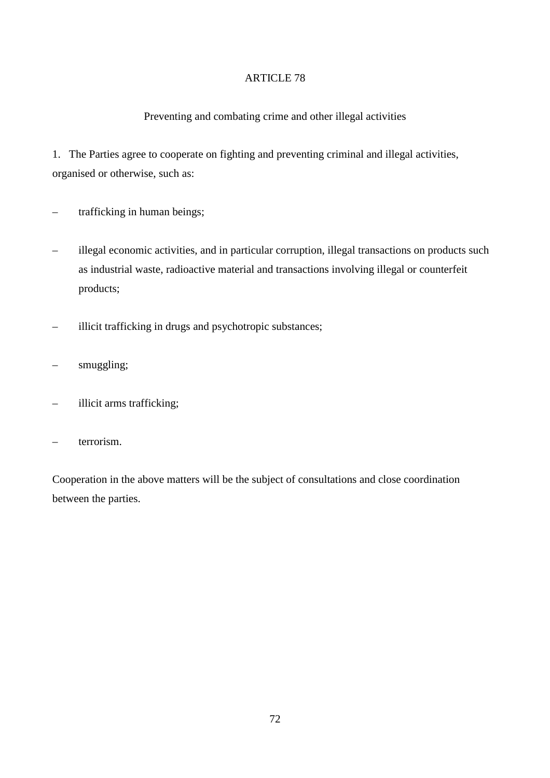## Preventing and combating crime and other illegal activities

1. The Parties agree to cooperate on fighting and preventing criminal and illegal activities, organised or otherwise, such as:

- trafficking in human beings;
- illegal economic activities, and in particular corruption, illegal transactions on products such as industrial waste, radioactive material and transactions involving illegal or counterfeit products;
- illicit trafficking in drugs and psychotropic substances;
- smuggling;
- illicit arms trafficking;
- terrorism.

Cooperation in the above matters will be the subject of consultations and close coordination between the parties.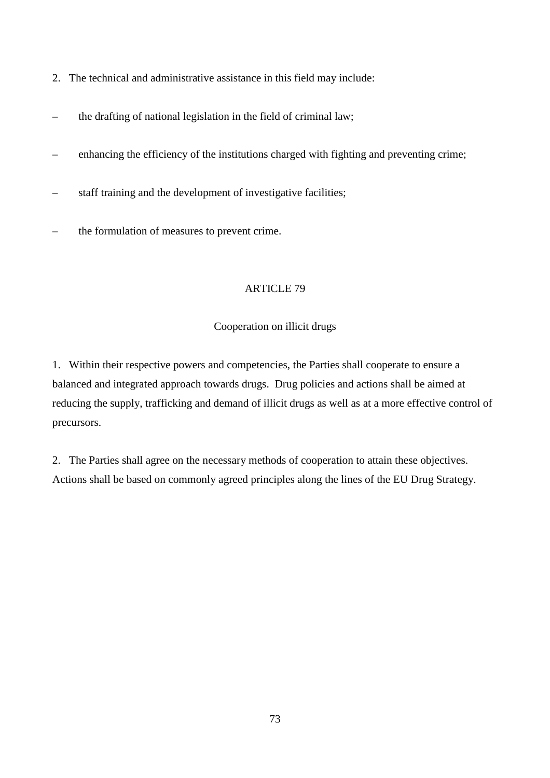- 2. The technical and administrative assistance in this field may include:
- the drafting of national legislation in the field of criminal law;
- enhancing the efficiency of the institutions charged with fighting and preventing crime;
- staff training and the development of investigative facilities;
- the formulation of measures to prevent crime.

## Cooperation on illicit drugs

1. Within their respective powers and competencies, the Parties shall cooperate to ensure a balanced and integrated approach towards drugs. Drug policies and actions shall be aimed at reducing the supply, trafficking and demand of illicit drugs as well as at a more effective control of precursors.

2. The Parties shall agree on the necessary methods of cooperation to attain these objectives. Actions shall be based on commonly agreed principles along the lines of the EU Drug Strategy.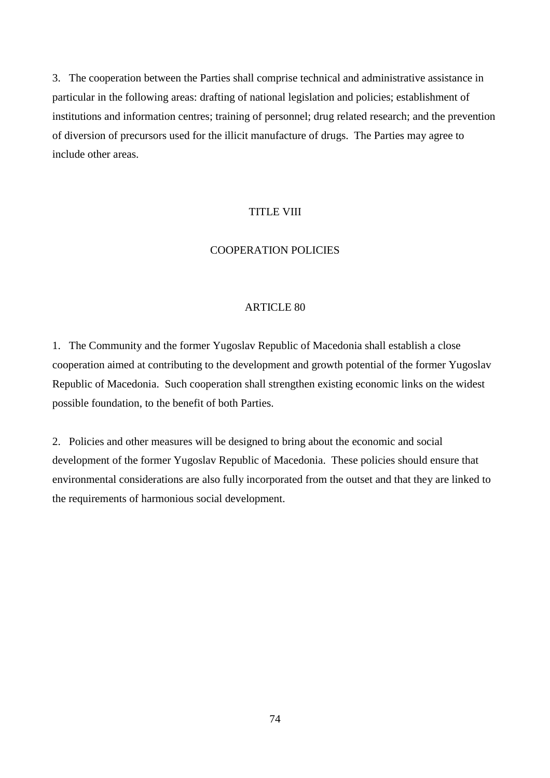3. The cooperation between the Parties shall comprise technical and administrative assistance in particular in the following areas: drafting of national legislation and policies; establishment of institutions and information centres; training of personnel; drug related research; and the prevention of diversion of precursors used for the illicit manufacture of drugs. The Parties may agree to include other areas.

## TITLE VIII

### COOPERATION POLICIES

#### ARTICLE 80

1. The Community and the former Yugoslav Republic of Macedonia shall establish a close cooperation aimed at contributing to the development and growth potential of the former Yugoslav Republic of Macedonia. Such cooperation shall strengthen existing economic links on the widest possible foundation, to the benefit of both Parties.

2. Policies and other measures will be designed to bring about the economic and social development of the former Yugoslav Republic of Macedonia. These policies should ensure that environmental considerations are also fully incorporated from the outset and that they are linked to the requirements of harmonious social development.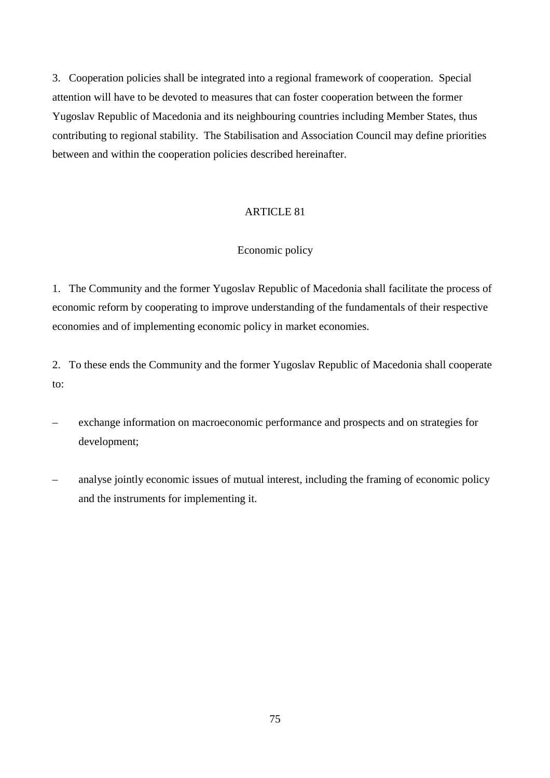3. Cooperation policies shall be integrated into a regional framework of cooperation. Special attention will have to be devoted to measures that can foster cooperation between the former Yugoslav Republic of Macedonia and its neighbouring countries including Member States, thus contributing to regional stability. The Stabilisation and Association Council may define priorities between and within the cooperation policies described hereinafter.

## ARTICLE 81

## Economic policy

1. The Community and the former Yugoslav Republic of Macedonia shall facilitate the process of economic reform by cooperating to improve understanding of the fundamentals of their respective economies and of implementing economic policy in market economies.

2. To these ends the Community and the former Yugoslav Republic of Macedonia shall cooperate to:

- exchange information on macroeconomic performance and prospects and on strategies for development;
- analyse jointly economic issues of mutual interest, including the framing of economic policy and the instruments for implementing it.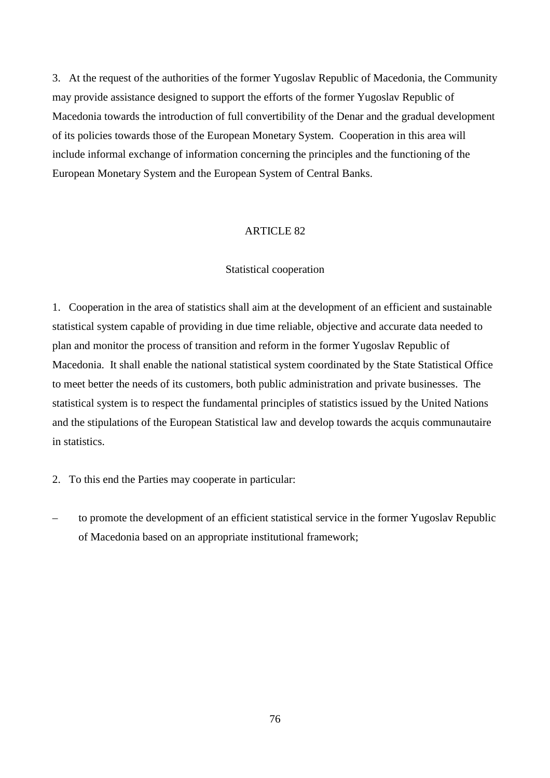3. At the request of the authorities of the former Yugoslav Republic of Macedonia, the Community may provide assistance designed to support the efforts of the former Yugoslav Republic of Macedonia towards the introduction of full convertibility of the Denar and the gradual development of its policies towards those of the European Monetary System. Cooperation in this area will include informal exchange of information concerning the principles and the functioning of the European Monetary System and the European System of Central Banks.

#### ARTICLE 82

#### Statistical cooperation

1. Cooperation in the area of statistics shall aim at the development of an efficient and sustainable statistical system capable of providing in due time reliable, objective and accurate data needed to plan and monitor the process of transition and reform in the former Yugoslav Republic of Macedonia. It shall enable the national statistical system coordinated by the State Statistical Office to meet better the needs of its customers, both public administration and private businesses. The statistical system is to respect the fundamental principles of statistics issued by the United Nations and the stipulations of the European Statistical law and develop towards the acquis communautaire in statistics.

- 2. To this end the Parties may cooperate in particular:
- to promote the development of an efficient statistical service in the former Yugoslav Republic of Macedonia based on an appropriate institutional framework;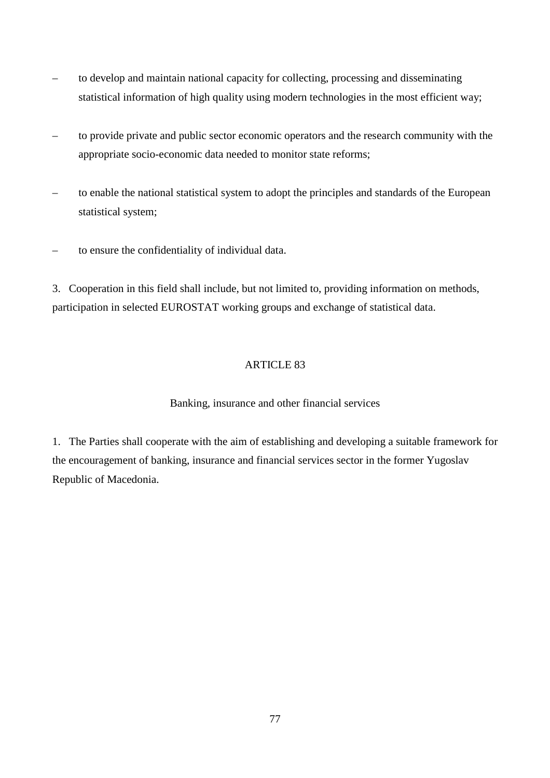- to develop and maintain national capacity for collecting, processing and disseminating statistical information of high quality using modern technologies in the most efficient way;
- to provide private and public sector economic operators and the research community with the appropriate socio-economic data needed to monitor state reforms;
- to enable the national statistical system to adopt the principles and standards of the European statistical system;
- to ensure the confidentiality of individual data.

3. Cooperation in this field shall include, but not limited to, providing information on methods, participation in selected EUROSTAT working groups and exchange of statistical data.

# ARTICLE 83

# Banking, insurance and other financial services

1. The Parties shall cooperate with the aim of establishing and developing a suitable framework for the encouragement of banking, insurance and financial services sector in the former Yugoslav Republic of Macedonia.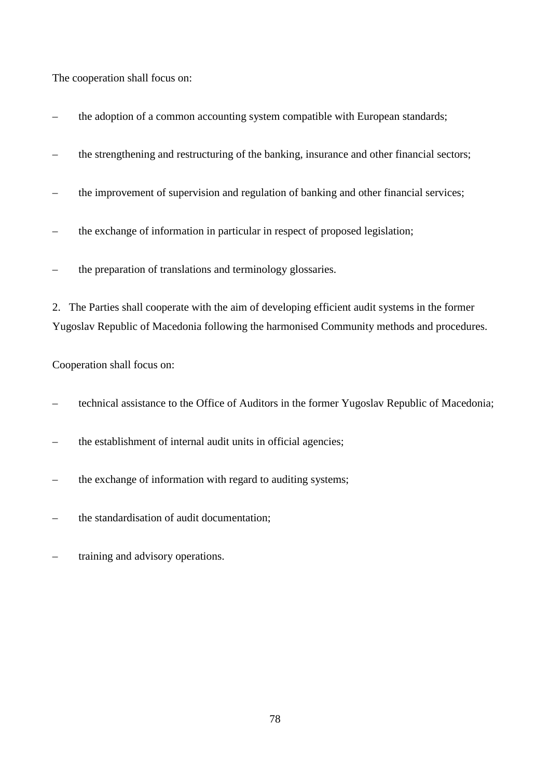The cooperation shall focus on:

- the adoption of a common accounting system compatible with European standards;
- the strengthening and restructuring of the banking, insurance and other financial sectors;
- the improvement of supervision and regulation of banking and other financial services;
- the exchange of information in particular in respect of proposed legislation;
- the preparation of translations and terminology glossaries.

2. The Parties shall cooperate with the aim of developing efficient audit systems in the former Yugoslav Republic of Macedonia following the harmonised Community methods and procedures.

Cooperation shall focus on:

- technical assistance to the Office of Auditors in the former Yugoslav Republic of Macedonia;
- the establishment of internal audit units in official agencies;
- the exchange of information with regard to auditing systems;
- the standardisation of audit documentation;
- training and advisory operations.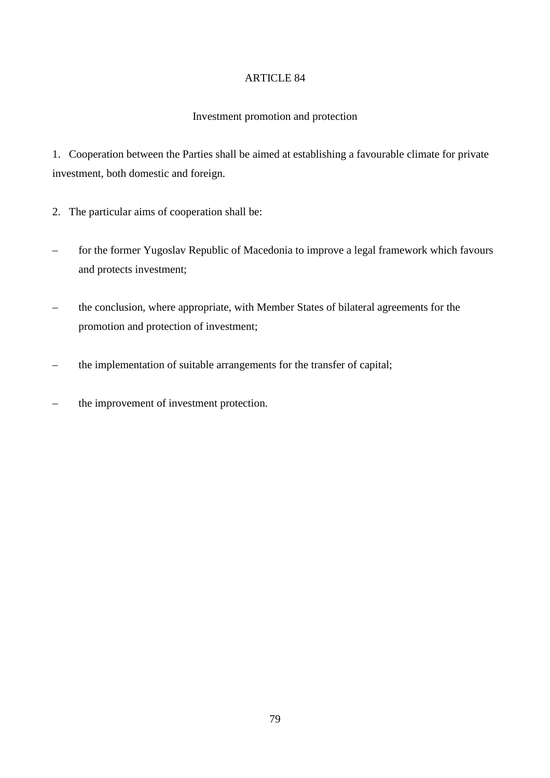## Investment promotion and protection

1. Cooperation between the Parties shall be aimed at establishing a favourable climate for private investment, both domestic and foreign.

- 2. The particular aims of cooperation shall be:
- for the former Yugoslav Republic of Macedonia to improve a legal framework which favours and protects investment;
- the conclusion, where appropriate, with Member States of bilateral agreements for the promotion and protection of investment;
- the implementation of suitable arrangements for the transfer of capital;
- the improvement of investment protection.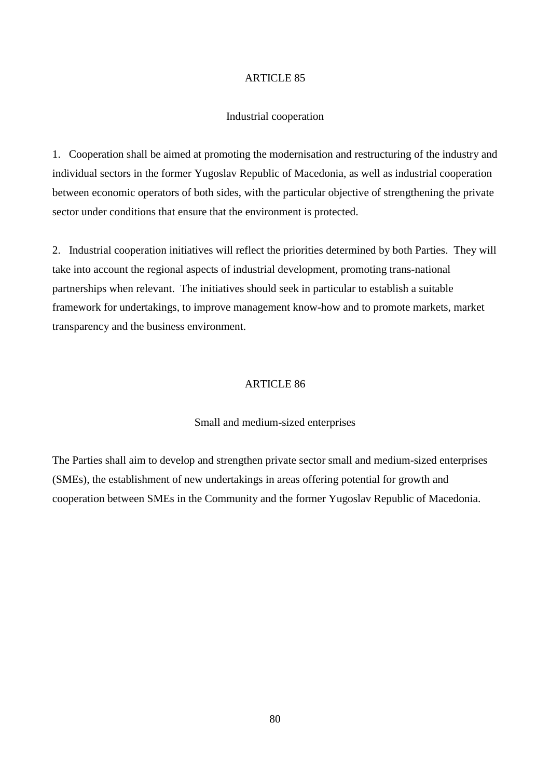#### Industrial cooperation

1. Cooperation shall be aimed at promoting the modernisation and restructuring of the industry and individual sectors in the former Yugoslav Republic of Macedonia, as well as industrial cooperation between economic operators of both sides, with the particular objective of strengthening the private sector under conditions that ensure that the environment is protected.

2. Industrial cooperation initiatives will reflect the priorities determined by both Parties. They will take into account the regional aspects of industrial development, promoting trans-national partnerships when relevant. The initiatives should seek in particular to establish a suitable framework for undertakings, to improve management know-how and to promote markets, market transparency and the business environment.

#### ARTICLE 86

#### Small and medium-sized enterprises

The Parties shall aim to develop and strengthen private sector small and medium-sized enterprises (SMEs), the establishment of new undertakings in areas offering potential for growth and cooperation between SMEs in the Community and the former Yugoslav Republic of Macedonia.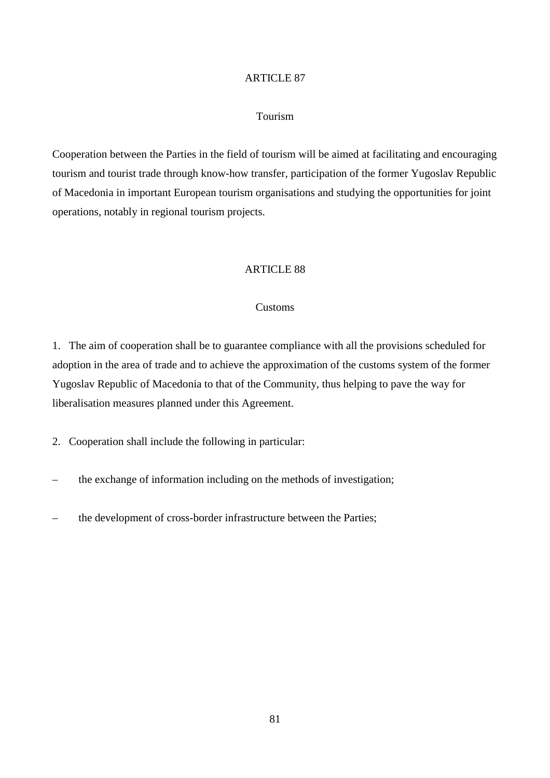### Tourism

Cooperation between the Parties in the field of tourism will be aimed at facilitating and encouraging tourism and tourist trade through know-how transfer, participation of the former Yugoslav Republic of Macedonia in important European tourism organisations and studying the opportunities for joint operations, notably in regional tourism projects.

## ARTICLE 88

#### Customs

1. The aim of cooperation shall be to guarantee compliance with all the provisions scheduled for adoption in the area of trade and to achieve the approximation of the customs system of the former Yugoslav Republic of Macedonia to that of the Community, thus helping to pave the way for liberalisation measures planned under this Agreement.

2. Cooperation shall include the following in particular:

- the exchange of information including on the methods of investigation;
- the development of cross-border infrastructure between the Parties;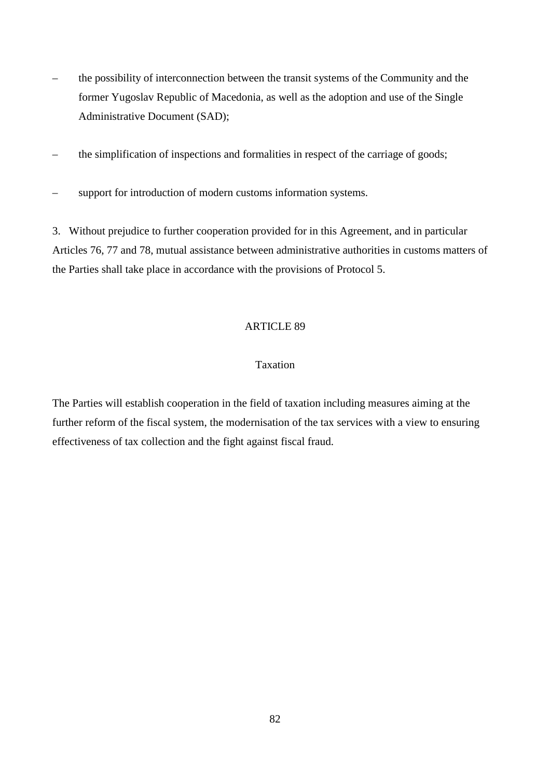- the possibility of interconnection between the transit systems of the Community and the former Yugoslav Republic of Macedonia, as well as the adoption and use of the Single Administrative Document (SAD);
- the simplification of inspections and formalities in respect of the carriage of goods;
- support for introduction of modern customs information systems.

3. Without prejudice to further cooperation provided for in this Agreement, and in particular Articles 76, 77 and 78, mutual assistance between administrative authorities in customs matters of the Parties shall take place in accordance with the provisions of Protocol 5.

#### ARTICLE 89

## Taxation

The Parties will establish cooperation in the field of taxation including measures aiming at the further reform of the fiscal system, the modernisation of the tax services with a view to ensuring effectiveness of tax collection and the fight against fiscal fraud.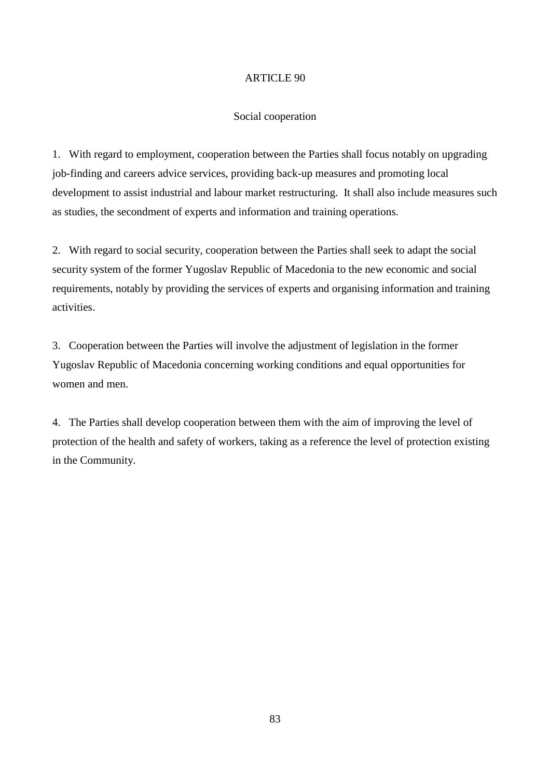#### Social cooperation

1. With regard to employment, cooperation between the Parties shall focus notably on upgrading job-finding and careers advice services, providing back-up measures and promoting local development to assist industrial and labour market restructuring. It shall also include measures such as studies, the secondment of experts and information and training operations.

2. With regard to social security, cooperation between the Parties shall seek to adapt the social security system of the former Yugoslav Republic of Macedonia to the new economic and social requirements, notably by providing the services of experts and organising information and training activities.

3. Cooperation between the Parties will involve the adjustment of legislation in the former Yugoslav Republic of Macedonia concerning working conditions and equal opportunities for women and men.

4. The Parties shall develop cooperation between them with the aim of improving the level of protection of the health and safety of workers, taking as a reference the level of protection existing in the Community.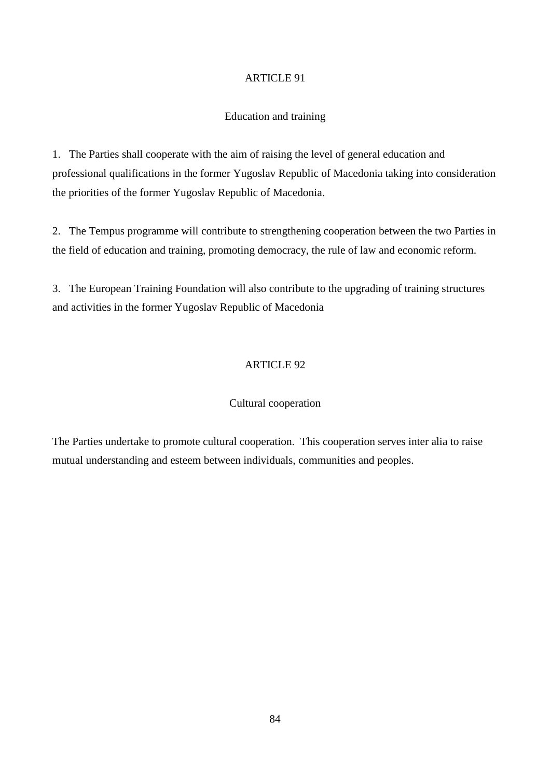#### Education and training

1. The Parties shall cooperate with the aim of raising the level of general education and professional qualifications in the former Yugoslav Republic of Macedonia taking into consideration the priorities of the former Yugoslav Republic of Macedonia.

2. The Tempus programme will contribute to strengthening cooperation between the two Parties in the field of education and training, promoting democracy, the rule of law and economic reform.

3. The European Training Foundation will also contribute to the upgrading of training structures and activities in the former Yugoslav Republic of Macedonia

## ARTICLE 92

### Cultural cooperation

The Parties undertake to promote cultural cooperation. This cooperation serves inter alia to raise mutual understanding and esteem between individuals, communities and peoples.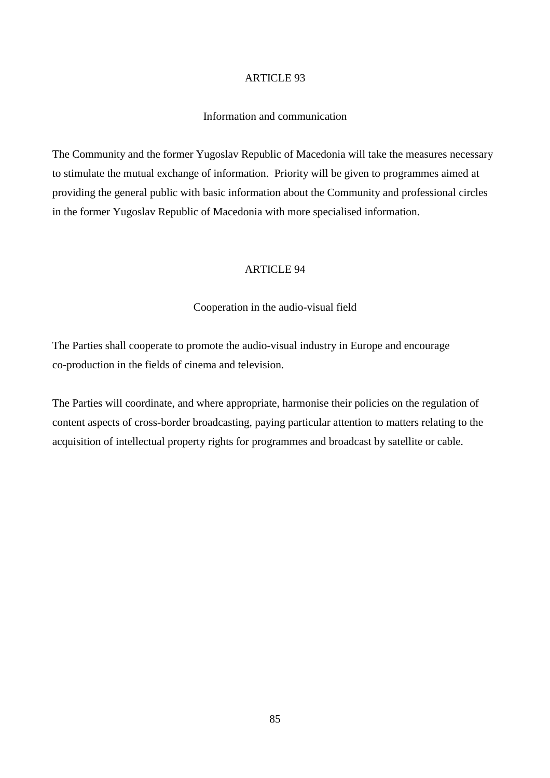### Information and communication

The Community and the former Yugoslav Republic of Macedonia will take the measures necessary to stimulate the mutual exchange of information. Priority will be given to programmes aimed at providing the general public with basic information about the Community and professional circles in the former Yugoslav Republic of Macedonia with more specialised information.

#### ARTICLE 94

#### Cooperation in the audio-visual field

The Parties shall cooperate to promote the audio-visual industry in Europe and encourage co-production in the fields of cinema and television.

The Parties will coordinate, and where appropriate, harmonise their policies on the regulation of content aspects of cross-border broadcasting, paying particular attention to matters relating to the acquisition of intellectual property rights for programmes and broadcast by satellite or cable.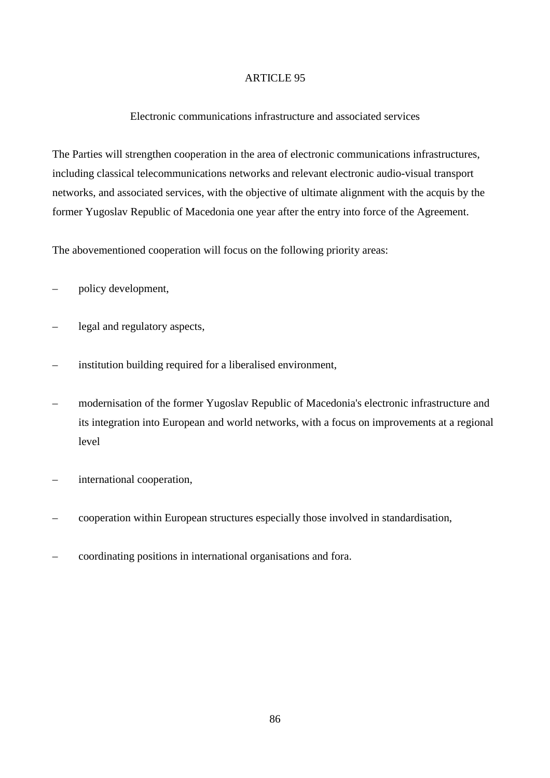## Electronic communications infrastructure and associated services

The Parties will strengthen cooperation in the area of electronic communications infrastructures, including classical telecommunications networks and relevant electronic audio-visual transport networks, and associated services, with the objective of ultimate alignment with the acquis by the former Yugoslav Republic of Macedonia one year after the entry into force of the Agreement.

The abovementioned cooperation will focus on the following priority areas:

- policy development,
- legal and regulatory aspects,
- institution building required for a liberalised environment,
- modernisation of the former Yugoslav Republic of Macedonia's electronic infrastructure and its integration into European and world networks, with a focus on improvements at a regional level
- international cooperation,
- cooperation within European structures especially those involved in standardisation,
- coordinating positions in international organisations and fora.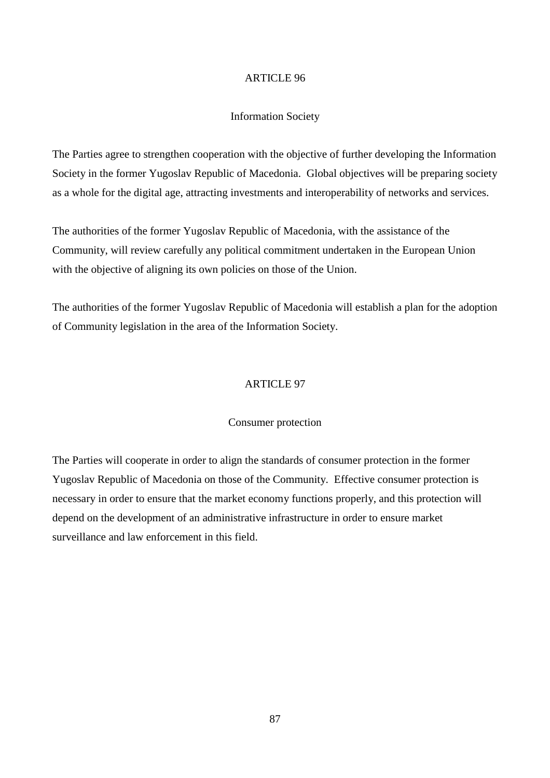#### Information Society

The Parties agree to strengthen cooperation with the objective of further developing the Information Society in the former Yugoslav Republic of Macedonia. Global objectives will be preparing society as a whole for the digital age, attracting investments and interoperability of networks and services.

The authorities of the former Yugoslav Republic of Macedonia, with the assistance of the Community, will review carefully any political commitment undertaken in the European Union with the objective of aligning its own policies on those of the Union.

The authorities of the former Yugoslav Republic of Macedonia will establish a plan for the adoption of Community legislation in the area of the Information Society.

### ARTICLE 97

#### Consumer protection

The Parties will cooperate in order to align the standards of consumer protection in the former Yugoslav Republic of Macedonia on those of the Community. Effective consumer protection is necessary in order to ensure that the market economy functions properly, and this protection will depend on the development of an administrative infrastructure in order to ensure market surveillance and law enforcement in this field.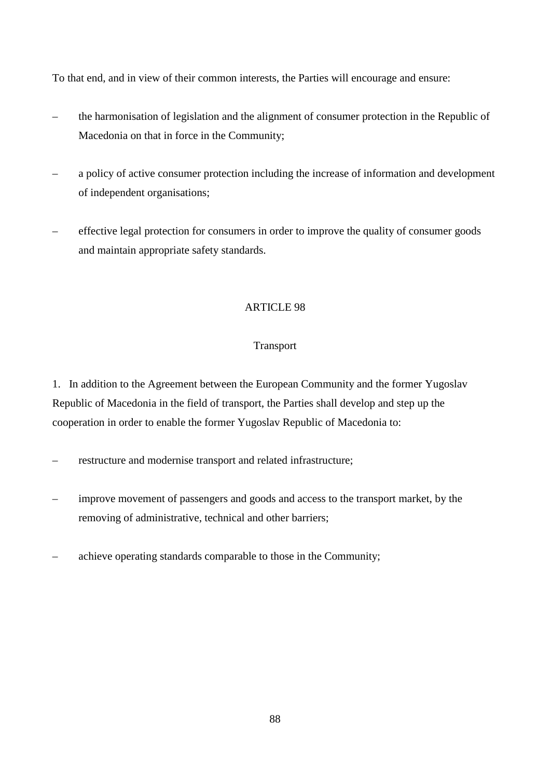To that end, and in view of their common interests, the Parties will encourage and ensure:

- the harmonisation of legislation and the alignment of consumer protection in the Republic of Macedonia on that in force in the Community;
- a policy of active consumer protection including the increase of information and development of independent organisations;
- effective legal protection for consumers in order to improve the quality of consumer goods and maintain appropriate safety standards.

# ARTICLE 98

# **Transport**

1. In addition to the Agreement between the European Community and the former Yugoslav Republic of Macedonia in the field of transport, the Parties shall develop and step up the cooperation in order to enable the former Yugoslav Republic of Macedonia to:

- restructure and modernise transport and related infrastructure;
- improve movement of passengers and goods and access to the transport market, by the removing of administrative, technical and other barriers;
- achieve operating standards comparable to those in the Community;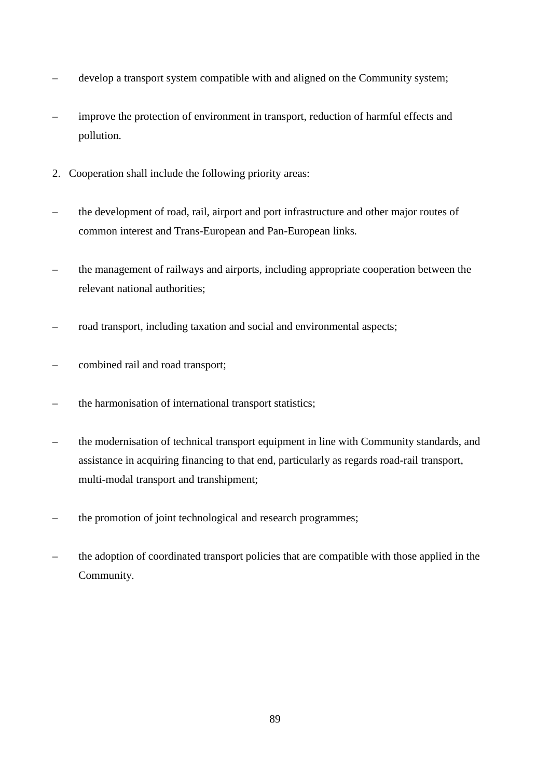- develop a transport system compatible with and aligned on the Community system;
- improve the protection of environment in transport, reduction of harmful effects and pollution.
- 2. Cooperation shall include the following priority areas:
- the development of road, rail, airport and port infrastructure and other major routes of common interest and Trans-European and Pan-European links*.*
- the management of railways and airports, including appropriate cooperation between the relevant national authorities;
- road transport, including taxation and social and environmental aspects;
- combined rail and road transport;
- the harmonisation of international transport statistics;
- the modernisation of technical transport equipment in line with Community standards, and assistance in acquiring financing to that end, particularly as regards road-rail transport, multi-modal transport and transhipment;
- the promotion of joint technological and research programmes;
- the adoption of coordinated transport policies that are compatible with those applied in the Community.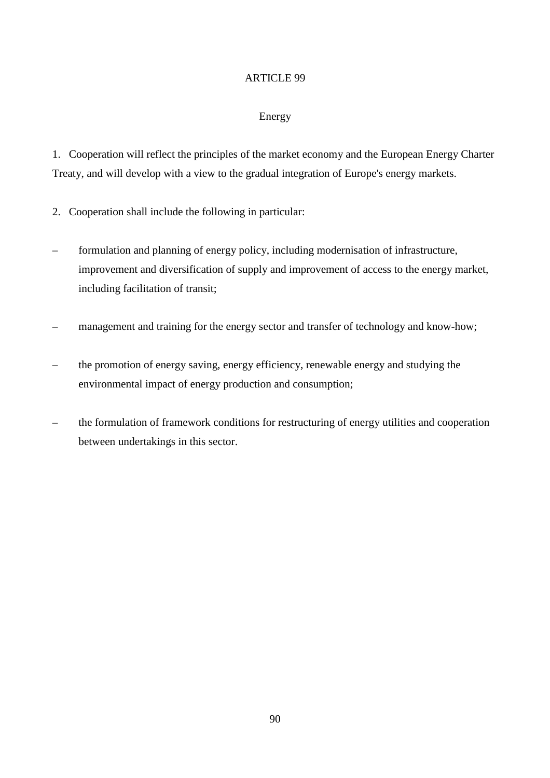# Energy

1. Cooperation will reflect the principles of the market economy and the European Energy Charter Treaty, and will develop with a view to the gradual integration of Europe's energy markets.

- 2. Cooperation shall include the following in particular:
- formulation and planning of energy policy, including modernisation of infrastructure, improvement and diversification of supply and improvement of access to the energy market, including facilitation of transit;
- management and training for the energy sector and transfer of technology and know-how;
- the promotion of energy saving, energy efficiency, renewable energy and studying the environmental impact of energy production and consumption;
- the formulation of framework conditions for restructuring of energy utilities and cooperation between undertakings in this sector.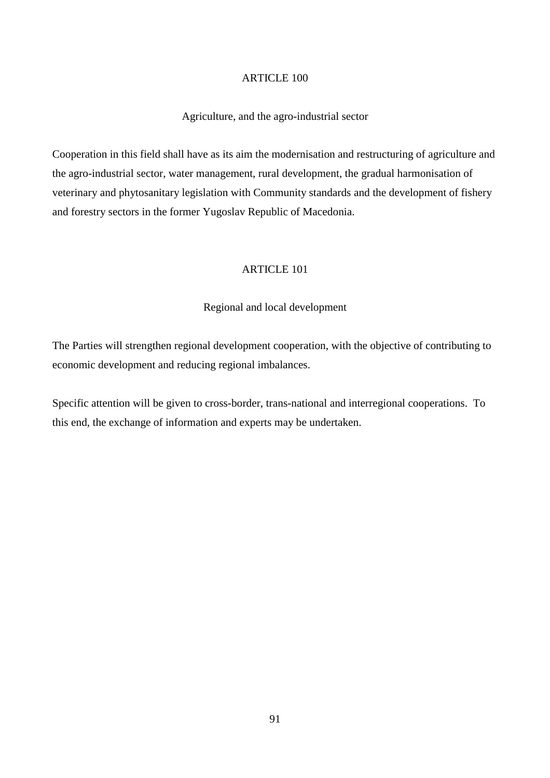### Agriculture, and the agro-industrial sector

Cooperation in this field shall have as its aim the modernisation and restructuring of agriculture and the agro-industrial sector, water management, rural development, the gradual harmonisation of veterinary and phytosanitary legislation with Community standards and the development of fishery and forestry sectors in the former Yugoslav Republic of Macedonia.

## ARTICLE 101

#### Regional and local development

The Parties will strengthen regional development cooperation, with the objective of contributing to economic development and reducing regional imbalances.

Specific attention will be given to cross-border, trans-national and interregional cooperations. To this end, the exchange of information and experts may be undertaken.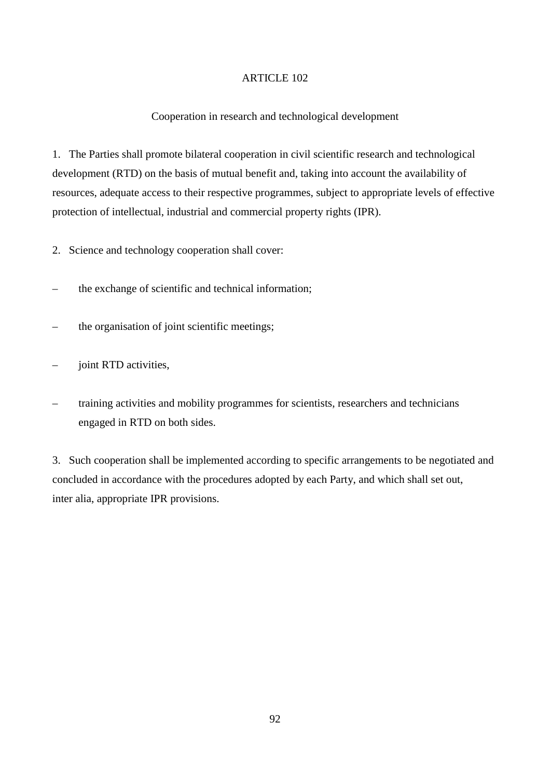## Cooperation in research and technological development

1. The Parties shall promote bilateral cooperation in civil scientific research and technological development (RTD) on the basis of mutual benefit and, taking into account the availability of resources, adequate access to their respective programmes, subject to appropriate levels of effective protection of intellectual, industrial and commercial property rights (IPR).

- 2. Science and technology cooperation shall cover:
- the exchange of scientific and technical information;
- the organisation of joint scientific meetings;
- joint RTD activities,
- training activities and mobility programmes for scientists, researchers and technicians engaged in RTD on both sides.

3. Such cooperation shall be implemented according to specific arrangements to be negotiated and concluded in accordance with the procedures adopted by each Party, and which shall set out, inter alia, appropriate IPR provisions.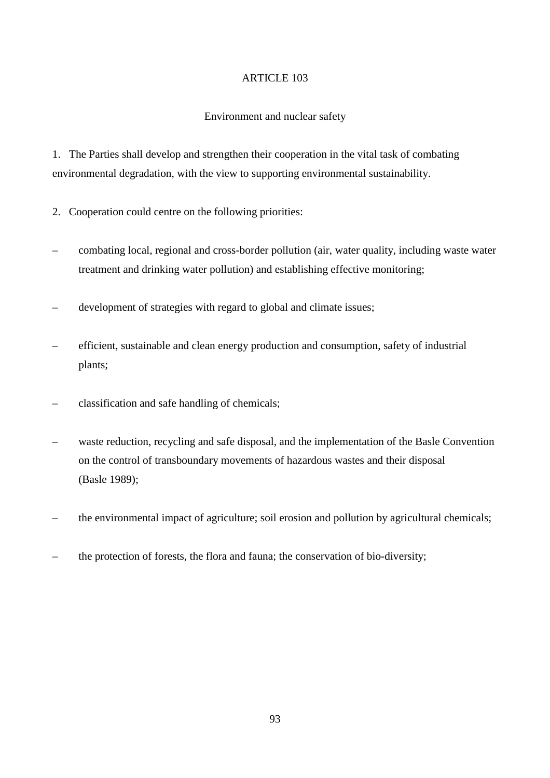## Environment and nuclear safety

1. The Parties shall develop and strengthen their cooperation in the vital task of combating environmental degradation, with the view to supporting environmental sustainability.

- 2. Cooperation could centre on the following priorities:
- combating local, regional and cross-border pollution (air, water quality, including waste water treatment and drinking water pollution) and establishing effective monitoring;
- development of strategies with regard to global and climate issues;
- efficient, sustainable and clean energy production and consumption, safety of industrial plants;
- classification and safe handling of chemicals;
- waste reduction, recycling and safe disposal, and the implementation of the Basle Convention on the control of transboundary movements of hazardous wastes and their disposal (Basle 1989);
- the environmental impact of agriculture; soil erosion and pollution by agricultural chemicals;
- the protection of forests, the flora and fauna; the conservation of bio-diversity;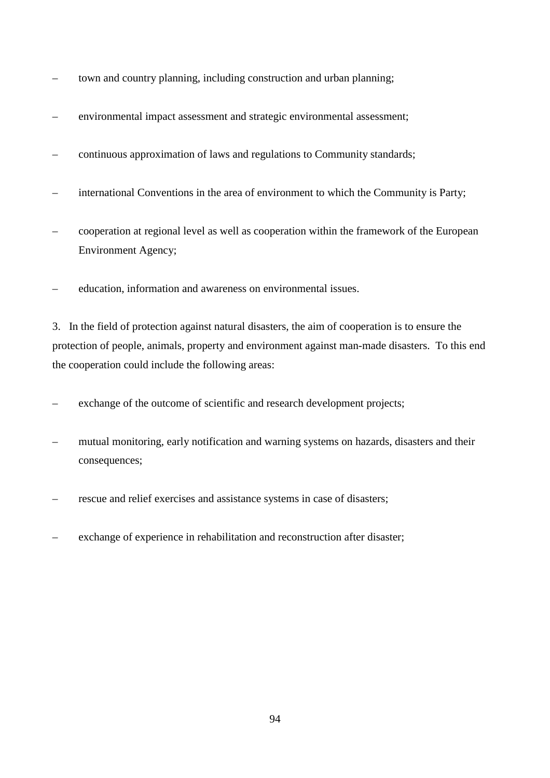- town and country planning, including construction and urban planning;
- environmental impact assessment and strategic environmental assessment;
- continuous approximation of laws and regulations to Community standards;
- international Conventions in the area of environment to which the Community is Party;
- cooperation at regional level as well as cooperation within the framework of the European Environment Agency;
- education, information and awareness on environmental issues.

3. In the field of protection against natural disasters, the aim of cooperation is to ensure the protection of people, animals, property and environment against man-made disasters. To this end the cooperation could include the following areas:

– exchange of the outcome of scientific and research development projects;

- mutual monitoring, early notification and warning systems on hazards, disasters and their consequences;
- rescue and relief exercises and assistance systems in case of disasters;
- exchange of experience in rehabilitation and reconstruction after disaster;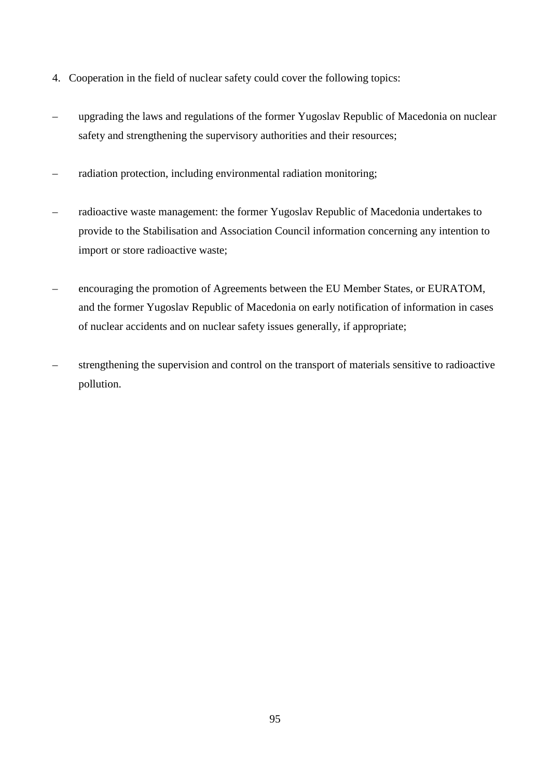- 4. Cooperation in the field of nuclear safety could cover the following topics:
- upgrading the laws and regulations of the former Yugoslav Republic of Macedonia on nuclear safety and strengthening the supervisory authorities and their resources;
- radiation protection, including environmental radiation monitoring;
- radioactive waste management: the former Yugoslav Republic of Macedonia undertakes to provide to the Stabilisation and Association Council information concerning any intention to import or store radioactive waste;
- encouraging the promotion of Agreements between the EU Member States, or EURATOM, and the former Yugoslav Republic of Macedonia on early notification of information in cases of nuclear accidents and on nuclear safety issues generally, if appropriate;
- strengthening the supervision and control on the transport of materials sensitive to radioactive pollution.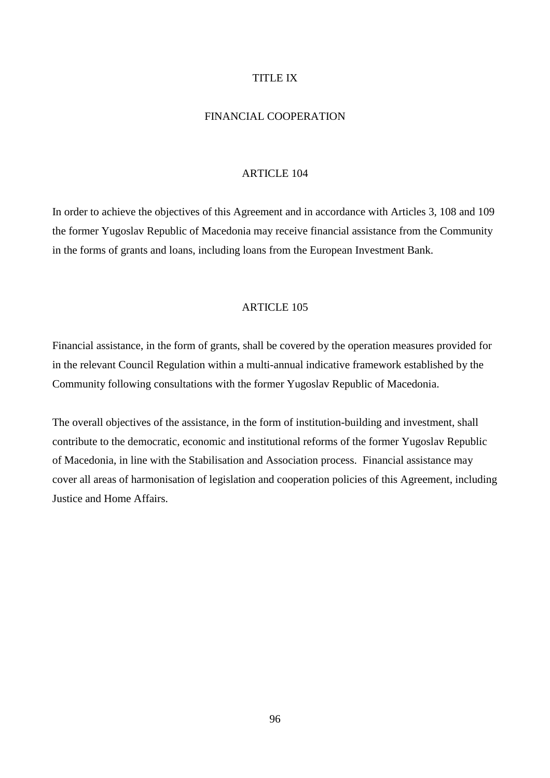### TITLE IX

# FINANCIAL COOPERATION

#### ARTICLE 104

In order to achieve the objectives of this Agreement and in accordance with Articles 3, 108 and 109 the former Yugoslav Republic of Macedonia may receive financial assistance from the Community in the forms of grants and loans, including loans from the European Investment Bank.

#### ARTICLE 105

Financial assistance, in the form of grants, shall be covered by the operation measures provided for in the relevant Council Regulation within a multi-annual indicative framework established by the Community following consultations with the former Yugoslav Republic of Macedonia.

The overall objectives of the assistance, in the form of institution-building and investment, shall contribute to the democratic, economic and institutional reforms of the former Yugoslav Republic of Macedonia, in line with the Stabilisation and Association process. Financial assistance may cover all areas of harmonisation of legislation and cooperation policies of this Agreement, including Justice and Home Affairs.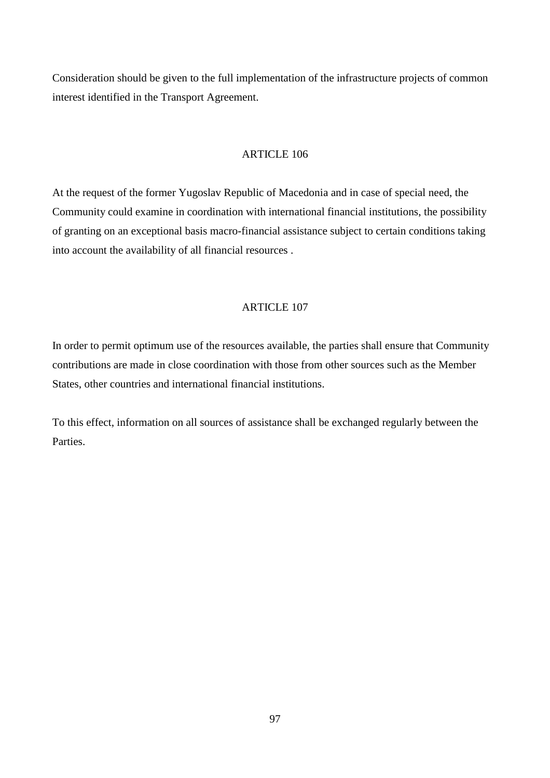Consideration should be given to the full implementation of the infrastructure projects of common interest identified in the Transport Agreement.

### ARTICLE 106

At the request of the former Yugoslav Republic of Macedonia and in case of special need, the Community could examine in coordination with international financial institutions, the possibility of granting on an exceptional basis macro-financial assistance subject to certain conditions taking into account the availability of all financial resources .

#### ARTICLE 107

In order to permit optimum use of the resources available, the parties shall ensure that Community contributions are made in close coordination with those from other sources such as the Member States, other countries and international financial institutions.

To this effect, information on all sources of assistance shall be exchanged regularly between the **Parties**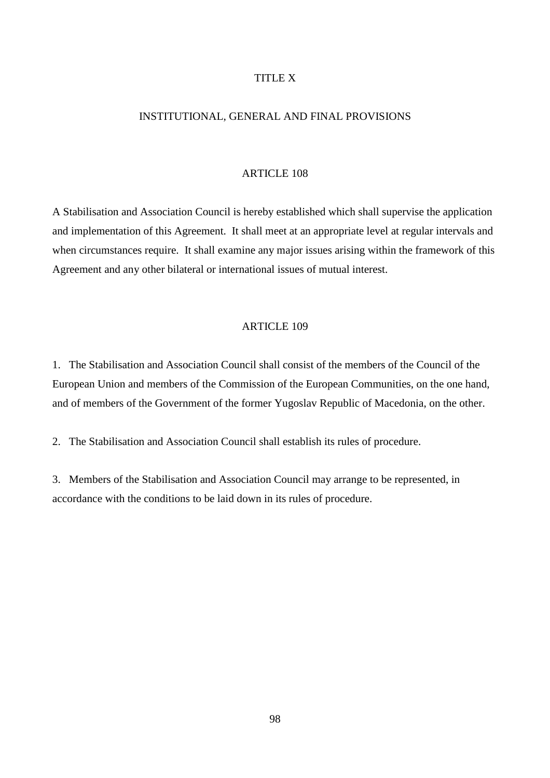### TITLE X

### INSTITUTIONAL, GENERAL AND FINAL PROVISIONS

#### ARTICLE 108

A Stabilisation and Association Council is hereby established which shall supervise the application and implementation of this Agreement. It shall meet at an appropriate level at regular intervals and when circumstances require. It shall examine any major issues arising within the framework of this Agreement and any other bilateral or international issues of mutual interest.

#### ARTICLE 109

1. The Stabilisation and Association Council shall consist of the members of the Council of the European Union and members of the Commission of the European Communities, on the one hand, and of members of the Government of the former Yugoslav Republic of Macedonia, on the other.

2. The Stabilisation and Association Council shall establish its rules of procedure.

3. Members of the Stabilisation and Association Council may arrange to be represented, in accordance with the conditions to be laid down in its rules of procedure.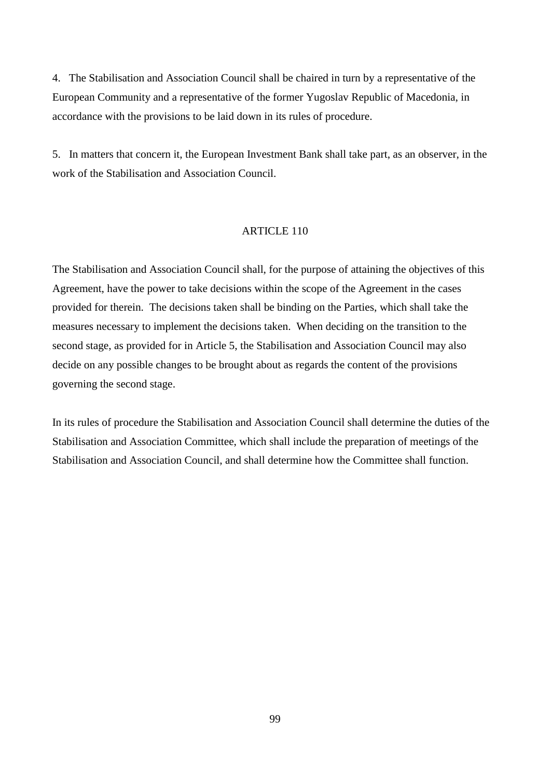4. The Stabilisation and Association Council shall be chaired in turn by a representative of the European Community and a representative of the former Yugoslav Republic of Macedonia, in accordance with the provisions to be laid down in its rules of procedure.

5. In matters that concern it, the European Investment Bank shall take part, as an observer, in the work of the Stabilisation and Association Council.

#### ARTICLE 110

The Stabilisation and Association Council shall, for the purpose of attaining the objectives of this Agreement, have the power to take decisions within the scope of the Agreement in the cases provided for therein. The decisions taken shall be binding on the Parties, which shall take the measures necessary to implement the decisions taken. When deciding on the transition to the second stage, as provided for in Article 5, the Stabilisation and Association Council may also decide on any possible changes to be brought about as regards the content of the provisions governing the second stage.

In its rules of procedure the Stabilisation and Association Council shall determine the duties of the Stabilisation and Association Committee, which shall include the preparation of meetings of the Stabilisation and Association Council, and shall determine how the Committee shall function.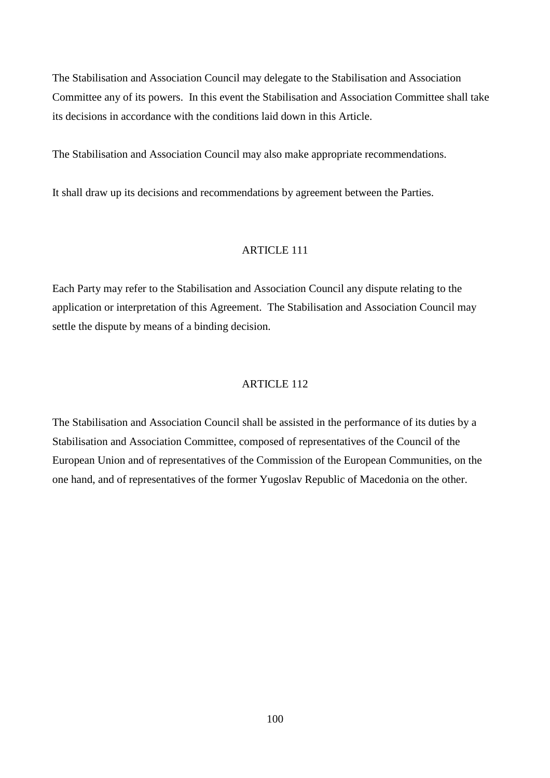The Stabilisation and Association Council may delegate to the Stabilisation and Association Committee any of its powers. In this event the Stabilisation and Association Committee shall take its decisions in accordance with the conditions laid down in this Article.

The Stabilisation and Association Council may also make appropriate recommendations.

It shall draw up its decisions and recommendations by agreement between the Parties.

## ARTICLE 111

Each Party may refer to the Stabilisation and Association Council any dispute relating to the application or interpretation of this Agreement. The Stabilisation and Association Council may settle the dispute by means of a binding decision.

#### ARTICLE 112

The Stabilisation and Association Council shall be assisted in the performance of its duties by a Stabilisation and Association Committee, composed of representatives of the Council of the European Union and of representatives of the Commission of the European Communities, on the one hand, and of representatives of the former Yugoslav Republic of Macedonia on the other.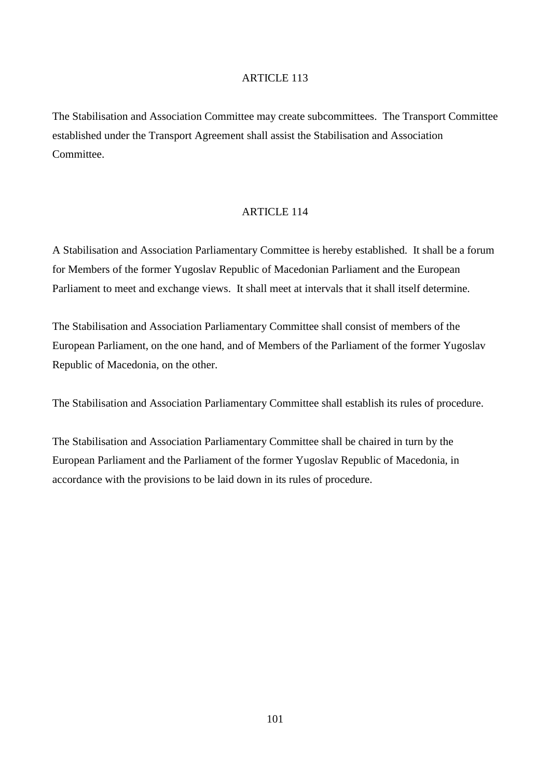The Stabilisation and Association Committee may create subcommittees. The Transport Committee established under the Transport Agreement shall assist the Stabilisation and Association Committee.

## ARTICLE 114

A Stabilisation and Association Parliamentary Committee is hereby established. It shall be a forum for Members of the former Yugoslav Republic of Macedonian Parliament and the European Parliament to meet and exchange views. It shall meet at intervals that it shall itself determine.

The Stabilisation and Association Parliamentary Committee shall consist of members of the European Parliament, on the one hand, and of Members of the Parliament of the former Yugoslav Republic of Macedonia, on the other.

The Stabilisation and Association Parliamentary Committee shall establish its rules of procedure.

The Stabilisation and Association Parliamentary Committee shall be chaired in turn by the European Parliament and the Parliament of the former Yugoslav Republic of Macedonia, in accordance with the provisions to be laid down in its rules of procedure.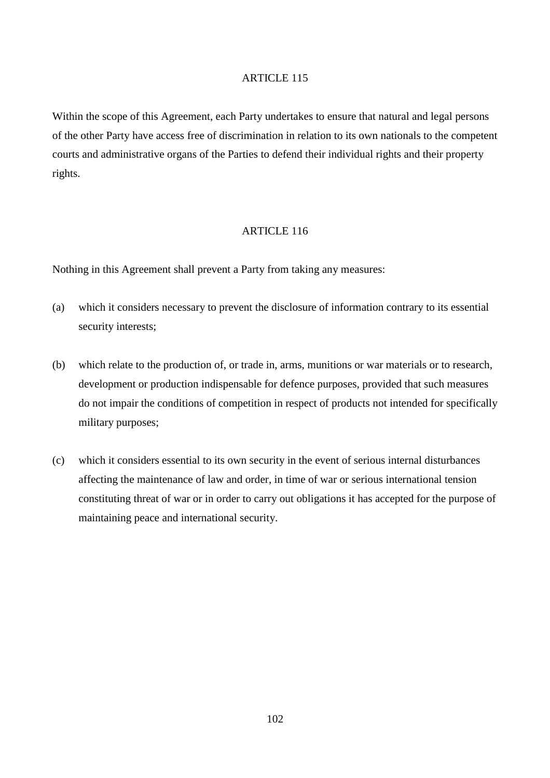Within the scope of this Agreement, each Party undertakes to ensure that natural and legal persons of the other Party have access free of discrimination in relation to its own nationals to the competent courts and administrative organs of the Parties to defend their individual rights and their property rights.

## ARTICLE 116

Nothing in this Agreement shall prevent a Party from taking any measures:

- (a) which it considers necessary to prevent the disclosure of information contrary to its essential security interests;
- (b) which relate to the production of, or trade in, arms, munitions or war materials or to research, development or production indispensable for defence purposes, provided that such measures do not impair the conditions of competition in respect of products not intended for specifically military purposes;
- (c) which it considers essential to its own security in the event of serious internal disturbances affecting the maintenance of law and order, in time of war or serious international tension constituting threat of war or in order to carry out obligations it has accepted for the purpose of maintaining peace and international security.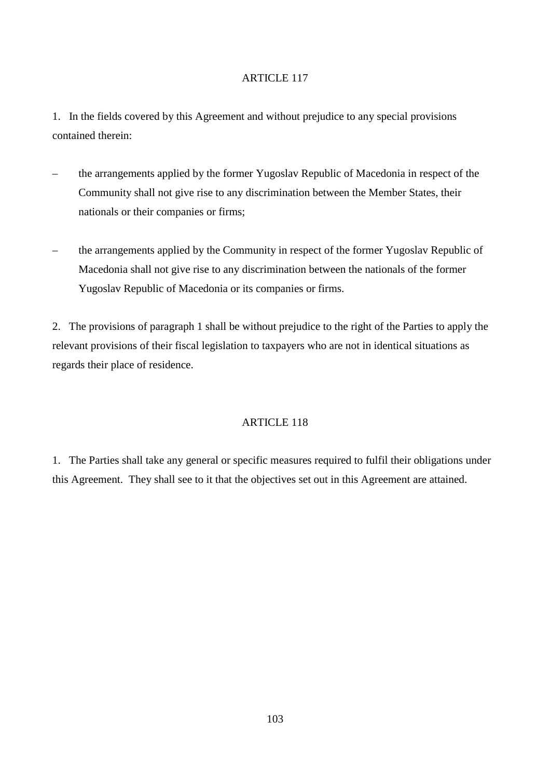1. In the fields covered by this Agreement and without prejudice to any special provisions contained therein:

- the arrangements applied by the former Yugoslav Republic of Macedonia in respect of the Community shall not give rise to any discrimination between the Member States, their nationals or their companies or firms;
- the arrangements applied by the Community in respect of the former Yugoslav Republic of Macedonia shall not give rise to any discrimination between the nationals of the former Yugoslav Republic of Macedonia or its companies or firms.

2. The provisions of paragraph 1 shall be without prejudice to the right of the Parties to apply the relevant provisions of their fiscal legislation to taxpayers who are not in identical situations as regards their place of residence.

# ARTICLE 118

1. The Parties shall take any general or specific measures required to fulfil their obligations under this Agreement. They shall see to it that the objectives set out in this Agreement are attained.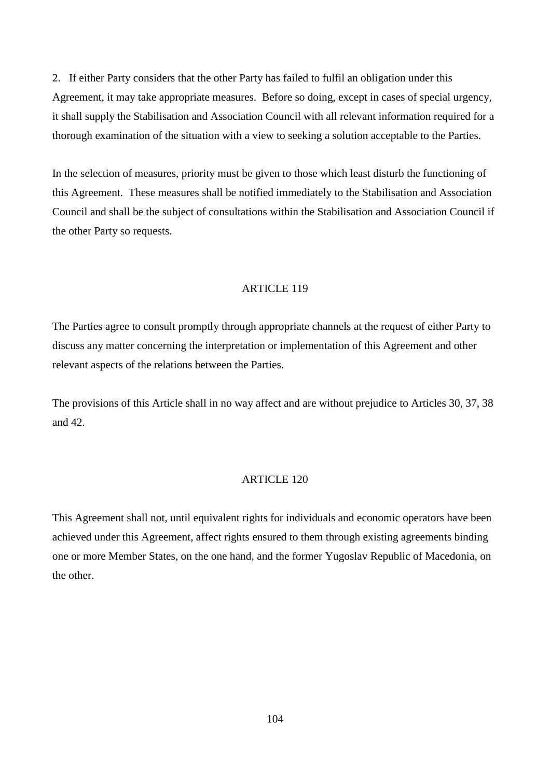2. If either Party considers that the other Party has failed to fulfil an obligation under this Agreement, it may take appropriate measures. Before so doing, except in cases of special urgency, it shall supply the Stabilisation and Association Council with all relevant information required for a thorough examination of the situation with a view to seeking a solution acceptable to the Parties.

In the selection of measures, priority must be given to those which least disturb the functioning of this Agreement. These measures shall be notified immediately to the Stabilisation and Association Council and shall be the subject of consultations within the Stabilisation and Association Council if the other Party so requests.

## ARTICLE 119

The Parties agree to consult promptly through appropriate channels at the request of either Party to discuss any matter concerning the interpretation or implementation of this Agreement and other relevant aspects of the relations between the Parties.

The provisions of this Article shall in no way affect and are without prejudice to Articles 30, 37, 38 and 42.

#### ARTICLE 120

This Agreement shall not, until equivalent rights for individuals and economic operators have been achieved under this Agreement, affect rights ensured to them through existing agreements binding one or more Member States, on the one hand, and the former Yugoslav Republic of Macedonia, on the other.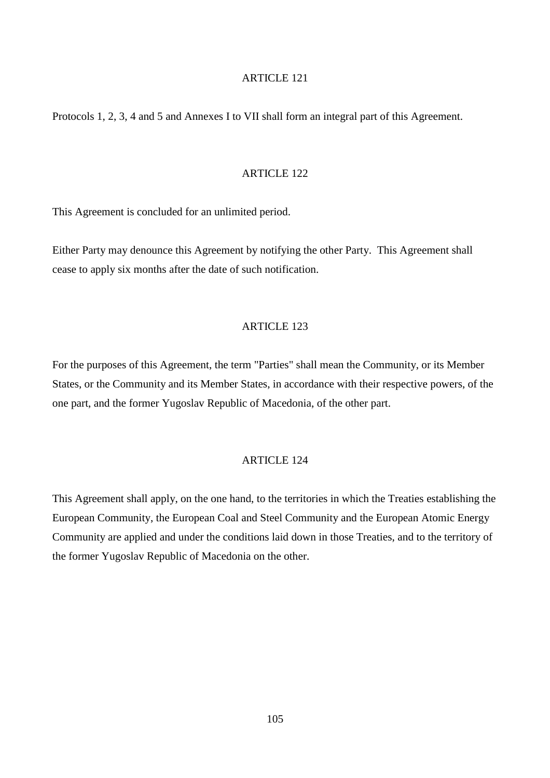Protocols 1, 2, 3, 4 and 5 and Annexes I to VII shall form an integral part of this Agreement.

#### ARTICLE 122

This Agreement is concluded for an unlimited period.

Either Party may denounce this Agreement by notifying the other Party. This Agreement shall cease to apply six months after the date of such notification.

#### ARTICLE 123

For the purposes of this Agreement, the term "Parties" shall mean the Community, or its Member States, or the Community and its Member States, in accordance with their respective powers, of the one part, and the former Yugoslav Republic of Macedonia, of the other part.

### ARTICLE 124

This Agreement shall apply, on the one hand, to the territories in which the Treaties establishing the European Community, the European Coal and Steel Community and the European Atomic Energy Community are applied and under the conditions laid down in those Treaties, and to the territory of the former Yugoslav Republic of Macedonia on the other.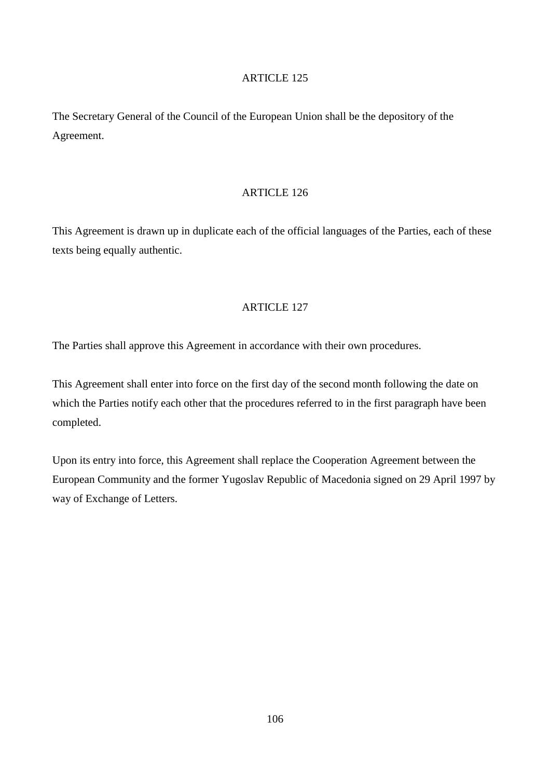The Secretary General of the Council of the European Union shall be the depository of the Agreement.

## ARTICLE 126

This Agreement is drawn up in duplicate each of the official languages of the Parties, each of these texts being equally authentic.

# ARTICLE 127

The Parties shall approve this Agreement in accordance with their own procedures.

This Agreement shall enter into force on the first day of the second month following the date on which the Parties notify each other that the procedures referred to in the first paragraph have been completed.

Upon its entry into force, this Agreement shall replace the Cooperation Agreement between the European Community and the former Yugoslav Republic of Macedonia signed on 29 April 1997 by way of Exchange of Letters.